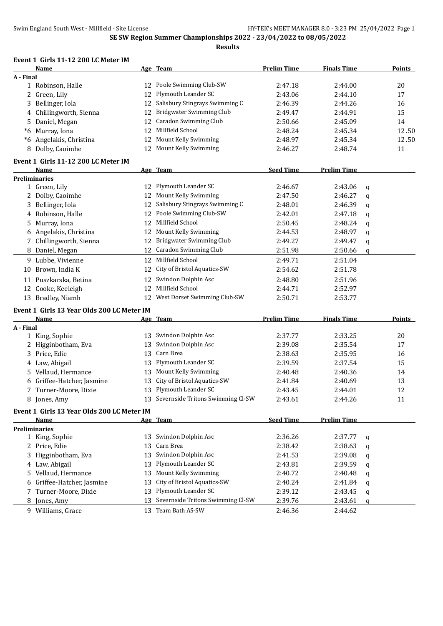**Results**

#### **Event 1 Girls 11-12 200 LC Meter IM**

|           | Name                                       |    | Age Team                             | <b>Prelim Time</b> | <b>Finals Time</b> |   | <b>Points</b> |
|-----------|--------------------------------------------|----|--------------------------------------|--------------------|--------------------|---|---------------|
| A - Final |                                            |    |                                      |                    |                    |   |               |
|           | 1 Robinson, Halle                          |    | 12 Poole Swimming Club-SW            | 2:47.18            | 2:44.00            |   | 20            |
|           | 2 Green, Lily                              | 12 | Plymouth Leander SC                  | 2:43.06            | 2:44.10            |   | 17            |
| 3         | Bellinger, Iola                            | 12 | Salisbury Stingrays Swimming C       | 2:46.39            | 2:44.26            |   | 16            |
| 4         | Chillingworth, Sienna                      | 12 | <b>Bridgwater Swimming Club</b>      | 2:49.47            | 2:44.91            |   | 15            |
| 5         | Daniel, Megan                              | 12 | Caradon Swimming Club                | 2:50.66            | 2:45.09            |   | 14            |
|           | *6 Murray, Iona                            | 12 | Millfield School                     | 2:48.24            | 2:45.34            |   | 12.50         |
|           | *6 Angelakis, Christina                    | 12 | Mount Kelly Swimming                 | 2:48.97            | 2:45.34            |   | 12.50         |
|           | 8 Dolby, Caoimhe                           | 12 | Mount Kelly Swimming                 | 2:46.27            | 2:48.74            |   | 11            |
|           | Event 1 Girls 11-12 200 LC Meter IM        |    |                                      |                    |                    |   |               |
|           | <b>Name</b>                                |    | Age Team                             | <b>Seed Time</b>   | <b>Prelim Time</b> |   |               |
|           | <b>Preliminaries</b>                       |    |                                      |                    |                    |   |               |
|           | 1 Green, Lily                              |    | 12 Plymouth Leander SC               | 2:46.67            | 2:43.06            | q |               |
|           | 2 Dolby, Caoimhe                           |    | 12 Mount Kelly Swimming              | 2:47.50            | 2:46.27            | q |               |
| 3         | Bellinger, Iola                            |    | 12 Salisbury Stingrays Swimming C    | 2:48.01            | 2:46.39            | q |               |
| 4         | Robinson, Halle                            |    | 12 Poole Swimming Club-SW            | 2:42.01            | 2:47.18            | q |               |
| 5         | Murray, Iona                               | 12 | Millfield School                     | 2:50.45            | 2:48.24            | q |               |
| 6         | Angelakis, Christina                       |    | 12 Mount Kelly Swimming              | 2:44.53            | 2:48.97            | q |               |
|           | 7 Chillingworth, Sienna                    | 12 | Bridgwater Swimming Club             | 2:49.27            | 2:49.47            | q |               |
|           | 8 Daniel, Megan                            | 12 | <b>Caradon Swimming Club</b>         | 2:51.98            | 2:50.66            | q |               |
|           | 9 Lubbe, Vivienne                          | 12 | Millfield School                     | 2:49.71            | 2:51.04            |   |               |
|           | 10 Brown, India K                          | 12 | City of Bristol Aquatics-SW          | 2:54.62            | 2:51.78            |   |               |
|           | 11 Puszkarska, Betina                      | 12 | Swindon Dolphin Asc                  | 2:48.80            | 2:51.96            |   |               |
|           | 12 Cooke, Keeleigh                         | 12 | Millfield School                     | 2:44.71            | 2:52.97            |   |               |
|           | 13 Bradley, Niamh                          | 12 | West Dorset Swimming Club-SW         | 2:50.71            | 2:53.77            |   |               |
|           | Event 1 Girls 13 Year Olds 200 LC Meter IM |    |                                      |                    |                    |   |               |
|           | Name                                       |    | Age Team                             | <b>Prelim Time</b> | <b>Finals Time</b> |   | Points        |
| A - Final |                                            |    |                                      |                    |                    |   |               |
|           | 1 King, Sophie                             | 13 | Swindon Dolphin Asc                  | 2:37.77            | 2:33.25            |   | 20            |
|           | 2 Higginbotham, Eva                        | 13 | Swindon Dolphin Asc                  | 2:39.08            | 2:35.54            |   | 17            |
| 3         | Price, Edie                                | 13 | Carn Brea                            | 2:38.63            | 2:35.95            |   | 16            |
|           | 4 Law, Abigail                             | 13 | Plymouth Leander SC                  | 2:39.59            | 2:37.54            |   | 15            |
| 5         | Vellaud, Hermance                          | 13 | Mount Kelly Swimming                 | 2:40.48            | 2:40.36            |   | 14            |
|           | 6 Griffee-Hatcher, Jasmine                 | 13 | City of Bristol Aquatics-SW          | 2:41.84            | 2:40.69            |   | 13            |
|           | 7 Turner-Moore, Dixie                      |    | 13 Plymouth Leander SC               | 2:43.45            | 2:44.01            |   | 12            |
|           | 8 Jones, Amy                               |    | 13 Severnside Tritons Swimming Cl-SW | 2:43.61            | 2:44.26            |   | 11            |
|           | Event 1 Girls 13 Year Olds 200 LC Meter IM |    |                                      |                    |                    |   |               |
|           | Name                                       |    | Age Team                             | <b>Seed Time</b>   | <b>Prelim Time</b> |   |               |
|           | <b>Preliminaries</b>                       |    | 13 Swindon Dolphin Asc               |                    |                    |   |               |
|           | 1 King, Sophie                             |    | Carn Brea                            | 2:36.26            | 2:37.77            | q |               |
|           | 2 Price, Edie                              | 13 |                                      | 2:38.42            | 2:38.63            | q |               |
| 3         | Higginbotham, Eva                          | 13 | Swindon Dolphin Asc                  | 2:41.53            | 2:39.08            | q |               |
|           | 4 Law, Abigail                             | 13 | Plymouth Leander SC                  | 2:43.81            | 2:39.59            | q |               |
| 5.        | Vellaud, Hermance                          | 13 | Mount Kelly Swimming                 | 2:40.72            | 2:40.48            | q |               |
| 6         | Griffee-Hatcher, Jasmine                   | 13 | City of Bristol Aquatics-SW          | 2:40.24            | 2:41.84            | q |               |
| 7         | Turner-Moore, Dixie                        | 13 | Plymouth Leander SC                  | 2:39.12            | 2:43.45            | q |               |
| 8         | Jones, Amy                                 | 13 | Severnside Tritons Swimming Cl-SW    | 2:39.76            | 2:43.61            | q |               |
|           | 9 Williams, Grace                          |    | 13 Team Bath AS-SW                   | 2:46.36            | 2:44.62            |   |               |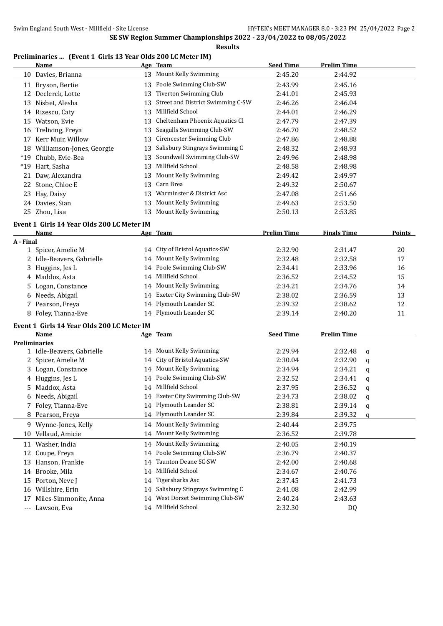**Results**

#### **Preliminaries ... (Event 1 Girls 13 Year Olds 200 LC Meter IM)**

|           | <b>Name</b>                                |    | Age Team                          | <b>Seed Time</b>   | <b>Prelim Time</b> |           |               |
|-----------|--------------------------------------------|----|-----------------------------------|--------------------|--------------------|-----------|---------------|
|           | 10 Davies, Brianna                         |    | 13 Mount Kelly Swimming           | 2:45.20            | 2:44.92            |           |               |
|           | 11 Bryson, Bertie                          |    | 13 Poole Swimming Club-SW         | 2:43.99            | 2:45.16            |           |               |
|           | 12 Declerck, Lotte                         | 13 | Tiverton Swimming Club            | 2:41.01            | 2:45.93            |           |               |
|           | 13 Nisbet, Alesha                          | 13 | Street and District Swimming C-SW | 2:46.26            | 2:46.04            |           |               |
|           | 14 Rizescu, Caty                           | 13 | Millfield School                  | 2:44.01            | 2:46.29            |           |               |
|           | 15 Watson, Evie                            | 13 | Cheltenham Phoenix Aquatics Cl    | 2:47.79            | 2:47.39            |           |               |
|           | 16 Treliving, Freya                        | 13 | Seagulls Swimming Club-SW         | 2:46.70            | 2:48.52            |           |               |
| 17        | Kerr Muir, Willow                          | 13 | Cirencester Swimming Club         | 2:47.86            | 2:48.88            |           |               |
|           | 18 Williamson-Jones, Georgie               | 13 | Salisbury Stingrays Swimming C    | 2:48.32            | 2:48.93            |           |               |
|           | *19 Chubb, Evie-Bea                        | 13 | Soundwell Swimming Club-SW        | 2:49.96            | 2:48.98            |           |               |
|           | *19 Hart, Sasha                            | 13 | Millfield School                  | 2:48.58            | 2:48.98            |           |               |
| 21        | Daw, Alexandra                             |    | 13 Mount Kelly Swimming           | 2:49.42            | 2:49.97            |           |               |
|           | 22 Stone, Chloe E                          | 13 | Carn Brea                         | 2:49.32            | 2:50.67            |           |               |
| 23        | Hay, Daisy                                 |    | 13 Warminster & District Asc      | 2:47.08            | 2:51.66            |           |               |
|           | 24 Davies, Sian                            |    | 13 Mount Kelly Swimming           | 2:49.63            | 2:53.50            |           |               |
|           | 25 Zhou, Lisa                              |    | 13 Mount Kelly Swimming           | 2:50.13            | 2:53.85            |           |               |
|           | Event 1 Girls 14 Year Olds 200 LC Meter IM |    |                                   |                    |                    |           |               |
|           | Name                                       |    | Age Team                          | <b>Prelim Time</b> | <b>Finals Time</b> |           | <b>Points</b> |
| A - Final |                                            |    |                                   |                    |                    |           |               |
|           | 1 Spicer, Amelie M                         | 14 | City of Bristol Aquatics-SW       | 2:32.90            | 2:31.47            |           | 20            |
|           | 2 Idle-Beavers, Gabrielle                  |    | 14 Mount Kelly Swimming           | 2:32.48            | 2:32.58            |           | 17            |
| 3         | Huggins, Jes L                             |    | 14 Poole Swimming Club-SW         | 2:34.41            | 2:33.96            |           | 16            |
|           | 4 Maddox, Asta                             |    | 14 Millfield School               | 2:36.52            | 2:34.52            |           | 15            |
|           | 5 Logan, Constance                         |    | 14 Mount Kelly Swimming           | 2:34.21            | 2:34.76            |           | 14            |
|           | 6 Needs, Abigail                           |    | 14 Exeter City Swimming Club-SW   | 2:38.02            | 2:36.59            |           | 13            |
|           | 7 Pearson, Freya                           |    | 14 Plymouth Leander SC            | 2:39.32            | 2:38.62            |           | 12            |
|           | 8 Foley, Tianna-Eve                        |    | 14 Plymouth Leander SC            | 2:39.14            | 2:40.20            |           | 11            |
|           | Event 1 Girls 14 Year Olds 200 LC Meter IM |    |                                   |                    |                    |           |               |
|           | Name                                       |    | Age Team                          | <b>Seed Time</b>   | <b>Prelim Time</b> |           |               |
|           | <b>Preliminaries</b>                       |    |                                   |                    |                    |           |               |
|           | 1 Idle-Beavers, Gabrielle                  |    | 14 Mount Kelly Swimming           | 2:29.94            | 2:32.48            | q         |               |
|           | 2 Spicer, Amelie M                         | 14 | City of Bristol Aquatics-SW       | 2:30.04            | 2:32.90            | q         |               |
|           | 3 Logan, Constance                         |    | 14 Mount Kelly Swimming           | 2:34.94            | 2:34.21            | q         |               |
|           | 4 Huggins, Jes L                           |    | 14 Poole Swimming Club-SW         | 2:32.52            | 2:34.41            | q         |               |
|           | 5 Maddox, Asta                             |    | 14 Millfield School               | 2:37.95            | 2:36.52            | q         |               |
|           | 6 Needs, Abigail                           |    | 14 Exeter City Swimming Club-SW   | 2:34.73            | 2:38.02            | ${\bf q}$ |               |
|           | 7 Foley, Tianna-Eve                        |    | 14 Plymouth Leander SC            | 2:38.81            | 2:39.14            | q         |               |
|           | 8 Pearson, Freya                           |    | 14 Plymouth Leander SC            | 2:39.84            | 2:39.32            | q         |               |
|           | 9 Wynne-Jones, Kelly                       |    | 14 Mount Kelly Swimming           | 2:40.44            | 2:39.75            |           |               |
| 10        | Vellaud, Amicie                            | 14 | Mount Kelly Swimming              | 2:36.52            | 2:39.78            |           |               |
| 11        | Washer, India                              |    | 14 Mount Kelly Swimming           | 2:40.05            | 2:40.19            |           |               |
| 12        | Coupe, Freya                               | 14 | Poole Swimming Club-SW            | 2:36.79            | 2:40.37            |           |               |
| 13        | Hanson, Frankie                            | 14 | Taunton Deane SC-SW               | 2:42.00            | 2:40.68            |           |               |
| 14        | Brooke, Mila                               | 14 | Millfield School                  | 2:34.67            | 2:40.76            |           |               |
| 15        | Porton, Neve J                             | 14 | <b>Tigersharks Asc</b>            | 2:37.45            | 2:41.73            |           |               |
|           | 16 Willshire, Erin                         | 14 | Salisbury Stingrays Swimming C    | 2:41.08            | 2:42.99            |           |               |
| 17        | Miles-Simmonite, Anna                      | 14 | West Dorset Swimming Club-SW      | 2:40.24            | 2:43.63            |           |               |
|           | --- Lawson, Eva                            |    | 14 Millfield School               | 2:32.30            | DQ                 |           |               |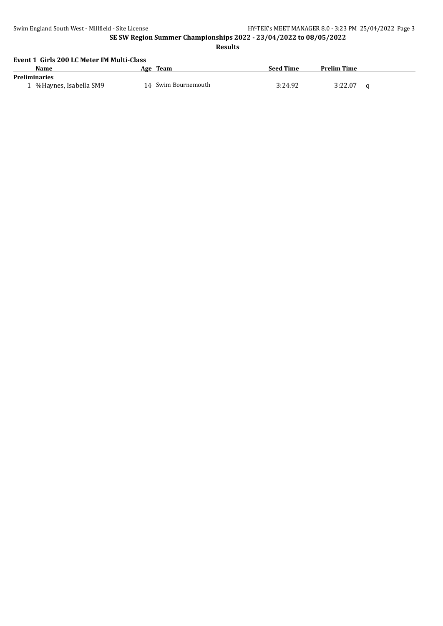**Results**

#### **Event 1 Girls 200 LC Meter IM Multi-Class**

| Name                                          | <b>Team</b><br>Age  | <b>Seed Time</b> | <b>Prelim Time</b> |
|-----------------------------------------------|---------------------|------------------|--------------------|
| <b>Preliminaries</b><br>%Haynes, Isabella SM9 | 14 Swim Bournemouth | 3:24.92          | 3:22.07            |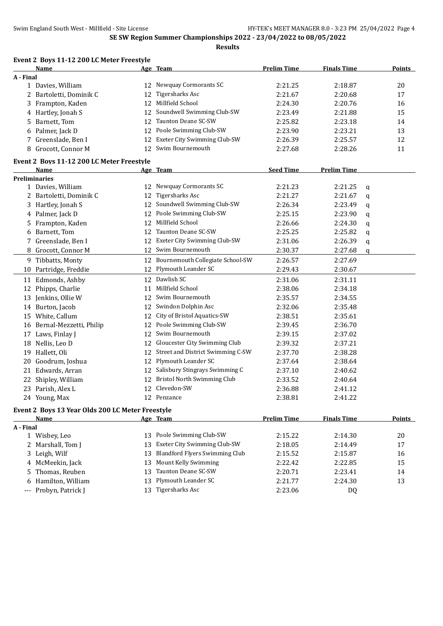|             | Event 2 Boys 11-12 200 LC Meter Freestyle        |    |                                       |                    |                    |   |               |
|-------------|--------------------------------------------------|----|---------------------------------------|--------------------|--------------------|---|---------------|
|             | Name                                             |    | Age Team                              | <b>Prelim Time</b> | <b>Finals Time</b> |   | <b>Points</b> |
| A - Final   |                                                  |    |                                       |                    |                    |   |               |
|             | 1 Davies, William                                | 12 | Newquay Cormorants SC                 | 2:21.25            | 2:18.87            |   | 20            |
| 2           | Bartoletti, Dominik C                            | 12 | <b>Tigersharks Asc</b>                | 2:21.67            | 2:20.68            |   | 17            |
|             | 3 Frampton, Kaden                                | 12 | Millfield School                      | 2:24.30            | 2:20.76            |   | 16            |
|             | 4 Hartley, Jonah S                               | 12 | Soundwell Swimming Club-SW            | 2:23.49            | 2:21.88            |   | 15            |
| 5.          | Barnett, Tom                                     | 12 | Taunton Deane SC-SW                   | 2:25.82            | 2:23.18            |   | 14            |
| 6           | Palmer, Jack D                                   | 12 | Poole Swimming Club-SW                | 2:23.90            | 2:23.21            |   | 13            |
|             | 7 Greenslade, Ben I                              | 12 | Exeter City Swimming Club-SW          | 2:26.39            | 2:25.57            |   | 12            |
| 8           | Grocott, Connor M                                | 12 | Swim Bournemouth                      | 2:27.68            | 2:28.26            |   | 11            |
|             | Event 2 Boys 11-12 200 LC Meter Freestyle        |    |                                       |                    |                    |   |               |
|             | Name                                             |    | Age Team                              | <b>Seed Time</b>   | <b>Prelim Time</b> |   |               |
|             | <b>Preliminaries</b>                             |    |                                       |                    |                    |   |               |
|             | 1 Davies, William                                |    | 12 Newquay Cormorants SC              | 2:21.23            | 2:21.25            | q |               |
|             | 2 Bartoletti, Dominik C                          | 12 | <b>Tigersharks Asc</b>                | 2:21.27            | 2:21.67            | q |               |
|             | 3 Hartley, Jonah S                               |    | 12 Soundwell Swimming Club-SW         | 2:26.34            | 2:23.49            | q |               |
| 4           | Palmer, Jack D                                   |    | 12 Poole Swimming Club-SW             | 2:25.15            | 2:23.90            | q |               |
| 5.          | Frampton, Kaden                                  | 12 | Millfield School                      | 2:26.66            | 2:24.30            | q |               |
| 6           | Barnett, Tom                                     | 12 | Taunton Deane SC-SW                   | 2:25.25            | 2:25.82            | q |               |
| 7           | Greenslade, Ben I                                | 12 | Exeter City Swimming Club-SW          | 2:31.06            | 2:26.39            | q |               |
| 8           | Grocott, Connor M                                |    | 12 Swim Bournemouth                   | 2:30.37            | 2:27.68            | q |               |
|             |                                                  |    | Bournemouth Collegiate School-SW      |                    | 2:27.69            |   |               |
|             | 9 Tibbatts, Monty                                | 12 |                                       | 2:26.57            |                    |   |               |
| 10          | Partridge, Freddie                               |    | 12 Plymouth Leander SC                | 2:29.43            | 2:30.67            |   |               |
|             | 11 Edmonds, Ashby                                |    | 12 Dawlish SC                         | 2:31.06            | 2:31.11            |   |               |
| 12          | Phipps, Charlie                                  | 11 | Millfield School                      | 2:38.06            | 2:34.18            |   |               |
|             | 13 Jenkins, Ollie W                              | 12 | Swim Bournemouth                      | 2:35.57            | 2:34.55            |   |               |
|             | 14 Burton, Jacob                                 |    | 12 Swindon Dolphin Asc                | 2:32.06            | 2:35.48            |   |               |
|             | 15 White, Callum                                 | 12 | City of Bristol Aquatics-SW           | 2:38.51            | 2:35.61            |   |               |
|             | 16 Bernal-Mezzetti, Philip                       | 12 | Poole Swimming Club-SW                | 2:39.45            | 2:36.70            |   |               |
| 17          | Laws, Finlay J                                   |    | 12 Swim Bournemouth                   | 2:39.15            | 2:37.02            |   |               |
| 18          | Nellis, Leo D                                    |    | 12 Gloucester City Swimming Club      | 2:39.32            | 2:37.21            |   |               |
| 19          | Hallett, Oli                                     |    | 12 Street and District Swimming C-SW  | 2:37.70            | 2:38.28            |   |               |
| 20          | Goodrum, Joshua                                  | 12 | Plymouth Leander SC                   | 2:37.64            | 2:38.64            |   |               |
| 21          | Edwards, Arran                                   |    | 12 Salisbury Stingrays Swimming C     | 2:37.10            | 2:40.62            |   |               |
|             | 22 Shipley, William                              |    | 12 Bristol North Swimming Club        | 2:33.52            | 2:40.64            |   |               |
|             | 23 Parish, Alex L                                |    | 12 Clevedon-SW                        | 2:36.88            | 2:41.12            |   |               |
|             | 24 Young, Max                                    |    | 12 Penzance                           | 2:38.81            | 2:41.22            |   |               |
|             | Event 2 Boys 13 Year Olds 200 LC Meter Freestyle |    |                                       |                    |                    |   |               |
|             | Name                                             |    | Age Team                              | <b>Prelim Time</b> | <b>Finals Time</b> |   | <b>Points</b> |
| A - Final   |                                                  |    |                                       |                    |                    |   |               |
|             | 1 Wisbey, Leo                                    | 13 | Poole Swimming Club-SW                | 2:15.22            | 2:14.30            |   | 20            |
|             | 2 Marshall, Tom J                                | 13 | Exeter City Swimming Club-SW          | 2:18.05            | 2:14.49            |   | 17            |
| 3.          | Leigh, Wilf                                      | 13 | <b>Blandford Flyers Swimming Club</b> | 2:15.52            | 2:15.87            |   | 16            |
| 4           | McMeekin, Jack                                   | 13 | Mount Kelly Swimming                  | 2:22.42            | 2:22.85            |   | 15            |
| 5           | Thomas, Reuben                                   | 13 | Taunton Deane SC-SW                   | 2:20.71            | 2:23.41            |   | 14            |
| 6           | Hamilton, William                                | 13 | Plymouth Leander SC                   | 2:21.77            | 2:24.30            |   | 13            |
| $-\, -\, -$ | Probyn, Patrick J                                |    | 13 Tigersharks Asc                    | 2:23.06            | DQ                 |   |               |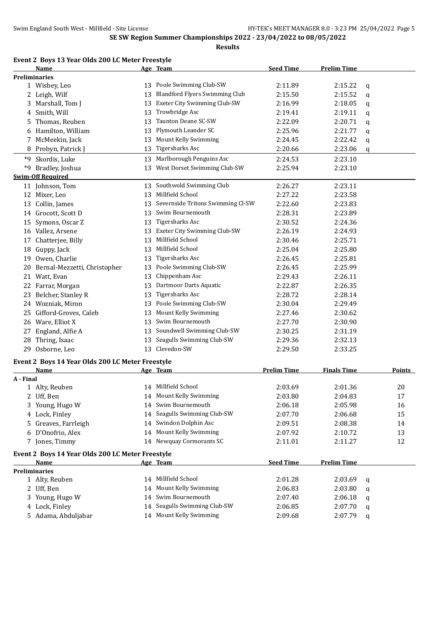|           | Name                                             |    | Age Team                              | <b>Seed Time</b>   | <b>Prelim Time</b> |   |        |
|-----------|--------------------------------------------------|----|---------------------------------------|--------------------|--------------------|---|--------|
|           | <b>Preliminaries</b>                             |    |                                       |                    |                    |   |        |
|           | 1 Wisbey, Leo                                    |    | 13 Poole Swimming Club-SW             | 2:11.89            | 2:15.22            | q |        |
|           | 2 Leigh, Wilf                                    | 13 | <b>Blandford Flyers Swimming Club</b> | 2:15.50            | 2:15.52            | q |        |
| 3         | Marshall, Tom J                                  | 13 | Exeter City Swimming Club-SW          | 2:16.99            | 2:18.05            | q |        |
| 4         | Smith, Will                                      | 13 | Trowbridge Asc                        | 2:19.41            | 2:19.11            | q |        |
| 5.        | Thomas, Reuben                                   | 13 | Taunton Deane SC-SW                   | 2:22.09            | 2:20.71            | q |        |
| 6         | Hamilton, William                                | 13 | Plymouth Leander SC                   | 2:25.96            | 2:21.77            | q |        |
| 7         | McMeekin, Jack                                   | 13 | Mount Kelly Swimming                  | 2:24.45            | 2:22.42            | q |        |
| 8         | Probyn, Patrick J                                | 13 | <b>Tigersharks Asc</b>                | 2:20.66            | 2:23.06            | q |        |
|           | *9 Skordis, Luke                                 | 13 | Marlborough Penguins Asc              | 2:24.53            | 2:23.10            |   |        |
| *9        | Bradley, Joshua                                  |    | 13 West Dorset Swimming Club-SW       | 2:25.94            | 2:23.10            |   |        |
|           | <b>Swim-Off Required</b>                         |    |                                       |                    |                    |   |        |
|           | 11 Johnson, Tom                                  | 13 | Southwold Swimming Club               | 2:26.27            | 2:23.11            |   |        |
|           | 12 Mixer, Leo                                    | 13 | Millfield School                      | 2:27.22            | 2:23.58            |   |        |
|           | 13 Collin, James                                 | 13 | Severnside Tritons Swimming Cl-SW     | 2:22.60            | 2:23.83            |   |        |
|           | 14 Grocott, Scott D                              | 13 | Swim Bournemouth                      | 2:28.31            | 2:23.89            |   |        |
|           | 15 Symons, Oscar Z                               | 13 | Tigersharks Asc                       | 2:30.52            | 2:24.36            |   |        |
|           | 16 Vallez, Arsene                                | 13 | Exeter City Swimming Club-SW          | 2:26.19            | 2:24.93            |   |        |
| 17        | Chatterjee, Billy                                | 13 | Millfield School                      | 2:30.46            | 2:25.71            |   |        |
| 18        | Guppy, Jack                                      | 13 | Millfield School                      | 2:25.04            | 2:25.80            |   |        |
| 19        | Owen, Charlie                                    | 13 | Tigersharks Asc                       | 2:26.45            | 2:25.81            |   |        |
| 20        | Bernal-Mezzetti, Christopher                     | 13 | Poole Swimming Club-SW                | 2:26.45            | 2:25.99            |   |        |
| 21        | Watt, Evan                                       | 13 | Chippenham Asc                        | 2:29.43            | 2:26.11            |   |        |
| 22        | Farrar, Morgan                                   | 13 | Dartmoor Darts Aquatic                | 2:22.87            | 2:26.35            |   |        |
|           | Belcher, Stanley R                               | 13 | <b>Tigersharks Asc</b>                | 2:28.72            | 2:28.14            |   |        |
| 23<br>24  | Wozniak, Miron                                   | 13 | Poole Swimming Club-SW                |                    | 2:29.49            |   |        |
|           |                                                  |    | Mount Kelly Swimming                  | 2:30.04            |                    |   |        |
| 25        | Gifford-Groves, Caleb                            | 13 | Swim Bournemouth                      | 2:27.46            | 2:30.62            |   |        |
|           | 26 Ware, Elliot X                                | 13 |                                       | 2:27.70            | 2:30.90            |   |        |
| 27        | England, Alfie A                                 | 13 | Soundwell Swimming Club-SW            | 2:30.25            | 2:31.19            |   |        |
| 28        | Thring, Isaac                                    | 13 | Seagulls Swimming Club-SW             | 2:29.36            | 2:32.13            |   |        |
| 29        | Osborne, Leo                                     |    | 13 Clevedon-SW                        | 2:29.50            | 2:33.25            |   |        |
|           | Event 2 Boys 14 Year Olds 200 LC Meter Freestyle |    |                                       |                    |                    |   |        |
|           | Name                                             |    | Age Team                              | <b>Prelim Time</b> | <b>Finals Time</b> |   | Points |
| A - Final |                                                  |    |                                       |                    |                    |   |        |
|           | 1 Alty, Reuben                                   | 14 | Millfield School                      | 2:03.69            | 2:01.36            |   | 20     |
|           | 2 Uff, Ben                                       |    | 14 Mount Kelly Swimming               | 2:03.80            | 2:04.83            |   | 17     |
|           | 3 Young, Hugo W                                  |    | 14 Swim Bournemouth                   | 2:06.18            | 2:05.98            |   | 16     |
|           | 4 Lock, Finley                                   | 14 | Seagulls Swimming Club-SW             | 2:07.70            | 2:06.68            |   | 15     |
| 5.        | Greaves, Farrleigh                               | 14 | Swindon Dolphin Asc                   | 2:09.51            | 2:08.38            |   | 14     |
|           | D'Onofrio, Alex                                  | 14 | Mount Kelly Swimming                  | 2:07.92            | 2:10.72            |   | 13     |
|           | 7 Jones, Timmy                                   |    | 14 Newquay Cormorants SC              | 2:11.01            | 2:11.27            |   | 12     |
|           | Event 2 Boys 14 Year Olds 200 LC Meter Freestyle |    |                                       |                    |                    |   |        |
|           | <b>Name</b>                                      |    | Age Team                              | <b>Seed Time</b>   | <b>Prelim Time</b> |   |        |
|           | <b>Preliminaries</b>                             |    |                                       |                    |                    |   |        |
|           | 1 Alty, Reuben                                   |    | 14 Millfield School                   | 2:01.28            | 2:03.69            | q |        |
|           | 2 Uff, Ben                                       | 14 | Mount Kelly Swimming                  | 2:06.83            | 2:03.80            | q |        |
|           | 3 Young, Hugo W                                  | 14 | Swim Bournemouth                      | 2:07.40            | 2:06.18            | q |        |
|           | 4 Lock, Finley                                   | 14 | Seagulls Swimming Club-SW             | 2:06.85            | 2:07.70            | q |        |
|           | 5 Adama, Abduljabar                              |    | 14 Mount Kelly Swimming               | 2:09.68            | 2:07.79            | q |        |
|           |                                                  |    |                                       |                    |                    |   |        |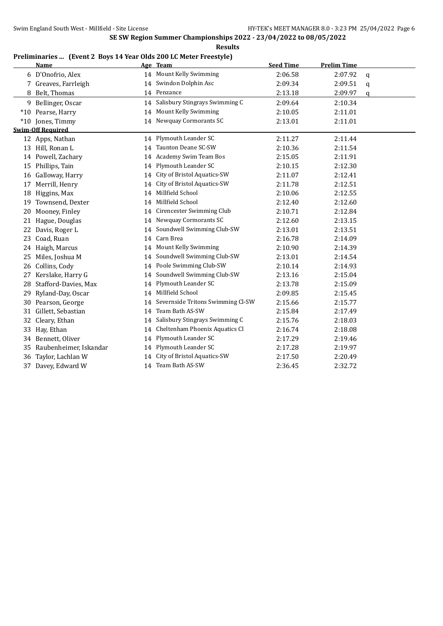#### **Preliminaries ... (Event 2 Boys 14 Year Olds 200 LC Meter Freestyle)**

|    | <b>Name</b>              |    | Age Team                          | <b>Seed Time</b> | <b>Prelim Time</b> |   |
|----|--------------------------|----|-----------------------------------|------------------|--------------------|---|
|    | 6 D'Onofrio, Alex        |    | 14 Mount Kelly Swimming           | 2:06.58          | 2:07.92            | q |
|    | 7 Greaves, Farrleigh     |    | 14 Swindon Dolphin Asc            | 2:09.34          | 2:09.51            | q |
|    | 8 Belt, Thomas           |    | 14 Penzance                       | 2:13.18          | 2:09.97            | q |
|    | 9 Bellinger, Oscar       | 14 | Salisbury Stingrays Swimming C    | 2:09.64          | 2:10.34            |   |
|    | *10 Pearse, Harry        | 14 | Mount Kelly Swimming              | 2:10.05          | 2:11.01            |   |
|    | *10 Jones, Timmy         |    | 14 Newquay Cormorants SC          | 2:13.01          | 2:11.01            |   |
|    | <b>Swim-Off Required</b> |    |                                   |                  |                    |   |
|    | 12 Apps, Nathan          | 14 | Plymouth Leander SC               | 2:11.27          | 2:11.44            |   |
|    | 13 Hill, Ronan L         | 14 | Taunton Deane SC-SW               | 2:10.36          | 2:11.54            |   |
|    | 14 Powell, Zachary       |    | 14 Academy Swim Team Bos          | 2:15.05          | 2:11.91            |   |
|    | 15 Phillips, Tain        | 14 | Plymouth Leander SC               | 2:10.15          | 2:12.30            |   |
| 16 | Galloway, Harry          | 14 | City of Bristol Aquatics-SW       | 2:11.07          | 2:12.41            |   |
| 17 | Merrill, Henry           | 14 | City of Bristol Aquatics-SW       | 2:11.78          | 2:12.51            |   |
| 18 | Higgins, Max             | 14 | Millfield School                  | 2:10.06          | 2:12.55            |   |
| 19 | Townsend, Dexter         | 14 | Millfield School                  | 2:12.40          | 2:12.60            |   |
| 20 | Mooney, Finley           | 14 | Cirencester Swimming Club         | 2:10.71          | 2:12.84            |   |
| 21 | Hague, Douglas           | 14 | Newquay Cormorants SC             | 2:12.60          | 2:13.15            |   |
| 22 | Davis, Roger L           | 14 | Soundwell Swimming Club-SW        | 2:13.01          | 2:13.51            |   |
| 23 | Coad, Ruan               | 14 | Carn Brea                         | 2:16.78          | 2:14.09            |   |
|    | 24 Haigh, Marcus         | 14 | Mount Kelly Swimming              | 2:10.90          | 2:14.39            |   |
| 25 | Miles, Joshua M          | 14 | Soundwell Swimming Club-SW        | 2:13.01          | 2:14.54            |   |
| 26 | Collins, Cody            | 14 | Poole Swimming Club-SW            | 2:10.14          | 2:14.93            |   |
| 27 | Kerslake, Harry G        | 14 | Soundwell Swimming Club-SW        | 2:13.16          | 2:15.04            |   |
| 28 | Stafford-Davies, Max     | 14 | Plymouth Leander SC               | 2:13.78          | 2:15.09            |   |
| 29 | Ryland-Day, Oscar        | 14 | Millfield School                  | 2:09.85          | 2:15.45            |   |
| 30 | Pearson, George          | 14 | Severnside Tritons Swimming Cl-SW | 2:15.66          | 2:15.77            |   |
|    | 31 Gillett, Sebastian    | 14 | Team Bath AS-SW                   | 2:15.84          | 2:17.49            |   |
| 32 | Cleary, Ethan            | 14 | Salisbury Stingrays Swimming C    | 2:15.76          | 2:18.03            |   |
| 33 | Hay, Ethan               | 14 | Cheltenham Phoenix Aquatics Cl    | 2:16.74          | 2:18.08            |   |
|    | 34 Bennett, Oliver       | 14 | Plymouth Leander SC               | 2:17.29          | 2:19.46            |   |
| 35 | Raubenheimer, Iskandar   | 14 | Plymouth Leander SC               | 2:17.28          | 2:19.97            |   |
| 36 | Taylor, Lachlan W        | 14 | City of Bristol Aquatics-SW       | 2:17.50          | 2:20.49            |   |
| 37 | Davey, Edward W          | 14 | Team Bath AS-SW                   | 2:36.45          | 2:32.72            |   |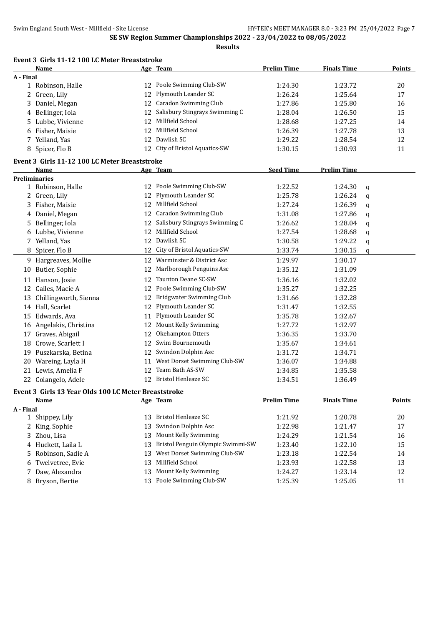|           | Event 3 Girls 11-12 100 LC Meter Breaststroke        |    |                                   |                    |                    |   |               |
|-----------|------------------------------------------------------|----|-----------------------------------|--------------------|--------------------|---|---------------|
|           | Name                                                 |    | Age Team                          | <b>Prelim Time</b> | <b>Finals Time</b> |   | <b>Points</b> |
| A - Final |                                                      |    |                                   |                    |                    |   |               |
|           | 1 Robinson, Halle                                    | 12 | Poole Swimming Club-SW            | 1:24.30            | 1:23.72            |   | 20            |
|           | 2 Green, Lily                                        | 12 | Plymouth Leander SC               | 1:26.24            | 1:25.64            |   | 17            |
| 3         | Daniel, Megan                                        | 12 | <b>Caradon Swimming Club</b>      | 1:27.86            | 1:25.80            |   | 16            |
|           | 4 Bellinger, Iola                                    | 12 | Salisbury Stingrays Swimming C    | 1:28.04            | 1:26.50            |   | 15            |
|           | 5 Lubbe, Vivienne                                    | 12 | Millfield School                  | 1:28.68            | 1:27.25            |   | 14            |
|           | 6 Fisher, Maisie                                     | 12 | Millfield School                  | 1:26.39            | 1:27.78            |   | 13            |
| 7         | Yelland, Yas                                         | 12 | Dawlish SC                        | 1:29.22            | 1:28.54            |   | 12            |
|           | 8 Spicer, Flo B                                      |    | 12 City of Bristol Aquatics-SW    | 1:30.15            | 1:30.93            |   | 11            |
|           | Event 3 Girls 11-12 100 LC Meter Breaststroke        |    |                                   |                    |                    |   |               |
|           | <b>Name</b>                                          |    | Age Team                          | <b>Seed Time</b>   | <b>Prelim Time</b> |   |               |
|           | <b>Preliminaries</b>                                 |    |                                   |                    |                    |   |               |
|           | 1 Robinson, Halle                                    |    | 12 Poole Swimming Club-SW         | 1:22.52            | 1:24.30            | q |               |
|           | 2 Green, Lily                                        | 12 | Plymouth Leander SC               | 1:25.78            | 1:26.24            | q |               |
|           | 3 Fisher, Maisie                                     |    | 12 Millfield School               | 1:27.24            | 1:26.39            | q |               |
|           | 4 Daniel, Megan                                      |    | 12 Caradon Swimming Club          | 1:31.08            | 1:27.86            | q |               |
|           | 5 Bellinger, Iola                                    | 12 | Salisbury Stingrays Swimming C    | 1:26.62            | 1:28.04            | q |               |
|           | 6 Lubbe, Vivienne                                    | 12 | Millfield School                  | 1:27.54            | 1:28.68            | q |               |
|           | 7 Yelland, Yas                                       | 12 | Dawlish SC                        | 1:30.58            | 1:29.22            | q |               |
|           | 8 Spicer, Flo B                                      | 12 | City of Bristol Aquatics-SW       | 1:33.74            | 1:30.15            | q |               |
|           | 9 Hargreaves, Mollie                                 | 12 | Warminster & District Asc         | 1:29.97            | 1:30.17            |   |               |
|           | 10 Butler, Sophie                                    | 12 | Marlborough Penguins Asc          | 1:35.12            | 1:31.09            |   |               |
|           | 11 Hanson, Josie                                     | 12 | Taunton Deane SC-SW               | 1:36.16            | 1:32.02            |   |               |
| 12        | Cailes, Macie A                                      | 12 | Poole Swimming Club-SW            | 1:35.27            | 1:32.25            |   |               |
| 13        | Chillingworth, Sienna                                | 12 | Bridgwater Swimming Club          | 1:31.66            | 1:32.28            |   |               |
|           | 14 Hall, Scarlet                                     | 12 | Plymouth Leander SC               | 1:31.47            | 1:32.55            |   |               |
|           | 15 Edwards, Ava                                      |    | 11 Plymouth Leander SC            | 1:35.78            | 1:32.67            |   |               |
|           | 16 Angelakis, Christina                              | 12 | Mount Kelly Swimming              | 1:27.72            | 1:32.97            |   |               |
| 17        | Graves, Abigail                                      | 12 | Okehampton Otters                 | 1:36.35            | 1:33.70            |   |               |
|           | 18 Crowe, Scarlett I                                 | 12 | Swim Bournemouth                  | 1:35.67            | 1:34.61            |   |               |
|           | 19 Puszkarska, Betina                                |    | 12 Swindon Dolphin Asc            | 1:31.72            | 1:34.71            |   |               |
|           | 20 Wareing, Layla H                                  | 11 | West Dorset Swimming Club-SW      | 1:36.07            | 1:34.88            |   |               |
| 21        | Lewis, Amelia F                                      | 12 | Team Bath AS-SW                   | 1:34.85            | 1:35.58            |   |               |
|           | 22 Colangelo, Adele                                  | 12 | <b>Bristol Henleaze SC</b>        | 1:34.51            | 1:36.49            |   |               |
|           | Event 3 Girls 13 Year Olds 100 LC Meter Breaststroke |    |                                   |                    |                    |   |               |
|           | Name                                                 |    | Age Team                          | <b>Prelim Time</b> | <b>Finals Time</b> |   | <b>Points</b> |
| A - Final |                                                      |    |                                   |                    |                    |   |               |
|           | 1 Shippey, Lily                                      | 13 | Bristol Henleaze SC               | 1:21.92            | 1:20.78            |   | 20            |
|           | 2 King, Sophie                                       | 13 | Swindon Dolphin Asc               | 1:22.98            | 1:21.47            |   | 17            |
| 3         | Zhou, Lisa                                           | 13 | Mount Kelly Swimming              | 1:24.29            | 1:21.54            |   | 16            |
|           | 4 Huckett, Laila L                                   | 13 | Bristol Penguin Olympic Swimmi-SW | 1:23.40            | 1:22.10            |   | 15            |
| 5.        | Robinson, Sadie A                                    | 13 | West Dorset Swimming Club-SW      | 1:23.18            | 1:22.54            |   | 14            |
| 6         | Twelvetree, Evie                                     | 13 | Millfield School                  | 1:23.93            | 1:22.58            |   | 13            |
| 7         | Daw, Alexandra                                       | 13 | Mount Kelly Swimming              | 1:24.27            | 1:23.14            |   | 12            |
|           | 8 Bryson, Bertie                                     | 13 | Poole Swimming Club-SW            | 1:25.39            | 1:25.05            |   | 11            |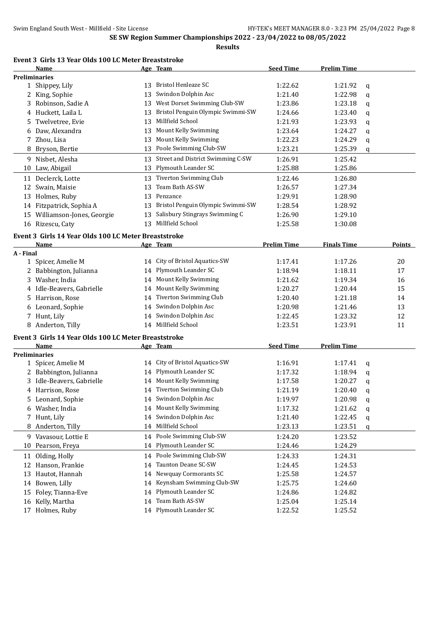#### **Event 3 Girls 13 Year Olds 100 LC Meter Breaststroke**

|           | Name                                                 |    | Age Team                          | <b>Seed Time</b>   | <b>Prelim Time</b> |   |          |
|-----------|------------------------------------------------------|----|-----------------------------------|--------------------|--------------------|---|----------|
|           | <b>Preliminaries</b>                                 |    |                                   |                    |                    |   |          |
|           | 1 Shippey, Lily                                      |    | 13 Bristol Henleaze SC            | 1:22.62            | 1:21.92            | q |          |
|           | 2 King, Sophie                                       | 13 | Swindon Dolphin Asc               | 1:21.40            | 1:22.98            | q |          |
|           | 3 Robinson, Sadie A                                  | 13 | West Dorset Swimming Club-SW      | 1:23.86            | 1:23.18            | q |          |
|           | 4 Huckett, Laila L                                   | 13 | Bristol Penguin Olympic Swimmi-SW | 1:24.66            | 1:23.40            | q |          |
| 5         | Twelvetree, Evie                                     | 13 | Millfield School                  | 1:21.93            | 1:23.93            | q |          |
| 6         | Daw, Alexandra                                       | 13 | Mount Kelly Swimming              | 1:23.64            | 1:24.27            | q |          |
| 7         | Zhou, Lisa                                           | 13 | Mount Kelly Swimming              | 1:22.23            | 1:24.29            | q |          |
| 8         | Bryson, Bertie                                       | 13 | Poole Swimming Club-SW            | 1:23.21            | 1:25.39            | q |          |
|           | 9 Nisbet, Alesha                                     | 13 | Street and District Swimming C-SW | 1:26.91            | 1:25.42            |   |          |
|           | 10 Law, Abigail                                      | 13 | Plymouth Leander SC               | 1:25.88            | 1:25.86            |   |          |
|           | 11 Declerck, Lotte                                   | 13 | Tiverton Swimming Club            | 1:22.46            | 1:26.80            |   |          |
|           | 12 Swain, Maisie                                     | 13 | Team Bath AS-SW                   | 1:26.57            | 1:27.34            |   |          |
|           | 13 Holmes, Ruby                                      | 13 | Penzance                          | 1:29.91            | 1:28.90            |   |          |
|           | 14 Fitzpatrick, Sophia A                             | 13 | Bristol Penguin Olympic Swimmi-SW | 1:28.54            | 1:28.92            |   |          |
|           | 15 Williamson-Jones, Georgie                         | 13 | Salisbury Stingrays Swimming C    | 1:26.90            | 1:29.10            |   |          |
|           | 16 Rizescu, Caty                                     |    | 13 Millfield School               | 1:25.58            | 1:30.08            |   |          |
|           |                                                      |    |                                   |                    |                    |   |          |
|           | Event 3 Girls 14 Year Olds 100 LC Meter Breaststroke |    |                                   |                    |                    |   |          |
|           | <b>Name</b>                                          |    | <u>Age Team</u>                   | <b>Prelim Time</b> | <b>Finals Time</b> |   | Points   |
| A - Final |                                                      |    | 14 City of Bristol Aquatics-SW    | 1:17.41            | 1:17.26            |   | 20       |
|           | 1 Spicer, Amelie M<br>2 Babbington, Julianna         |    | 14 Plymouth Leander SC            | 1:18.94            | 1:18.11            |   | 17       |
|           |                                                      |    | 14 Mount Kelly Swimming           | 1:21.62            |                    |   |          |
|           | 3 Washer, India<br>4 Idle-Beavers, Gabrielle         |    | 14 Mount Kelly Swimming           | 1:20.27            | 1:19.34            |   | 16<br>15 |
|           |                                                      |    | Tiverton Swimming Club            |                    | 1:20.44            |   |          |
|           | 5 Harrison, Rose                                     | 14 | Swindon Dolphin Asc               | 1:20.40            | 1:21.18            |   | 14       |
| 6         | Leonard, Sophie                                      | 14 |                                   | 1:20.98            | 1:21.46            |   | 13       |
|           | 7 Hunt, Lily                                         |    | 14 Swindon Dolphin Asc            | 1:22.45            | 1:23.32            |   | 12       |
|           | 8 Anderton, Tilly                                    |    | 14 Millfield School               | 1:23.51            | 1:23.91            |   | 11       |
|           | Event 3 Girls 14 Year Olds 100 LC Meter Breaststroke |    |                                   |                    |                    |   |          |
|           | Name                                                 |    | Age Team                          | <b>Seed Time</b>   | <b>Prelim Time</b> |   |          |
|           | <b>Preliminaries</b>                                 |    |                                   |                    |                    |   |          |
|           | 1 Spicer, Amelie M                                   |    | 14 City of Bristol Aquatics-SW    | 1:16.91            | 1:17.41            | q |          |
|           | 2 Babbington, Julianna                               |    | 14 Plymouth Leander SC            | 1:17.32            | 1:18.94            | q |          |
|           | 3 Idle-Beavers, Gabrielle                            |    | 14 Mount Kelly Swimming           | 1:17.58            | 1:20.27            | q |          |
|           | 4 Harrison, Rose                                     |    | 14 Tiverton Swimming Club         | 1:21.19            | 1:20.40            | q |          |
|           | 5 Leonard, Sophie                                    |    | 14 Swindon Dolphin Asc            | 1:19.97            | 1:20.98            | q |          |
|           | 6 Washer, India                                      |    | 14 Mount Kelly Swimming           | 1:17.32            | 1:21.62            | q |          |
| 7         | Hunt, Lily                                           | 14 | Swindon Dolphin Asc               | 1:21.40            | 1:22.45            | q |          |
| 8         | Anderton, Tilly                                      | 14 | Millfield School                  | 1:23.13            | 1:23.51            | q |          |
|           | 9 Vavasour, Lottie E                                 |    | 14 Poole Swimming Club-SW         | 1:24.20            | 1:23.52            |   |          |
| 10        | Pearson, Freya                                       | 14 | Plymouth Leander SC               | 1:24.46            | 1:24.29            |   |          |
| 11        | Olding, Holly                                        | 14 | Poole Swimming Club-SW            | 1:24.33            | 1:24.31            |   |          |
|           | 12 Hanson, Frankie                                   | 14 | Taunton Deane SC-SW               | 1:24.45            | 1:24.53            |   |          |
| 13        | Hautot, Hannah                                       | 14 | Newquay Cormorants SC             | 1:25.58            | 1:24.57            |   |          |
| 14        | Bowen, Lilly                                         | 14 | Keynsham Swimming Club-SW         | 1:25.75            | 1:24.60            |   |          |
| 15        | Foley, Tianna-Eve                                    | 14 | Plymouth Leander SC               | 1:24.86            | 1:24.82            |   |          |
| 16        | Kelly, Martha                                        | 14 | Team Bath AS-SW                   | 1:25.04            | 1:25.14            |   |          |
| 17        | Holmes, Ruby                                         |    | 14 Plymouth Leander SC            | 1:22.52            | 1:25.52            |   |          |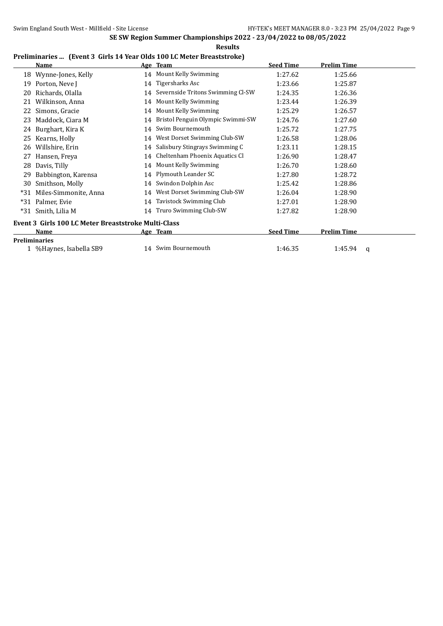**Results**

#### **Preliminaries ... (Event 3 Girls 14 Year Olds 100 LC Meter Breaststroke)**

|     | <b>Name</b>                                         |    | Age Team                             | <b>Seed Time</b> | Prelim Time        |  |  |
|-----|-----------------------------------------------------|----|--------------------------------------|------------------|--------------------|--|--|
| 18  | Wynne-Jones, Kelly                                  |    | 14 Mount Kelly Swimming              | 1:27.62          | 1:25.66            |  |  |
| 19  | Porton, Neve J                                      |    | 14 Tigersharks Asc                   | 1:23.66          | 1:25.87            |  |  |
| 20  | Richards, Olalla                                    |    | 14 Severnside Tritons Swimming Cl-SW | 1:24.35          | 1:26.36            |  |  |
| 21  | Wilkinson, Anna                                     | 14 | Mount Kelly Swimming                 | 1:23.44          | 1:26.39            |  |  |
| 22  | Simons, Gracie                                      | 14 | Mount Kelly Swimming                 | 1:25.29          | 1:26.57            |  |  |
| 23  | Maddock, Ciara M                                    | 14 | Bristol Penguin Olympic Swimmi-SW    | 1:24.76          | 1:27.60            |  |  |
| 24  | Burghart, Kira K                                    | 14 | Swim Bournemouth                     | 1:25.72          | 1:27.75            |  |  |
| 25  | Kearns, Holly                                       | 14 | West Dorset Swimming Club-SW         | 1:26.58          | 1:28.06            |  |  |
| 26  | Willshire, Erin                                     | 14 | Salisbury Stingrays Swimming C       | 1:23.11          | 1:28.15            |  |  |
| 27  | Hansen, Freya                                       | 14 | Cheltenham Phoenix Aquatics Cl       | 1:26.90          | 1:28.47            |  |  |
| 28  | Davis, Tilly                                        | 14 | Mount Kelly Swimming                 | 1:26.70          | 1:28.60            |  |  |
| 29  | Babbington, Karensa                                 |    | 14 Plymouth Leander SC               | 1:27.80          | 1:28.72            |  |  |
| 30  | Smithson, Molly                                     | 14 | Swindon Dolphin Asc                  | 1:25.42          | 1:28.86            |  |  |
| *31 | Miles-Simmonite, Anna                               | 14 | West Dorset Swimming Club-SW         | 1:26.04          | 1:28.90            |  |  |
| *31 | Palmer, Evie                                        | 14 | <b>Tavistock Swimming Club</b>       | 1:27.01          | 1:28.90            |  |  |
| *31 | Smith, Lilia M                                      | 14 | Truro Swimming Club-SW               | 1:27.82          | 1:28.90            |  |  |
|     | Event 3 Girls 100 LC Meter Breaststroke Multi-Class |    |                                      |                  |                    |  |  |
|     | Name                                                |    | Age Team                             | <b>Seed Time</b> | <b>Prelim Time</b> |  |  |
|     | <b>Preliminaries</b>                                |    |                                      |                  |                    |  |  |
|     | 1 % Haynes, Isabella SB9                            |    | 14 Swim Bournemouth                  | 1:46.35          | 1:45.94<br>a       |  |  |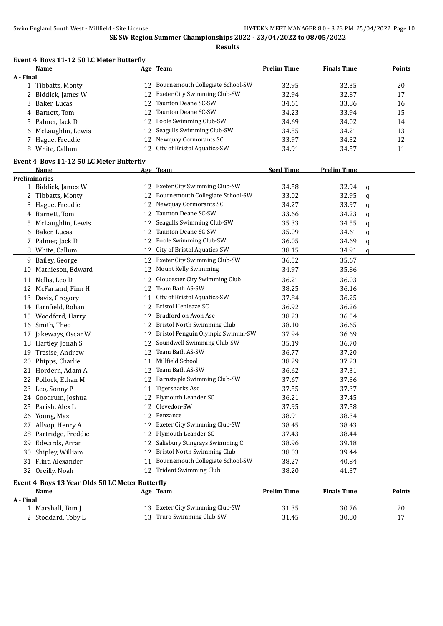|           | Event 4 Boys 11-12 50 LC Meter Butterfly        |    |                                      |                    |                    |   |               |
|-----------|-------------------------------------------------|----|--------------------------------------|--------------------|--------------------|---|---------------|
|           | <u>Name</u>                                     |    | Age Team                             | <b>Prelim Time</b> | <b>Finals Time</b> |   | <b>Points</b> |
| A - Final | 1 Tibbatts, Monty                               | 12 | Bournemouth Collegiate School-SW     | 32.95              | 32.35              |   | 20            |
|           | 2 Biddick, James W                              | 12 | Exeter City Swimming Club-SW         | 32.94              | 32.87              |   | 17            |
| 3         | Baker, Lucas                                    | 12 | Taunton Deane SC-SW                  | 34.61              | 33.86              |   | 16            |
| 4         | Barnett, Tom                                    | 12 | Taunton Deane SC-SW                  | 34.23              | 33.94              |   | 15            |
|           | 5 Palmer, Jack D                                | 12 | Poole Swimming Club-SW               | 34.69              | 34.02              |   | 14            |
| 6         | McLaughlin, Lewis                               | 12 | Seagulls Swimming Club-SW            | 34.55              | 34.21              |   | 13            |
|           | 7 Hague, Freddie                                | 12 | Newquay Cormorants SC                | 33.97              | 34.32              |   | 12            |
|           | 8 White, Callum                                 | 12 | City of Bristol Aquatics-SW          | 34.91              | 34.57              |   | 11            |
|           |                                                 |    |                                      |                    |                    |   |               |
|           | Event 4 Boys 11-12 50 LC Meter Butterfly        |    |                                      |                    |                    |   |               |
|           | Name                                            |    | Age Team                             | <b>Seed Time</b>   | <b>Prelim Time</b> |   |               |
|           | <b>Preliminaries</b>                            |    | 12 Exeter City Swimming Club-SW      | 34.58              | 32.94              |   |               |
|           | 1 Biddick, James W                              |    | 12 Bournemouth Collegiate School-SW  | 33.02              | 32.95              | q |               |
|           | 2 Tibbatts, Monty                               |    | 12 Newquay Cormorants SC             |                    | 33.97              | q |               |
|           | 3 Hague, Freddie<br>Barnett, Tom                | 12 | Taunton Deane SC-SW                  | 34.27<br>33.66     | 34.23              | q |               |
| 4         |                                                 |    | Seagulls Swimming Club-SW            |                    |                    | q |               |
| 5         | McLaughlin, Lewis                               | 12 | Taunton Deane SC-SW                  | 35.33              | 34.55              | q |               |
| 6         | Baker, Lucas                                    | 12 | Poole Swimming Club-SW               | 35.09              | 34.61              | q |               |
|           | 7 Palmer, Jack D                                | 12 |                                      | 36.05              | 34.69              | q |               |
|           | 8 White, Callum                                 | 12 | City of Bristol Aquatics-SW          | 38.15              | 34.91              | q |               |
|           | 9 Bailey, George                                | 12 | Exeter City Swimming Club-SW         | 36.52              | 35.67              |   |               |
|           | 10 Mathieson, Edward                            | 12 | Mount Kelly Swimming                 | 34.97              | 35.86              |   |               |
|           | 11 Nellis, Leo D                                | 12 | Gloucester City Swimming Club        | 36.21              | 36.03              |   |               |
| 12        | McFarland, Finn H                               | 12 | Team Bath AS-SW                      | 38.25              | 36.16              |   |               |
|           | 13 Davis, Gregory                               | 11 | City of Bristol Aquatics-SW          | 37.84              | 36.25              |   |               |
|           | 14 Farnfield, Rohan                             | 12 | <b>Bristol Henleaze SC</b>           | 36.92              | 36.26              |   |               |
|           | 15 Woodford, Harry                              | 12 | Bradford on Avon Asc                 | 38.23              | 36.54              |   |               |
|           | 16 Smith, Theo                                  | 12 | Bristol North Swimming Club          | 38.10              | 36.65              |   |               |
| 17        | Jakeways, Oscar W                               |    | 12 Bristol Penguin Olympic Swimmi-SW | 37.94              | 36.69              |   |               |
|           | 18 Hartley, Jonah S                             | 12 | Soundwell Swimming Club-SW           | 35.19              | 36.70              |   |               |
| 19        | Tresise, Andrew                                 | 12 | Team Bath AS-SW                      | 36.77              | 37.20              |   |               |
| 20        | Phipps, Charlie                                 | 11 | Millfield School                     | 38.29              | 37.23              |   |               |
| 21        | Hordern, Adam A                                 | 12 | Team Bath AS-SW                      | 36.62              | 37.31              |   |               |
|           | 22 Pollock, Ethan M                             | 12 | Barnstaple Swimming Club-SW          | 37.67              | 37.36              |   |               |
|           | 23 Leo, Sonny P                                 |    | 11 Tigersharks Asc                   | 37.55              | 37.37              |   |               |
|           | 24 Goodrum, Joshua                              |    | 12 Plymouth Leander SC               | 36.21              | 37.45              |   |               |
|           | 25 Parish, Alex L                               | 12 | Clevedon-SW                          | 37.95              | 37.58              |   |               |
|           | 26 Young, Max                                   | 12 | Penzance                             | 38.91              | 38.34              |   |               |
|           | 27 Allsop, Henry A                              | 12 | Exeter City Swimming Club-SW         | 38.45              | 38.43              |   |               |
|           | 28 Partridge, Freddie                           | 12 | Plymouth Leander SC                  | 37.43              | 38.44              |   |               |
| 29        | Edwards, Arran                                  | 12 | Salisbury Stingrays Swimming C       | 38.96              | 39.18              |   |               |
| 30        | Shipley, William                                | 12 | Bristol North Swimming Club          | 38.03              | 39.44              |   |               |
|           | 31 Flint, Alexander                             | 11 | Bournemouth Collegiate School-SW     | 38.27              | 40.84              |   |               |
|           | 32 Oreilly, Noah                                |    | 12 Trident Swimming Club             | 38.20              | 41.37              |   |               |
|           | Event 4 Boys 13 Year Olds 50 LC Meter Butterfly |    |                                      |                    |                    |   |               |
|           | Name                                            |    | Age Team                             | <b>Prelim Time</b> | <b>Finals Time</b> |   | <b>Points</b> |
| A - Final |                                                 |    |                                      |                    |                    |   |               |
|           | 1 Marshall, Tom J                               |    | 13 Exeter City Swimming Club-SW      | 31.35              | 30.76              |   | 20            |
|           | 2 Stoddard, Toby L                              |    | 13 Truro Swimming Club-SW            | 31.45              | 30.80              |   | 17            |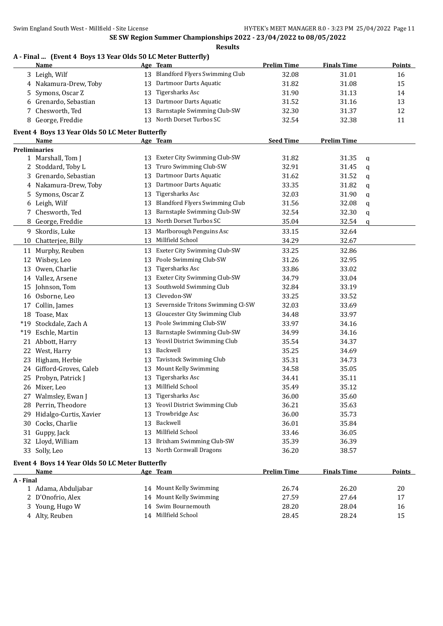# **A - Final ... (Event 4 Boys 13 Year Olds 50 LC Meter Butterfly)**

| 13 Blandford Flyers Swimming Club<br>3 Leigh, Wilf<br>32.08<br>31.01<br>16<br>13 Dartmoor Darts Aquatic<br>4 Nakamura-Drew, Toby<br>31.82<br>31.08<br>15<br>Tigersharks Asc<br>Symons, Oscar Z<br>31.90<br>13<br>31.13<br>14<br>5.<br>Dartmoor Darts Aquatic<br>Grenardo, Sebastian<br>31.52<br>31.16<br>13<br>13<br>6<br>13 Barnstaple Swimming Club-SW<br>Chesworth, Ted<br>32.30<br>31.37<br>7<br>12<br>13 North Dorset Turbos SC<br>George, Freddie<br>32.54<br>32.38<br>11<br>8<br>Event 4 Boys 13 Year Olds 50 LC Meter Butterfly<br><b>Seed Time</b><br><b>Prelim Time</b><br>Age Team<br>Name<br><b>Preliminaries</b><br>13 Exeter City Swimming Club-SW<br>31.82<br>31.35<br>1 Marshall, Tom J<br>q<br>Truro Swimming Club-SW<br>32.91<br>2 Stoddard, Toby L<br>13<br>31.45<br>q<br>Dartmoor Darts Aquatic<br>Grenardo, Sebastian<br>31.62<br>31.52<br>3<br>13<br>q<br>Dartmoor Darts Aquatic<br>4 Nakamura-Drew, Toby<br>33.35<br>31.82<br>13<br>q<br>Tigersharks Asc<br>32.03<br>31.90<br>Symons, Oscar Z<br>13<br>5<br>q<br><b>Blandford Flyers Swimming Club</b><br>31.56<br>32.08<br>6 Leigh, Wilf<br>13<br>q<br><b>Barnstaple Swimming Club-SW</b><br>7 Chesworth, Ted<br>32.54<br>32.30<br>13<br>q<br>North Dorset Turbos SC<br>35.04<br>8 George, Freddie<br>13<br>32.54<br>q<br>Marlborough Penguins Asc<br>33.15<br>9 Skordis, Luke<br>32.64<br>13<br>Millfield School<br>34.29<br>13<br>32.67<br>10 Chatterjee, Billy<br>Exeter City Swimming Club-SW<br>33.25<br>32.86<br>11 Murphy, Reuben<br>13<br>Poole Swimming Club-SW<br>Wisbey, Leo<br>31.26<br>32.95<br>12<br>13<br>Tigersharks Asc<br>Owen, Charlie<br>33.86<br>33.02<br>13<br>13<br>Exeter City Swimming Club-SW<br>14 Vallez, Arsene<br>33.04<br>34.79<br>13<br>Southwold Swimming Club<br>15 Johnson, Tom<br>33.19<br>13<br>32.84<br>Clevedon-SW<br>33.52<br>Osborne, Leo<br>33.25<br>13<br>16<br>Severnside Tritons Swimming Cl-SW<br>Collin, James<br>32.03<br>33.69<br>13<br>17<br>18 Toase, Max<br>Gloucester City Swimming Club<br>33.97<br>34.48<br>13<br>Poole Swimming Club-SW<br>*19 Stockdale, Zach A<br>33.97<br>34.16<br>13<br>Barnstaple Swimming Club-SW<br>34.16<br>*19 Eschle, Martin<br>34.99<br>13<br>13 Yeovil District Swimming Club<br>21 Abbott, Harry<br>35.54<br>34.37<br>13 Backwell<br>22 West, Harry<br>35.25<br>34.69<br>13 Tavistock Swimming Club<br>23 Higham, Herbie<br>35.31<br>34.73<br>Mount Kelly Swimming<br>24 Gifford-Groves, Caleb<br>35.05<br>13<br>34.58<br><b>Tigersharks Asc</b><br>25 Probyn, Patrick J<br>35.11<br>13<br>34.41<br>13 Millfield School<br>35.49<br>35.12<br>26 Mixer, Leo<br>27 Walmsley, Ewan J<br>13 Tigersharks Asc<br>36.00<br>35.60<br>13 Yeovil District Swimming Club<br>Perrin, Theodore<br>36.21<br>35.63<br>28.<br>Trowbridge Asc<br>Hidalgo-Curtis, Xavier<br>36.00<br>35.73<br>29.<br>13<br>Backwell<br>Cocks, Charlie<br>36.01<br>35.84<br>13<br>30<br>Millfield School<br>Guppy, Jack<br>33.46<br>36.05<br>13<br>31<br>Brixham Swimming Club-SW<br>Lloyd, William<br>35.39<br>36.39<br>32<br>13<br>33 Solly, Leo<br>13 North Cornwall Dragons<br>38.57<br>36.20<br>Event 4 Boys 14 Year Olds 50 LC Meter Butterfly<br><b>Prelim Time</b><br>Age Team<br><b>Finals Time</b><br><b>Points</b><br>Name<br>A - Final<br>14 Mount Kelly Swimming<br>1 Adama, Abduljabar<br>26.74<br>26.20<br>20<br>Mount Kelly Swimming<br>D'Onofrio, Alex<br>27.59<br>27.64<br>17<br>2<br>14<br>Swim Bournemouth<br>3 Young, Hugo W<br>28.20<br>28.04<br>16<br>14 | $\mu$ and $\mu$ boys to real only so be meter battering<br>Name | Age Team            | <b>Prelim Time</b> | <b>Finals Time</b> | <b>Points</b> |
|-----------------------------------------------------------------------------------------------------------------------------------------------------------------------------------------------------------------------------------------------------------------------------------------------------------------------------------------------------------------------------------------------------------------------------------------------------------------------------------------------------------------------------------------------------------------------------------------------------------------------------------------------------------------------------------------------------------------------------------------------------------------------------------------------------------------------------------------------------------------------------------------------------------------------------------------------------------------------------------------------------------------------------------------------------------------------------------------------------------------------------------------------------------------------------------------------------------------------------------------------------------------------------------------------------------------------------------------------------------------------------------------------------------------------------------------------------------------------------------------------------------------------------------------------------------------------------------------------------------------------------------------------------------------------------------------------------------------------------------------------------------------------------------------------------------------------------------------------------------------------------------------------------------------------------------------------------------------------------------------------------------------------------------------------------------------------------------------------------------------------------------------------------------------------------------------------------------------------------------------------------------------------------------------------------------------------------------------------------------------------------------------------------------------------------------------------------------------------------------------------------------------------------------------------------------------------------------------------------------------------------------------------------------------------------------------------------------------------------------------------------------------------------------------------------------------------------------------------------------------------------------------------------------------------------------------------------------------------------------------------------------------------------------------------------------------------------------------------------------------------------------------------------------------------------------------------------------------------------------------------------------------------------------------------------------------------------------------------------------------------------------------------------------------------------------------------------------------------------------------------------------|-----------------------------------------------------------------|---------------------|--------------------|--------------------|---------------|
|                                                                                                                                                                                                                                                                                                                                                                                                                                                                                                                                                                                                                                                                                                                                                                                                                                                                                                                                                                                                                                                                                                                                                                                                                                                                                                                                                                                                                                                                                                                                                                                                                                                                                                                                                                                                                                                                                                                                                                                                                                                                                                                                                                                                                                                                                                                                                                                                                                                                                                                                                                                                                                                                                                                                                                                                                                                                                                                                                                                                                                                                                                                                                                                                                                                                                                                                                                                                                                                                                                           |                                                                 |                     |                    |                    |               |
|                                                                                                                                                                                                                                                                                                                                                                                                                                                                                                                                                                                                                                                                                                                                                                                                                                                                                                                                                                                                                                                                                                                                                                                                                                                                                                                                                                                                                                                                                                                                                                                                                                                                                                                                                                                                                                                                                                                                                                                                                                                                                                                                                                                                                                                                                                                                                                                                                                                                                                                                                                                                                                                                                                                                                                                                                                                                                                                                                                                                                                                                                                                                                                                                                                                                                                                                                                                                                                                                                                           |                                                                 |                     |                    |                    |               |
|                                                                                                                                                                                                                                                                                                                                                                                                                                                                                                                                                                                                                                                                                                                                                                                                                                                                                                                                                                                                                                                                                                                                                                                                                                                                                                                                                                                                                                                                                                                                                                                                                                                                                                                                                                                                                                                                                                                                                                                                                                                                                                                                                                                                                                                                                                                                                                                                                                                                                                                                                                                                                                                                                                                                                                                                                                                                                                                                                                                                                                                                                                                                                                                                                                                                                                                                                                                                                                                                                                           |                                                                 |                     |                    |                    |               |
|                                                                                                                                                                                                                                                                                                                                                                                                                                                                                                                                                                                                                                                                                                                                                                                                                                                                                                                                                                                                                                                                                                                                                                                                                                                                                                                                                                                                                                                                                                                                                                                                                                                                                                                                                                                                                                                                                                                                                                                                                                                                                                                                                                                                                                                                                                                                                                                                                                                                                                                                                                                                                                                                                                                                                                                                                                                                                                                                                                                                                                                                                                                                                                                                                                                                                                                                                                                                                                                                                                           |                                                                 |                     |                    |                    |               |
|                                                                                                                                                                                                                                                                                                                                                                                                                                                                                                                                                                                                                                                                                                                                                                                                                                                                                                                                                                                                                                                                                                                                                                                                                                                                                                                                                                                                                                                                                                                                                                                                                                                                                                                                                                                                                                                                                                                                                                                                                                                                                                                                                                                                                                                                                                                                                                                                                                                                                                                                                                                                                                                                                                                                                                                                                                                                                                                                                                                                                                                                                                                                                                                                                                                                                                                                                                                                                                                                                                           |                                                                 |                     |                    |                    |               |
|                                                                                                                                                                                                                                                                                                                                                                                                                                                                                                                                                                                                                                                                                                                                                                                                                                                                                                                                                                                                                                                                                                                                                                                                                                                                                                                                                                                                                                                                                                                                                                                                                                                                                                                                                                                                                                                                                                                                                                                                                                                                                                                                                                                                                                                                                                                                                                                                                                                                                                                                                                                                                                                                                                                                                                                                                                                                                                                                                                                                                                                                                                                                                                                                                                                                                                                                                                                                                                                                                                           |                                                                 |                     |                    |                    |               |
|                                                                                                                                                                                                                                                                                                                                                                                                                                                                                                                                                                                                                                                                                                                                                                                                                                                                                                                                                                                                                                                                                                                                                                                                                                                                                                                                                                                                                                                                                                                                                                                                                                                                                                                                                                                                                                                                                                                                                                                                                                                                                                                                                                                                                                                                                                                                                                                                                                                                                                                                                                                                                                                                                                                                                                                                                                                                                                                                                                                                                                                                                                                                                                                                                                                                                                                                                                                                                                                                                                           |                                                                 |                     |                    |                    |               |
|                                                                                                                                                                                                                                                                                                                                                                                                                                                                                                                                                                                                                                                                                                                                                                                                                                                                                                                                                                                                                                                                                                                                                                                                                                                                                                                                                                                                                                                                                                                                                                                                                                                                                                                                                                                                                                                                                                                                                                                                                                                                                                                                                                                                                                                                                                                                                                                                                                                                                                                                                                                                                                                                                                                                                                                                                                                                                                                                                                                                                                                                                                                                                                                                                                                                                                                                                                                                                                                                                                           |                                                                 |                     |                    |                    |               |
|                                                                                                                                                                                                                                                                                                                                                                                                                                                                                                                                                                                                                                                                                                                                                                                                                                                                                                                                                                                                                                                                                                                                                                                                                                                                                                                                                                                                                                                                                                                                                                                                                                                                                                                                                                                                                                                                                                                                                                                                                                                                                                                                                                                                                                                                                                                                                                                                                                                                                                                                                                                                                                                                                                                                                                                                                                                                                                                                                                                                                                                                                                                                                                                                                                                                                                                                                                                                                                                                                                           |                                                                 |                     |                    |                    |               |
|                                                                                                                                                                                                                                                                                                                                                                                                                                                                                                                                                                                                                                                                                                                                                                                                                                                                                                                                                                                                                                                                                                                                                                                                                                                                                                                                                                                                                                                                                                                                                                                                                                                                                                                                                                                                                                                                                                                                                                                                                                                                                                                                                                                                                                                                                                                                                                                                                                                                                                                                                                                                                                                                                                                                                                                                                                                                                                                                                                                                                                                                                                                                                                                                                                                                                                                                                                                                                                                                                                           |                                                                 |                     |                    |                    |               |
|                                                                                                                                                                                                                                                                                                                                                                                                                                                                                                                                                                                                                                                                                                                                                                                                                                                                                                                                                                                                                                                                                                                                                                                                                                                                                                                                                                                                                                                                                                                                                                                                                                                                                                                                                                                                                                                                                                                                                                                                                                                                                                                                                                                                                                                                                                                                                                                                                                                                                                                                                                                                                                                                                                                                                                                                                                                                                                                                                                                                                                                                                                                                                                                                                                                                                                                                                                                                                                                                                                           |                                                                 |                     |                    |                    |               |
|                                                                                                                                                                                                                                                                                                                                                                                                                                                                                                                                                                                                                                                                                                                                                                                                                                                                                                                                                                                                                                                                                                                                                                                                                                                                                                                                                                                                                                                                                                                                                                                                                                                                                                                                                                                                                                                                                                                                                                                                                                                                                                                                                                                                                                                                                                                                                                                                                                                                                                                                                                                                                                                                                                                                                                                                                                                                                                                                                                                                                                                                                                                                                                                                                                                                                                                                                                                                                                                                                                           |                                                                 |                     |                    |                    |               |
|                                                                                                                                                                                                                                                                                                                                                                                                                                                                                                                                                                                                                                                                                                                                                                                                                                                                                                                                                                                                                                                                                                                                                                                                                                                                                                                                                                                                                                                                                                                                                                                                                                                                                                                                                                                                                                                                                                                                                                                                                                                                                                                                                                                                                                                                                                                                                                                                                                                                                                                                                                                                                                                                                                                                                                                                                                                                                                                                                                                                                                                                                                                                                                                                                                                                                                                                                                                                                                                                                                           |                                                                 |                     |                    |                    |               |
|                                                                                                                                                                                                                                                                                                                                                                                                                                                                                                                                                                                                                                                                                                                                                                                                                                                                                                                                                                                                                                                                                                                                                                                                                                                                                                                                                                                                                                                                                                                                                                                                                                                                                                                                                                                                                                                                                                                                                                                                                                                                                                                                                                                                                                                                                                                                                                                                                                                                                                                                                                                                                                                                                                                                                                                                                                                                                                                                                                                                                                                                                                                                                                                                                                                                                                                                                                                                                                                                                                           |                                                                 |                     |                    |                    |               |
|                                                                                                                                                                                                                                                                                                                                                                                                                                                                                                                                                                                                                                                                                                                                                                                                                                                                                                                                                                                                                                                                                                                                                                                                                                                                                                                                                                                                                                                                                                                                                                                                                                                                                                                                                                                                                                                                                                                                                                                                                                                                                                                                                                                                                                                                                                                                                                                                                                                                                                                                                                                                                                                                                                                                                                                                                                                                                                                                                                                                                                                                                                                                                                                                                                                                                                                                                                                                                                                                                                           |                                                                 |                     |                    |                    |               |
|                                                                                                                                                                                                                                                                                                                                                                                                                                                                                                                                                                                                                                                                                                                                                                                                                                                                                                                                                                                                                                                                                                                                                                                                                                                                                                                                                                                                                                                                                                                                                                                                                                                                                                                                                                                                                                                                                                                                                                                                                                                                                                                                                                                                                                                                                                                                                                                                                                                                                                                                                                                                                                                                                                                                                                                                                                                                                                                                                                                                                                                                                                                                                                                                                                                                                                                                                                                                                                                                                                           |                                                                 |                     |                    |                    |               |
|                                                                                                                                                                                                                                                                                                                                                                                                                                                                                                                                                                                                                                                                                                                                                                                                                                                                                                                                                                                                                                                                                                                                                                                                                                                                                                                                                                                                                                                                                                                                                                                                                                                                                                                                                                                                                                                                                                                                                                                                                                                                                                                                                                                                                                                                                                                                                                                                                                                                                                                                                                                                                                                                                                                                                                                                                                                                                                                                                                                                                                                                                                                                                                                                                                                                                                                                                                                                                                                                                                           |                                                                 |                     |                    |                    |               |
|                                                                                                                                                                                                                                                                                                                                                                                                                                                                                                                                                                                                                                                                                                                                                                                                                                                                                                                                                                                                                                                                                                                                                                                                                                                                                                                                                                                                                                                                                                                                                                                                                                                                                                                                                                                                                                                                                                                                                                                                                                                                                                                                                                                                                                                                                                                                                                                                                                                                                                                                                                                                                                                                                                                                                                                                                                                                                                                                                                                                                                                                                                                                                                                                                                                                                                                                                                                                                                                                                                           |                                                                 |                     |                    |                    |               |
|                                                                                                                                                                                                                                                                                                                                                                                                                                                                                                                                                                                                                                                                                                                                                                                                                                                                                                                                                                                                                                                                                                                                                                                                                                                                                                                                                                                                                                                                                                                                                                                                                                                                                                                                                                                                                                                                                                                                                                                                                                                                                                                                                                                                                                                                                                                                                                                                                                                                                                                                                                                                                                                                                                                                                                                                                                                                                                                                                                                                                                                                                                                                                                                                                                                                                                                                                                                                                                                                                                           |                                                                 |                     |                    |                    |               |
|                                                                                                                                                                                                                                                                                                                                                                                                                                                                                                                                                                                                                                                                                                                                                                                                                                                                                                                                                                                                                                                                                                                                                                                                                                                                                                                                                                                                                                                                                                                                                                                                                                                                                                                                                                                                                                                                                                                                                                                                                                                                                                                                                                                                                                                                                                                                                                                                                                                                                                                                                                                                                                                                                                                                                                                                                                                                                                                                                                                                                                                                                                                                                                                                                                                                                                                                                                                                                                                                                                           |                                                                 |                     |                    |                    |               |
|                                                                                                                                                                                                                                                                                                                                                                                                                                                                                                                                                                                                                                                                                                                                                                                                                                                                                                                                                                                                                                                                                                                                                                                                                                                                                                                                                                                                                                                                                                                                                                                                                                                                                                                                                                                                                                                                                                                                                                                                                                                                                                                                                                                                                                                                                                                                                                                                                                                                                                                                                                                                                                                                                                                                                                                                                                                                                                                                                                                                                                                                                                                                                                                                                                                                                                                                                                                                                                                                                                           |                                                                 |                     |                    |                    |               |
|                                                                                                                                                                                                                                                                                                                                                                                                                                                                                                                                                                                                                                                                                                                                                                                                                                                                                                                                                                                                                                                                                                                                                                                                                                                                                                                                                                                                                                                                                                                                                                                                                                                                                                                                                                                                                                                                                                                                                                                                                                                                                                                                                                                                                                                                                                                                                                                                                                                                                                                                                                                                                                                                                                                                                                                                                                                                                                                                                                                                                                                                                                                                                                                                                                                                                                                                                                                                                                                                                                           |                                                                 |                     |                    |                    |               |
|                                                                                                                                                                                                                                                                                                                                                                                                                                                                                                                                                                                                                                                                                                                                                                                                                                                                                                                                                                                                                                                                                                                                                                                                                                                                                                                                                                                                                                                                                                                                                                                                                                                                                                                                                                                                                                                                                                                                                                                                                                                                                                                                                                                                                                                                                                                                                                                                                                                                                                                                                                                                                                                                                                                                                                                                                                                                                                                                                                                                                                                                                                                                                                                                                                                                                                                                                                                                                                                                                                           |                                                                 |                     |                    |                    |               |
|                                                                                                                                                                                                                                                                                                                                                                                                                                                                                                                                                                                                                                                                                                                                                                                                                                                                                                                                                                                                                                                                                                                                                                                                                                                                                                                                                                                                                                                                                                                                                                                                                                                                                                                                                                                                                                                                                                                                                                                                                                                                                                                                                                                                                                                                                                                                                                                                                                                                                                                                                                                                                                                                                                                                                                                                                                                                                                                                                                                                                                                                                                                                                                                                                                                                                                                                                                                                                                                                                                           |                                                                 |                     |                    |                    |               |
|                                                                                                                                                                                                                                                                                                                                                                                                                                                                                                                                                                                                                                                                                                                                                                                                                                                                                                                                                                                                                                                                                                                                                                                                                                                                                                                                                                                                                                                                                                                                                                                                                                                                                                                                                                                                                                                                                                                                                                                                                                                                                                                                                                                                                                                                                                                                                                                                                                                                                                                                                                                                                                                                                                                                                                                                                                                                                                                                                                                                                                                                                                                                                                                                                                                                                                                                                                                                                                                                                                           |                                                                 |                     |                    |                    |               |
|                                                                                                                                                                                                                                                                                                                                                                                                                                                                                                                                                                                                                                                                                                                                                                                                                                                                                                                                                                                                                                                                                                                                                                                                                                                                                                                                                                                                                                                                                                                                                                                                                                                                                                                                                                                                                                                                                                                                                                                                                                                                                                                                                                                                                                                                                                                                                                                                                                                                                                                                                                                                                                                                                                                                                                                                                                                                                                                                                                                                                                                                                                                                                                                                                                                                                                                                                                                                                                                                                                           |                                                                 |                     |                    |                    |               |
|                                                                                                                                                                                                                                                                                                                                                                                                                                                                                                                                                                                                                                                                                                                                                                                                                                                                                                                                                                                                                                                                                                                                                                                                                                                                                                                                                                                                                                                                                                                                                                                                                                                                                                                                                                                                                                                                                                                                                                                                                                                                                                                                                                                                                                                                                                                                                                                                                                                                                                                                                                                                                                                                                                                                                                                                                                                                                                                                                                                                                                                                                                                                                                                                                                                                                                                                                                                                                                                                                                           |                                                                 |                     |                    |                    |               |
|                                                                                                                                                                                                                                                                                                                                                                                                                                                                                                                                                                                                                                                                                                                                                                                                                                                                                                                                                                                                                                                                                                                                                                                                                                                                                                                                                                                                                                                                                                                                                                                                                                                                                                                                                                                                                                                                                                                                                                                                                                                                                                                                                                                                                                                                                                                                                                                                                                                                                                                                                                                                                                                                                                                                                                                                                                                                                                                                                                                                                                                                                                                                                                                                                                                                                                                                                                                                                                                                                                           |                                                                 |                     |                    |                    |               |
|                                                                                                                                                                                                                                                                                                                                                                                                                                                                                                                                                                                                                                                                                                                                                                                                                                                                                                                                                                                                                                                                                                                                                                                                                                                                                                                                                                                                                                                                                                                                                                                                                                                                                                                                                                                                                                                                                                                                                                                                                                                                                                                                                                                                                                                                                                                                                                                                                                                                                                                                                                                                                                                                                                                                                                                                                                                                                                                                                                                                                                                                                                                                                                                                                                                                                                                                                                                                                                                                                                           |                                                                 |                     |                    |                    |               |
|                                                                                                                                                                                                                                                                                                                                                                                                                                                                                                                                                                                                                                                                                                                                                                                                                                                                                                                                                                                                                                                                                                                                                                                                                                                                                                                                                                                                                                                                                                                                                                                                                                                                                                                                                                                                                                                                                                                                                                                                                                                                                                                                                                                                                                                                                                                                                                                                                                                                                                                                                                                                                                                                                                                                                                                                                                                                                                                                                                                                                                                                                                                                                                                                                                                                                                                                                                                                                                                                                                           |                                                                 |                     |                    |                    |               |
|                                                                                                                                                                                                                                                                                                                                                                                                                                                                                                                                                                                                                                                                                                                                                                                                                                                                                                                                                                                                                                                                                                                                                                                                                                                                                                                                                                                                                                                                                                                                                                                                                                                                                                                                                                                                                                                                                                                                                                                                                                                                                                                                                                                                                                                                                                                                                                                                                                                                                                                                                                                                                                                                                                                                                                                                                                                                                                                                                                                                                                                                                                                                                                                                                                                                                                                                                                                                                                                                                                           |                                                                 |                     |                    |                    |               |
|                                                                                                                                                                                                                                                                                                                                                                                                                                                                                                                                                                                                                                                                                                                                                                                                                                                                                                                                                                                                                                                                                                                                                                                                                                                                                                                                                                                                                                                                                                                                                                                                                                                                                                                                                                                                                                                                                                                                                                                                                                                                                                                                                                                                                                                                                                                                                                                                                                                                                                                                                                                                                                                                                                                                                                                                                                                                                                                                                                                                                                                                                                                                                                                                                                                                                                                                                                                                                                                                                                           |                                                                 |                     |                    |                    |               |
|                                                                                                                                                                                                                                                                                                                                                                                                                                                                                                                                                                                                                                                                                                                                                                                                                                                                                                                                                                                                                                                                                                                                                                                                                                                                                                                                                                                                                                                                                                                                                                                                                                                                                                                                                                                                                                                                                                                                                                                                                                                                                                                                                                                                                                                                                                                                                                                                                                                                                                                                                                                                                                                                                                                                                                                                                                                                                                                                                                                                                                                                                                                                                                                                                                                                                                                                                                                                                                                                                                           |                                                                 |                     |                    |                    |               |
|                                                                                                                                                                                                                                                                                                                                                                                                                                                                                                                                                                                                                                                                                                                                                                                                                                                                                                                                                                                                                                                                                                                                                                                                                                                                                                                                                                                                                                                                                                                                                                                                                                                                                                                                                                                                                                                                                                                                                                                                                                                                                                                                                                                                                                                                                                                                                                                                                                                                                                                                                                                                                                                                                                                                                                                                                                                                                                                                                                                                                                                                                                                                                                                                                                                                                                                                                                                                                                                                                                           |                                                                 |                     |                    |                    |               |
|                                                                                                                                                                                                                                                                                                                                                                                                                                                                                                                                                                                                                                                                                                                                                                                                                                                                                                                                                                                                                                                                                                                                                                                                                                                                                                                                                                                                                                                                                                                                                                                                                                                                                                                                                                                                                                                                                                                                                                                                                                                                                                                                                                                                                                                                                                                                                                                                                                                                                                                                                                                                                                                                                                                                                                                                                                                                                                                                                                                                                                                                                                                                                                                                                                                                                                                                                                                                                                                                                                           |                                                                 |                     |                    |                    |               |
|                                                                                                                                                                                                                                                                                                                                                                                                                                                                                                                                                                                                                                                                                                                                                                                                                                                                                                                                                                                                                                                                                                                                                                                                                                                                                                                                                                                                                                                                                                                                                                                                                                                                                                                                                                                                                                                                                                                                                                                                                                                                                                                                                                                                                                                                                                                                                                                                                                                                                                                                                                                                                                                                                                                                                                                                                                                                                                                                                                                                                                                                                                                                                                                                                                                                                                                                                                                                                                                                                                           |                                                                 |                     |                    |                    |               |
|                                                                                                                                                                                                                                                                                                                                                                                                                                                                                                                                                                                                                                                                                                                                                                                                                                                                                                                                                                                                                                                                                                                                                                                                                                                                                                                                                                                                                                                                                                                                                                                                                                                                                                                                                                                                                                                                                                                                                                                                                                                                                                                                                                                                                                                                                                                                                                                                                                                                                                                                                                                                                                                                                                                                                                                                                                                                                                                                                                                                                                                                                                                                                                                                                                                                                                                                                                                                                                                                                                           |                                                                 |                     |                    |                    |               |
|                                                                                                                                                                                                                                                                                                                                                                                                                                                                                                                                                                                                                                                                                                                                                                                                                                                                                                                                                                                                                                                                                                                                                                                                                                                                                                                                                                                                                                                                                                                                                                                                                                                                                                                                                                                                                                                                                                                                                                                                                                                                                                                                                                                                                                                                                                                                                                                                                                                                                                                                                                                                                                                                                                                                                                                                                                                                                                                                                                                                                                                                                                                                                                                                                                                                                                                                                                                                                                                                                                           |                                                                 |                     |                    |                    |               |
|                                                                                                                                                                                                                                                                                                                                                                                                                                                                                                                                                                                                                                                                                                                                                                                                                                                                                                                                                                                                                                                                                                                                                                                                                                                                                                                                                                                                                                                                                                                                                                                                                                                                                                                                                                                                                                                                                                                                                                                                                                                                                                                                                                                                                                                                                                                                                                                                                                                                                                                                                                                                                                                                                                                                                                                                                                                                                                                                                                                                                                                                                                                                                                                                                                                                                                                                                                                                                                                                                                           |                                                                 |                     |                    |                    |               |
|                                                                                                                                                                                                                                                                                                                                                                                                                                                                                                                                                                                                                                                                                                                                                                                                                                                                                                                                                                                                                                                                                                                                                                                                                                                                                                                                                                                                                                                                                                                                                                                                                                                                                                                                                                                                                                                                                                                                                                                                                                                                                                                                                                                                                                                                                                                                                                                                                                                                                                                                                                                                                                                                                                                                                                                                                                                                                                                                                                                                                                                                                                                                                                                                                                                                                                                                                                                                                                                                                                           |                                                                 |                     |                    |                    |               |
|                                                                                                                                                                                                                                                                                                                                                                                                                                                                                                                                                                                                                                                                                                                                                                                                                                                                                                                                                                                                                                                                                                                                                                                                                                                                                                                                                                                                                                                                                                                                                                                                                                                                                                                                                                                                                                                                                                                                                                                                                                                                                                                                                                                                                                                                                                                                                                                                                                                                                                                                                                                                                                                                                                                                                                                                                                                                                                                                                                                                                                                                                                                                                                                                                                                                                                                                                                                                                                                                                                           |                                                                 |                     |                    |                    |               |
|                                                                                                                                                                                                                                                                                                                                                                                                                                                                                                                                                                                                                                                                                                                                                                                                                                                                                                                                                                                                                                                                                                                                                                                                                                                                                                                                                                                                                                                                                                                                                                                                                                                                                                                                                                                                                                                                                                                                                                                                                                                                                                                                                                                                                                                                                                                                                                                                                                                                                                                                                                                                                                                                                                                                                                                                                                                                                                                                                                                                                                                                                                                                                                                                                                                                                                                                                                                                                                                                                                           |                                                                 |                     |                    |                    |               |
|                                                                                                                                                                                                                                                                                                                                                                                                                                                                                                                                                                                                                                                                                                                                                                                                                                                                                                                                                                                                                                                                                                                                                                                                                                                                                                                                                                                                                                                                                                                                                                                                                                                                                                                                                                                                                                                                                                                                                                                                                                                                                                                                                                                                                                                                                                                                                                                                                                                                                                                                                                                                                                                                                                                                                                                                                                                                                                                                                                                                                                                                                                                                                                                                                                                                                                                                                                                                                                                                                                           |                                                                 |                     |                    |                    |               |
|                                                                                                                                                                                                                                                                                                                                                                                                                                                                                                                                                                                                                                                                                                                                                                                                                                                                                                                                                                                                                                                                                                                                                                                                                                                                                                                                                                                                                                                                                                                                                                                                                                                                                                                                                                                                                                                                                                                                                                                                                                                                                                                                                                                                                                                                                                                                                                                                                                                                                                                                                                                                                                                                                                                                                                                                                                                                                                                                                                                                                                                                                                                                                                                                                                                                                                                                                                                                                                                                                                           |                                                                 |                     |                    |                    |               |
|                                                                                                                                                                                                                                                                                                                                                                                                                                                                                                                                                                                                                                                                                                                                                                                                                                                                                                                                                                                                                                                                                                                                                                                                                                                                                                                                                                                                                                                                                                                                                                                                                                                                                                                                                                                                                                                                                                                                                                                                                                                                                                                                                                                                                                                                                                                                                                                                                                                                                                                                                                                                                                                                                                                                                                                                                                                                                                                                                                                                                                                                                                                                                                                                                                                                                                                                                                                                                                                                                                           |                                                                 |                     |                    |                    |               |
|                                                                                                                                                                                                                                                                                                                                                                                                                                                                                                                                                                                                                                                                                                                                                                                                                                                                                                                                                                                                                                                                                                                                                                                                                                                                                                                                                                                                                                                                                                                                                                                                                                                                                                                                                                                                                                                                                                                                                                                                                                                                                                                                                                                                                                                                                                                                                                                                                                                                                                                                                                                                                                                                                                                                                                                                                                                                                                                                                                                                                                                                                                                                                                                                                                                                                                                                                                                                                                                                                                           |                                                                 |                     |                    |                    |               |
|                                                                                                                                                                                                                                                                                                                                                                                                                                                                                                                                                                                                                                                                                                                                                                                                                                                                                                                                                                                                                                                                                                                                                                                                                                                                                                                                                                                                                                                                                                                                                                                                                                                                                                                                                                                                                                                                                                                                                                                                                                                                                                                                                                                                                                                                                                                                                                                                                                                                                                                                                                                                                                                                                                                                                                                                                                                                                                                                                                                                                                                                                                                                                                                                                                                                                                                                                                                                                                                                                                           |                                                                 |                     |                    |                    |               |
|                                                                                                                                                                                                                                                                                                                                                                                                                                                                                                                                                                                                                                                                                                                                                                                                                                                                                                                                                                                                                                                                                                                                                                                                                                                                                                                                                                                                                                                                                                                                                                                                                                                                                                                                                                                                                                                                                                                                                                                                                                                                                                                                                                                                                                                                                                                                                                                                                                                                                                                                                                                                                                                                                                                                                                                                                                                                                                                                                                                                                                                                                                                                                                                                                                                                                                                                                                                                                                                                                                           |                                                                 |                     |                    |                    |               |
|                                                                                                                                                                                                                                                                                                                                                                                                                                                                                                                                                                                                                                                                                                                                                                                                                                                                                                                                                                                                                                                                                                                                                                                                                                                                                                                                                                                                                                                                                                                                                                                                                                                                                                                                                                                                                                                                                                                                                                                                                                                                                                                                                                                                                                                                                                                                                                                                                                                                                                                                                                                                                                                                                                                                                                                                                                                                                                                                                                                                                                                                                                                                                                                                                                                                                                                                                                                                                                                                                                           |                                                                 |                     |                    |                    |               |
|                                                                                                                                                                                                                                                                                                                                                                                                                                                                                                                                                                                                                                                                                                                                                                                                                                                                                                                                                                                                                                                                                                                                                                                                                                                                                                                                                                                                                                                                                                                                                                                                                                                                                                                                                                                                                                                                                                                                                                                                                                                                                                                                                                                                                                                                                                                                                                                                                                                                                                                                                                                                                                                                                                                                                                                                                                                                                                                                                                                                                                                                                                                                                                                                                                                                                                                                                                                                                                                                                                           | 4 Alty, Reuben                                                  | 14 Millfield School | 28.45              | 28.24              | 15            |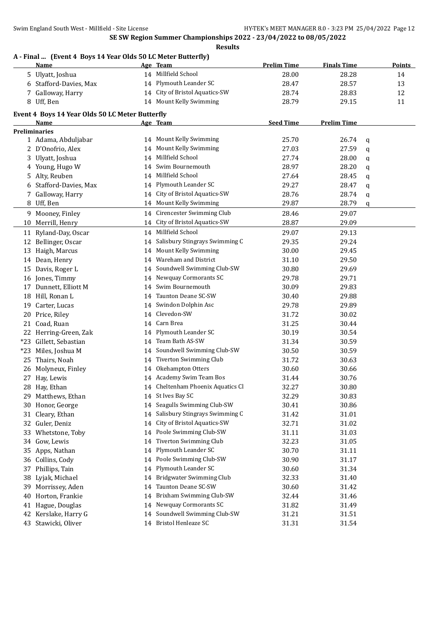## **A - Final ... (Event 4 Boys 14 Year Olds 50 LC Meter Butterfly)**

|    | (Drent T Doys IT fear ones so no meter batterity)<br><u>Name</u> |    | Age Team                          | <b>Prelim Time</b> | <b>Finals Time</b> |   | <b>Points</b> |
|----|------------------------------------------------------------------|----|-----------------------------------|--------------------|--------------------|---|---------------|
|    | 5 Ulyatt, Joshua                                                 |    | 14 Millfield School               | 28.00              | 28.28              |   | 14            |
|    | 6 Stafford-Davies, Max                                           |    | 14 Plymouth Leander SC            | 28.47              | 28.57              |   | 13            |
|    | 7 Galloway, Harry                                                |    | 14 City of Bristol Aquatics-SW    | 28.74              | 28.83              |   | 12            |
|    | 8 Uff, Ben                                                       |    | 14 Mount Kelly Swimming           | 28.79              | 29.15              |   | 11            |
|    |                                                                  |    |                                   |                    |                    |   |               |
|    | Event 4 Boys 14 Year Olds 50 LC Meter Butterfly                  |    |                                   | <b>Seed Time</b>   |                    |   |               |
|    | Name<br><b>Preliminaries</b>                                     |    | Age Team                          |                    | <b>Prelim Time</b> |   |               |
|    | 1 Adama, Abduljabar                                              |    | 14 Mount Kelly Swimming           | 25.70              | 26.74              | q |               |
|    | 2 D'Onofrio, Alex                                                |    | 14 Mount Kelly Swimming           | 27.03              | 27.59              | q |               |
|    | 3 Ulyatt, Joshua                                                 | 14 | Millfield School                  | 27.74              | 28.00              | q |               |
|    | 4 Young, Hugo W                                                  | 14 | Swim Bournemouth                  | 28.97              | 28.20              | q |               |
|    | 5 Alty, Reuben                                                   | 14 | Millfield School                  | 27.64              | 28.45              | q |               |
|    | 6 Stafford-Davies, Max                                           |    | 14 Plymouth Leander SC            | 29.27              | 28.47              | q |               |
|    | 7 Galloway, Harry                                                |    | 14 City of Bristol Aquatics-SW    | 28.76              | 28.74              | q |               |
|    | 8 Uff, Ben                                                       |    | 14 Mount Kelly Swimming           | 29.87              | 28.79              | q |               |
|    | 9 Mooney, Finley                                                 |    | 14 Cirencester Swimming Club      | 28.46              | 29.07              |   |               |
|    | 10 Merrill, Henry                                                |    | 14 City of Bristol Aquatics-SW    | 28.87              | 29.09              |   |               |
|    | 11 Ryland-Day, Oscar                                             |    | 14 Millfield School               | 29.07              | 29.13              |   |               |
|    | 12 Bellinger, Oscar                                              |    | 14 Salisbury Stingrays Swimming C | 29.35              | 29.24              |   |               |
|    | 13 Haigh, Marcus                                                 | 14 | Mount Kelly Swimming              | 30.00              | 29.45              |   |               |
|    | 14 Dean, Henry                                                   | 14 | Wareham and District              | 31.10              | 29.50              |   |               |
|    | 15 Davis, Roger L                                                | 14 | Soundwell Swimming Club-SW        | 30.80              | 29.69              |   |               |
|    | 16 Jones, Timmy                                                  | 14 | Newquay Cormorants SC             | 29.78              | 29.71              |   |               |
| 17 | Dunnett, Elliott M                                               | 14 | Swim Bournemouth                  | 30.09              | 29.83              |   |               |
|    | 18 Hill, Ronan L                                                 | 14 | Taunton Deane SC-SW               | 30.40              | 29.88              |   |               |
| 19 | Carter, Lucas                                                    | 14 | Swindon Dolphin Asc               | 29.78              | 29.89              |   |               |
| 20 | Price, Riley                                                     | 14 | Clevedon-SW                       | 31.72              | 30.02              |   |               |
| 21 | Coad, Ruan                                                       |    | 14 Carn Brea                      | 31.25              | 30.44              |   |               |
|    | 22 Herring-Green, Zak                                            |    | 14 Plymouth Leander SC            | 30.19              | 30.54              |   |               |
|    | *23 Gillett, Sebastian                                           |    | 14 Team Bath AS-SW                | 31.34              | 30.59              |   |               |
|    | *23 Miles, Joshua M                                              |    | 14 Soundwell Swimming Club-SW     | 30.50              | 30.59              |   |               |
| 25 | Thairs, Noah                                                     |    | 14 Tiverton Swimming Club         | 31.72              | 30.63              |   |               |
|    | 26 Molyneux, Finley                                              |    | 14 Okehampton Otters              | 30.60              | 30.66              |   |               |
| 27 | Hay, Lewis                                                       |    | 14 Academy Swim Team Bos          | 31.44              | 30.76              |   |               |
|    | 28 Hay, Ethan                                                    |    | 14 Cheltenham Phoenix Aquatics Cl | 32.27              | 30.80              |   |               |
|    | 29 Matthews, Ethan                                               |    | 14 St Ives Bay SC                 | 32.29              | 30.83              |   |               |
| 30 | Honor, George                                                    | 14 | Seagulls Swimming Club-SW         | 30.41              | 30.86              |   |               |
| 31 | Cleary, Ethan                                                    | 14 | Salisbury Stingrays Swimming C    | 31.42              | 31.01              |   |               |
| 32 | Guler, Deniz                                                     | 14 | City of Bristol Aquatics-SW       | 32.71              | 31.02              |   |               |
| 33 | Whetstone, Toby                                                  | 14 | Poole Swimming Club-SW            | 31.11              | 31.03              |   |               |
| 34 | Gow, Lewis                                                       | 14 | <b>Tiverton Swimming Club</b>     | 32.23              | 31.05              |   |               |
|    | 35 Apps, Nathan                                                  | 14 | Plymouth Leander SC               | 30.70              | 31.11              |   |               |
|    | 36 Collins, Cody                                                 | 14 | Poole Swimming Club-SW            | 30.90              | 31.17              |   |               |
| 37 | Phillips, Tain                                                   | 14 | Plymouth Leander SC               | 30.60              | 31.34              |   |               |
| 38 | Lyjak, Michael                                                   | 14 | <b>Bridgwater Swimming Club</b>   | 32.33              | 31.40              |   |               |
| 39 | Morrissey, Aden                                                  | 14 | Taunton Deane SC-SW               | 30.60              | 31.42              |   |               |
| 40 | Horton, Frankie                                                  | 14 | Brixham Swimming Club-SW          | 32.44              | 31.46              |   |               |
| 41 | Hague, Douglas                                                   | 14 | Newquay Cormorants SC             | 31.82              | 31.49              |   |               |
| 42 | Kerslake, Harry G                                                | 14 | Soundwell Swimming Club-SW        | 31.21              | 31.51              |   |               |
|    | 43 Stawicki, Oliver                                              |    | 14 Bristol Henleaze SC            | 31.31              | 31.54              |   |               |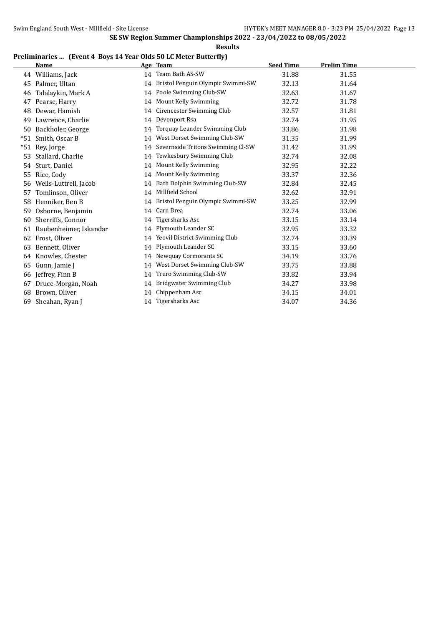**Results**

#### **Preliminaries ... (Event 4 Boys 14 Year Olds 50 LC Meter Butterfly)**

|     | <b>Name</b>            |    | Age Team                             | <b>Seed Time</b> | <b>Prelim Time</b> |
|-----|------------------------|----|--------------------------------------|------------------|--------------------|
|     | 44 Williams, Jack      |    | 14 Team Bath AS-SW                   | 31.88            | 31.55              |
| 45  | Palmer, Ultan          | 14 | Bristol Penguin Olympic Swimmi-SW    | 32.13            | 31.64              |
| 46  | Talalaykin, Mark A     |    | 14 Poole Swimming Club-SW            | 32.63            | 31.67              |
| 47  | Pearse, Harry          |    | 14 Mount Kelly Swimming              | 32.72            | 31.78              |
| 48  | Dewar, Hamish          |    | 14 Cirencester Swimming Club         | 32.57            | 31.81              |
| 49  | Lawrence, Charlie      |    | 14 Devonport Rsa                     | 32.74            | 31.95              |
| 50  | Backholer, George      | 14 | Torquay Leander Swimming Club        | 33.86            | 31.98              |
| *51 | Smith, Oscar B         |    | 14 West Dorset Swimming Club-SW      | 31.35            | 31.99              |
| *51 | Rey, Jorge             |    | 14 Severnside Tritons Swimming Cl-SW | 31.42            | 31.99              |
| 53  | Stallard, Charlie      |    | 14 Tewkesbury Swimming Club          | 32.74            | 32.08              |
| 54  | Sturt, Daniel          |    | 14 Mount Kelly Swimming              | 32.95            | 32.22              |
| 55  | Rice, Cody             | 14 | Mount Kelly Swimming                 | 33.37            | 32.36              |
| 56  | Wells-Luttrell, Jacob  |    | 14 Bath Dolphin Swimming Club-SW     | 32.84            | 32.45              |
| 57  | Tomlinson, Oliver      | 14 | Millfield School                     | 32.62            | 32.91              |
| 58  | Henniker, Ben B        |    | 14 Bristol Penguin Olympic Swimmi-SW | 33.25            | 32.99              |
| 59  | Osborne, Benjamin      | 14 | Carn Brea                            | 32.74            | 33.06              |
| 60  | Sherriffs, Connor      |    | 14 Tigersharks Asc                   | 33.15            | 33.14              |
| 61  | Raubenheimer, Iskandar |    | 14 Plymouth Leander SC               | 32.95            | 33.32              |
| 62  | Frost, Oliver          |    | 14 Yeovil District Swimming Club     | 32.74            | 33.39              |
| 63  | Bennett, Oliver        | 14 | Plymouth Leander SC                  | 33.15            | 33.60              |
| 64  | Knowles, Chester       | 14 | Newquay Cormorants SC                | 34.19            | 33.76              |
| 65  | Gunn, Jamie J          | 14 | West Dorset Swimming Club-SW         | 33.75            | 33.88              |
| 66  | Jeffrey, Finn B        | 14 | Truro Swimming Club-SW               | 33.82            | 33.94              |
| 67  | Druce-Morgan, Noah     | 14 | Bridgwater Swimming Club             | 34.27            | 33.98              |
| 68  | Brown, Oliver          | 14 | Chippenham Asc                       | 34.15            | 34.01              |
| 69  | Sheahan, Ryan J        | 14 | Tigersharks Asc                      | 34.07            | 34.36              |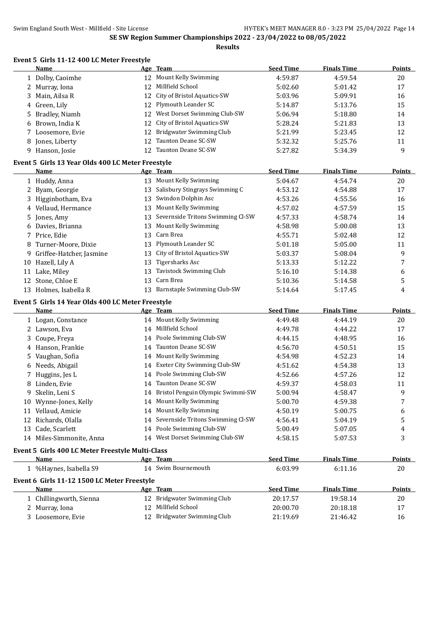| Event 5 Girls 11-12 400 LC Meter Freestyle |  |
|--------------------------------------------|--|
|                                            |  |

|    | Name                                              |    | Age Team                             | <b>Seed Time</b> | <b>Finals Time</b> | Points        |
|----|---------------------------------------------------|----|--------------------------------------|------------------|--------------------|---------------|
|    | 1 Dolby, Caoimhe                                  |    | 12 Mount Kelly Swimming              | 4:59.87          | 4:59.54            | 20            |
|    | 2 Murray, Iona                                    | 12 | Millfield School                     | 5:02.60          | 5:01.42            | 17            |
| 3  | Main, Ailsa R                                     | 12 | City of Bristol Aquatics-SW          | 5:03.96          | 5:09.91            | 16            |
|    | 4 Green, Lily                                     | 12 | Plymouth Leander SC                  | 5:14.87          | 5:13.76            | 15            |
| 5. | Bradley, Niamh                                    | 12 | West Dorset Swimming Club-SW         | 5:06.94          | 5:18.80            | 14            |
| 6  | Brown, India K                                    | 12 | City of Bristol Aquatics-SW          | 5:28.24          | 5:21.83            | 13            |
|    | 7 Loosemore, Evie                                 | 12 | Bridgwater Swimming Club             | 5:21.99          | 5:23.45            | 12            |
|    | 8 Jones, Liberty                                  | 12 | Taunton Deane SC-SW                  | 5:32.32          | 5:25.76            | 11            |
|    | 9 Hanson, Josie                                   | 12 | Taunton Deane SC-SW                  | 5:27.82          | 5:34.39            | 9             |
|    | Event 5 Girls 13 Year Olds 400 LC Meter Freestyle |    |                                      |                  |                    |               |
|    | <b>Name</b>                                       |    | Age Team                             | <b>Seed Time</b> | <b>Finals Time</b> | <b>Points</b> |
|    | 1 Huddy, Anna                                     |    | 13 Mount Kelly Swimming              | 5:04.67          | 4:54.74            | $20\,$        |
|    | 2 Byam, Georgie                                   |    | 13 Salisbury Stingrays Swimming C    | 4:53.12          | 4:54.88            | 17            |
|    | 3 Higginbotham, Eva                               | 13 | Swindon Dolphin Asc                  | 4:53.26          | 4:55.56            | 16            |
|    | 4 Vellaud, Hermance                               | 13 | Mount Kelly Swimming                 | 4:57.02          | 4:57.59            | 15            |
|    | 5 Jones, Amy                                      | 13 | Severnside Tritons Swimming Cl-SW    | 4:57.33          | 4:58.74            | 14            |
|    | 6 Davies, Brianna                                 | 13 | Mount Kelly Swimming                 | 4:58.98          | 5:00.08            | 13            |
|    | 7 Price, Edie                                     | 13 | Carn Brea                            | 4:55.71          | 5:02.48            | 12            |
|    | 8 Turner-Moore, Dixie                             | 13 | Plymouth Leander SC                  | 5:01.18          | 5:05.00            | 11            |
|    | 9 Griffee-Hatcher, Jasmine                        | 13 | City of Bristol Aquatics-SW          | 5:03.37          | 5:08.04            | 9             |
|    | 10 Hazell, Lily A                                 | 13 | Tigersharks Asc                      | 5:13.33          | 5:12.22            | 7             |
|    | 11 Lake, Miley                                    | 13 | Tavistock Swimming Club              | 5:16.10          | 5:14.38            | 6             |
|    | 12 Stone, Chloe E                                 | 13 | Carn Brea                            | 5:10.36          | 5:14.58            | 5             |
|    | 13 Holmes, Isabella R                             |    | 13 Barnstaple Swimming Club-SW       | 5:14.64          | 5:17.45            | 4             |
|    | Event 5 Girls 14 Year Olds 400 LC Meter Freestyle |    |                                      |                  |                    |               |
|    | Name                                              |    | Age Team                             | <b>Seed Time</b> | <b>Finals Time</b> | <b>Points</b> |
|    | 1 Logan, Constance                                |    | 14 Mount Kelly Swimming              | 4:49.48          | 4:44.19            | 20            |
|    | 2 Lawson, Eva                                     | 14 | Millfield School                     | 4:49.78          | 4:44.22            | 17            |
|    | 3 Coupe, Freya                                    | 14 | Poole Swimming Club-SW               | 4:44.15          | 4:48.95            | 16            |
|    | 4 Hanson, Frankie                                 | 14 | Taunton Deane SC-SW                  | 4:56.70          | 4:50.51            | 15            |
|    | 5 Vaughan, Sofia                                  | 14 | Mount Kelly Swimming                 | 4:54.98          | 4:52.23            | 14            |
|    | 6 Needs, Abigail                                  | 14 | Exeter City Swimming Club-SW         | 4:51.62          | 4:54.38            | 13            |
|    | 7 Huggins, Jes L                                  | 14 | Poole Swimming Club-SW               | 4:52.66          | 4:57.26            | 12            |
|    | 8 Linden, Evie                                    | 14 | Taunton Deane SC-SW                  | 4:59.37          | 4:58.03            | 11            |
|    | 9 Skelin, Leni S                                  |    | 14 Bristol Penguin Olympic Swimmi-SW | 5:00.94          | 4:58.47            | 9             |
| 10 | Wynne-Jones, Kelly                                |    | 14 Mount Kelly Swimming              | 5:00.70          | 4:59.38            | 7             |
|    | 11 Vellaud, Amicie                                |    | 14 Mount Kelly Swimming              | 4:50.19          | 5:00.75            | 6             |
|    | 12 Richards, Olalla                               | 14 | Severnside Tritons Swimming Cl-SW    | 4:56.41          | 5:04.19            | 5             |
|    | 13 Cade, Scarlett                                 |    | 14 Poole Swimming Club-SW            | 5:00.49          | 5:07.05            | 4             |
|    | 14 Miles-Simmonite, Anna                          |    | 14 West Dorset Swimming Club-SW      | 4:58.15          | 5:07.53            | 3             |
|    | Event 5 Girls 400 LC Meter Freestyle Multi-Class  |    |                                      |                  |                    |               |
|    | Name                                              |    | Age Team                             | <b>Seed Time</b> | <b>Finals Time</b> | <b>Points</b> |
|    | 1 %Haynes, Isabella S9                            |    | 14 Swim Bournemouth                  | 6:03.99          | 6:11.16            | 20            |
|    | Event 6 Girls 11-12 1500 LC Meter Freestyle       |    |                                      |                  |                    |               |
|    | Name                                              |    | Age Team                             | <b>Seed Time</b> | <b>Finals Time</b> | <b>Points</b> |
|    | 1 Chillingworth, Sienna                           |    | 12 Bridgwater Swimming Club          | 20:17.57         | 19:58.14           | 20            |
|    | 2 Murray, Iona                                    |    | 12 Millfield School                  | 20:00.70         | 20:18.18           | 17            |
|    | 3 Loosemore, Evie                                 |    | 12 Bridgwater Swimming Club          | 21:19.69         | 21:46.42           | 16            |
|    |                                                   |    |                                      |                  |                    |               |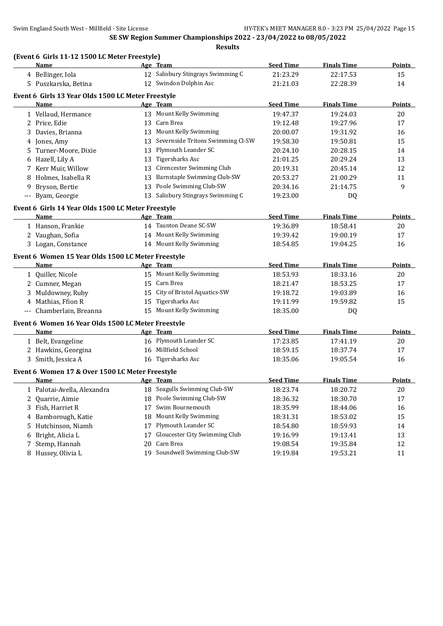|       | (Event 6 Girls 11-12 1500 LC Meter Freestyle)              |    |                                   |                  |                    |               |
|-------|------------------------------------------------------------|----|-----------------------------------|------------------|--------------------|---------------|
|       | Name                                                       |    | Age Team                          | <b>Seed Time</b> | <b>Finals Time</b> | <b>Points</b> |
|       | 4 Bellinger, Iola                                          |    | 12 Salisbury Stingrays Swimming C | 21:23.29         | 22:17.53           | 15            |
|       | 5 Puszkarska, Betina                                       |    | 12 Swindon Dolphin Asc            | 21:21.03         | 22:28.39           | 14            |
|       | Event 6 Girls 13 Year Olds 1500 LC Meter Freestyle         |    |                                   |                  |                    |               |
|       | Name                                                       |    | Age Team                          | <b>Seed Time</b> | <b>Finals Time</b> | <b>Points</b> |
|       | 1 Vellaud, Hermance                                        |    | 13 Mount Kelly Swimming           | 19:47.37         | 19:24.03           | 20            |
|       | 2 Price, Edie                                              | 13 | Carn Brea                         | 19:12.48         | 19:27.96           | 17            |
|       | 3 Davies, Brianna                                          | 13 | Mount Kelly Swimming              | 20:00.07         | 19:31.92           | 16            |
|       | 4 Jones, Amy                                               | 13 | Severnside Tritons Swimming Cl-SW | 19:58.30         | 19:50.81           | 15            |
|       | 5 Turner-Moore, Dixie                                      | 13 | Plymouth Leander SC               | 20:24.10         | 20:28.15           | 14            |
|       | 6 Hazell, Lily A                                           | 13 | <b>Tigersharks Asc</b>            | 21:01.25         | 20:29.24           | 13            |
|       | 7 Kerr Muir, Willow                                        | 13 | Cirencester Swimming Club         | 20:19.31         | 20:45.14           | 12            |
|       | 8 Holmes, Isabella R                                       | 13 | Barnstaple Swimming Club-SW       | 20:53.27         | 21:00.29           | 11            |
|       | 9 Bryson, Bertie                                           | 13 | Poole Swimming Club-SW            | 20:34.16         | 21:14.75           | 9             |
|       | --- Byam, Georgie                                          | 13 | Salisbury Stingrays Swimming C    | 19:23.00         | DQ                 |               |
|       | Event 6 Girls 14 Year Olds 1500 LC Meter Freestyle         |    |                                   |                  |                    |               |
|       | <b>Name</b>                                                |    | Age Team                          | <b>Seed Time</b> | <b>Finals Time</b> | Points        |
|       | 1 Hanson, Frankie                                          |    | 14 Taunton Deane SC-SW            | 19:36.89         | 18:58.41           | 20            |
|       | 2 Vaughan, Sofia                                           |    | 14 Mount Kelly Swimming           | 19:39.42         | 19:00.19           | 17            |
|       | 3 Logan, Constance                                         |    | 14 Mount Kelly Swimming           | 18:54.85         | 19:04.25           | 16            |
|       |                                                            |    |                                   |                  |                    |               |
|       | Event 6 Women 15 Year Olds 1500 LC Meter Freestyle<br>Name |    | Age Team                          | <b>Seed Time</b> | <b>Finals Time</b> | <b>Points</b> |
|       | 1 Quiller, Nicole                                          |    | 15 Mount Kelly Swimming           | 18:53.93         | 18:33.16           | 20            |
|       | 2 Cumner, Megan                                            |    | 15 Carn Brea                      | 18:21.47         | 18:53.25           | 17            |
|       | 3 Muldowney, Ruby                                          |    | 15 City of Bristol Aquatics-SW    | 19:18.72         | 19:03.89           | 16            |
|       | 4 Mathias, Ffion R                                         | 15 | Tigersharks Asc                   | 19:11.99         | 19:59.82           | 15            |
| $---$ | Chamberlain, Breanna                                       |    | 15 Mount Kelly Swimming           | 18:35.00         | DQ                 |               |
|       |                                                            |    |                                   |                  |                    |               |
|       | Event 6 Women 16 Year Olds 1500 LC Meter Freestyle         |    |                                   |                  |                    |               |
|       | Name                                                       |    | Age Team                          | <b>Seed Time</b> | <b>Finals Time</b> | Points        |
|       | 1 Belt, Evangeline                                         |    | 16 Plymouth Leander SC            | 17:23.85         | 17:41.19           | 20            |
|       | 2 Hawkins, Georgina                                        |    | 16 Millfield School               | 18:59.15         | 18:37.74           | 17            |
|       | 3 Smith, Jessica A                                         |    | 16 Tigersharks Asc                | 18:35.06         | 19:05.54           | 16            |
|       | Event 6 Women 17 & Over 1500 LC Meter Freestyle            |    |                                   |                  |                    |               |
|       | Name                                                       |    | Age Team                          | <b>Seed Time</b> | <b>Finals Time</b> | <b>Points</b> |
| 1     | Palotai-Avella, Alexandra                                  | 18 | Seagulls Swimming Club-SW         | 18:23.74         | 18:20.72           | 20            |
| 2     | Quarrie, Aimie                                             | 18 | Poole Swimming Club-SW            | 18:36.32         | 18:30.70           | 17            |
| 3     | Fish, Harriet R                                            | 17 | Swim Bournemouth                  | 18:35.99         | 18:44.06           | 16            |
| 4     | Bamborough, Katie                                          | 18 | Mount Kelly Swimming              | 18:31.31         | 18:53.02           | 15            |
| 5     | Hutchinson, Niamh                                          | 17 | Plymouth Leander SC               | 18:54.80         | 18:59.93           | 14            |
| 6     | Bright, Alicia L                                           | 17 | Gloucester City Swimming Club     | 19:16.99         | 19:13.41           | 13            |
| 7     | Stemp, Hannah                                              | 20 | Carn Brea                         | 19:08.54         | 19:35.84           | 12            |
|       | 8 Hussey, Olivia L                                         | 19 | Soundwell Swimming Club-SW        | 19:19.84         | 19:53.21           | 11            |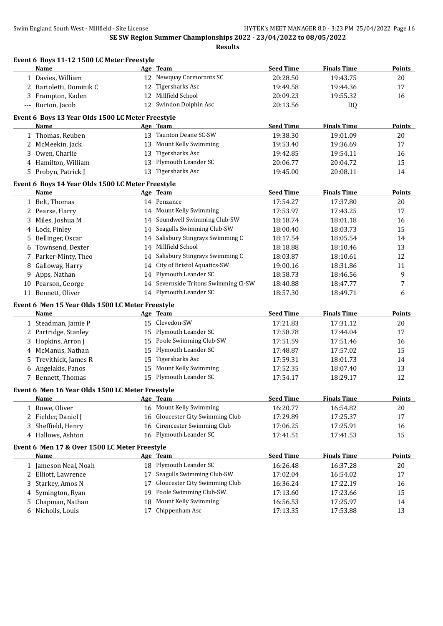|   | Event 6 Boys 11-12 1500 LC Meter Freestyle<br>Name       |    | Age Team                          | <b>Seed Time</b> | <b>Finals Time</b> | <b>Points</b> |
|---|----------------------------------------------------------|----|-----------------------------------|------------------|--------------------|---------------|
|   | 1 Davies, William                                        |    | 12 Newquay Cormorants SC          | 20:28.50         | 19:43.75           | 20            |
|   | 2 Bartoletti, Dominik C                                  | 12 | Tigersharks Asc                   | 19:49.58         | 19:44.36           | 17            |
|   | 3 Frampton, Kaden                                        | 12 | Millfield School                  | 20:09.23         | 19:55.32           | 16            |
|   | --- Burton, Jacob                                        |    | 12 Swindon Dolphin Asc            | 20:13.56         | <b>DQ</b>          |               |
|   |                                                          |    |                                   |                  |                    |               |
|   | Event 6 Boys 13 Year Olds 1500 LC Meter Freestyle        |    |                                   |                  |                    |               |
|   | Name                                                     |    | Age Team                          | <b>Seed Time</b> | <b>Finals Time</b> | <b>Points</b> |
|   | 1 Thomas, Reuben                                         |    | 13 Taunton Deane SC-SW            | 19:38.30         | 19:01.09           | 20            |
|   | 2 McMeekin, Jack                                         | 13 | Mount Kelly Swimming              | 19:53.40         | 19:36.69           | 17            |
|   | 3 Owen, Charlie                                          | 13 | Tigersharks Asc                   | 19:42.85         | 19:54.11           | 16            |
|   | 4 Hamilton, William                                      |    | 13 Plymouth Leander SC            | 20:06.77         | 20:04.72           | 15            |
|   | 5 Probyn, Patrick J                                      | 13 | Tigersharks Asc                   | 19:45.00         | 20:08.11           | 14            |
|   | Event 6 Boys 14 Year Olds 1500 LC Meter Freestyle        |    |                                   |                  |                    |               |
|   | <b>Name</b>                                              |    | Age Team                          | <b>Seed Time</b> | <b>Finals Time</b> | <b>Points</b> |
|   | 1 Belt, Thomas                                           |    | 14 Penzance                       | 17:54.27         | 17:37.80           | 20            |
|   | 2 Pearse, Harry                                          | 14 | Mount Kelly Swimming              | 17:53.97         | 17:43.25           | 17            |
|   | 3 Miles, Joshua M                                        | 14 | Soundwell Swimming Club-SW        | 18:18.74         | 18:01.18           | 16            |
|   | 4 Lock, Finley                                           | 14 | Seagulls Swimming Club-SW         | 18:00.40         | 18:03.73           | 15            |
|   | 5 Bellinger, Oscar                                       | 14 | Salisbury Stingrays Swimming C    | 18:17.54         | 18:05.54           | 14            |
| 6 | Townsend, Dexter                                         | 14 | Millfield School                  | 18:18.88         | 18:10.46           | 13            |
|   | 7 Parker-Minty, Theo                                     | 14 | Salisbury Stingrays Swimming C    | 18:03.87         | 18:10.61           | 12            |
| 8 | Galloway, Harry                                          | 14 | City of Bristol Aquatics-SW       | 19:00.16         | 18:31.86           | 11            |
|   | 9 Apps, Nathan                                           | 14 | Plymouth Leander SC               | 18:58.73         | 18:46.56           | 9             |
|   | 10 Pearson, George                                       | 14 | Severnside Tritons Swimming Cl-SW | 18:40.88         | 18:47.77           | 7             |
|   | 11 Bennett, Oliver                                       |    | 14 Plymouth Leander SC            | 18:57.30         | 18:49.71           | 6             |
|   |                                                          |    |                                   |                  |                    |               |
|   | Event 6 Men 15 Year Olds 1500 LC Meter Freestyle<br>Name |    |                                   | <b>Seed Time</b> | <b>Finals Time</b> | <b>Points</b> |
|   |                                                          |    | Age Team<br>15 Clevedon-SW        | 17:21.83         | 17:31.12           | 20            |
|   | 1 Steadman, Jamie P                                      | 15 | Plymouth Leander SC               |                  |                    |               |
|   | 2 Partridge, Stanley                                     |    | Poole Swimming Club-SW            | 17:58.78         | 17:44.04           | 17            |
|   | 3 Hopkins, Arron J                                       | 15 | Plymouth Leander SC               | 17:51.59         | 17:51.46           | 16            |
|   | 4 McManus, Nathan                                        | 15 |                                   | 17:48.87         | 17:57.02           | 15            |
| 5 | Trevithick, James R                                      | 15 | <b>Tigersharks Asc</b>            | 17:59.31         | 18:01.73           | 14            |
|   | 6 Angelakis, Panos                                       | 15 | Mount Kelly Swimming              | 17:52.35         | 18:07.40           | 13            |
|   | 7 Bennett, Thomas                                        |    | 15 Plymouth Leander SC            | 17:54.17         | 18:29.17           | 12            |
|   | Event 6 Men 16 Year Olds 1500 LC Meter Freestyle         |    |                                   |                  |                    |               |
|   | <b>Name</b>                                              |    | Age Team                          | <b>Seed Time</b> | <b>Finals Time</b> | <b>Points</b> |
|   | 1 Rowe, Oliver                                           |    | 16 Mount Kelly Swimming           | 16:20.77         | 16:54.82           | 20            |
|   | 2 Fielder, Daniel J                                      | 16 | Gloucester City Swimming Club     | 17:29.89         | 17:25.37           | 17            |
|   | 3 Sheffield, Henry                                       | 16 | Cirencester Swimming Club         | 17:06.25         | 17:25.91           | 16            |
|   | 4 Hallows, Ashton                                        | 16 | Plymouth Leander SC               | 17:41.51         | 17:41.53           | 15            |
|   | Event 6 Men 17 & Over 1500 LC Meter Freestyle            |    |                                   |                  |                    |               |
|   | <b>Name</b>                                              |    | Age Team                          | <b>Seed Time</b> | <b>Finals Time</b> | Points        |
|   | 1 Jameson Neal, Noah                                     | 18 | Plymouth Leander SC               | 16:26.48         | 16:37.28           | 20            |
| 2 | Elliott, Lawrence                                        | 17 | Seagulls Swimming Club-SW         | 17:02.04         | 16:54.02           | 17            |
|   | Starkey, Amos N                                          | 17 | Gloucester City Swimming Club     | 16:36.24         | 17:22.19           | 16            |
| 3 |                                                          |    | Poole Swimming Club-SW            |                  |                    |               |
| 4 | Symington, Ryan                                          | 19 |                                   | 17:13.60         | 17:23.66           | 15            |
| 5 | Chapman, Nathan                                          | 18 | Mount Kelly Swimming              | 16:56.53         | 17:25.97           | 14            |
| 6 | Nicholls, Louis                                          | 17 | Chippenham Asc                    | 17:13.35         | 17:53.88           | 13            |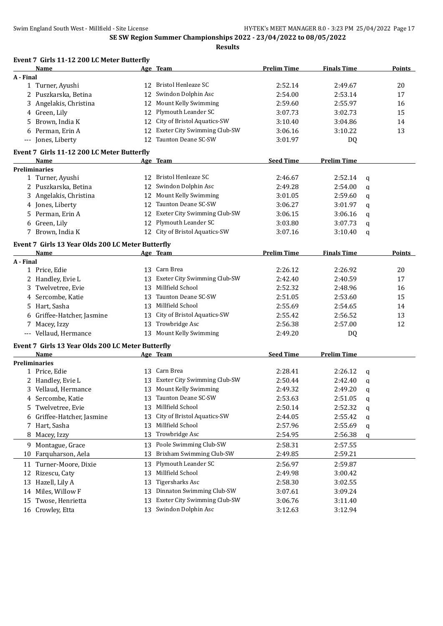Swim England South West - Millfield - Site License **HY-TEK's MEET MANAGER 8.0** - 3:23 PM 25/04/2022 Page 17

**SE SW Region Summer Championships 2022 - 23/04/2022 to 08/05/2022**

| Event 7 Girls 11-12 200 LC Meter Butterfly        |    |                                 |                    |                    |             |        |
|---------------------------------------------------|----|---------------------------------|--------------------|--------------------|-------------|--------|
| Name                                              |    | Age Team                        | <b>Prelim Time</b> | <b>Finals Time</b> |             | Points |
| A - Final                                         |    |                                 |                    |                    |             |        |
| 1 Turner, Ayushi                                  | 12 | <b>Bristol Henleaze SC</b>      | 2:52.14            | 2:49.67            |             | 20     |
| 2 Puszkarska, Betina                              | 12 | Swindon Dolphin Asc             | 2:54.00            | 2:53.14            |             | 17     |
| 3 Angelakis, Christina                            | 12 | Mount Kelly Swimming            | 2:59.60            | 2:55.97            |             | 16     |
| 4 Green, Lily                                     | 12 | Plymouth Leander SC             | 3:07.73            | 3:02.73            |             | 15     |
| 5 Brown, India K                                  | 12 | City of Bristol Aquatics-SW     | 3:10.40            | 3:04.86            |             | 14     |
| 6 Perman, Erin A                                  | 12 | Exeter City Swimming Club-SW    | 3:06.16            | 3:10.22            |             | 13     |
| --- Jones, Liberty                                | 12 | Taunton Deane SC-SW             | 3:01.97            | <b>DQ</b>          |             |        |
| Event 7 Girls 11-12 200 LC Meter Butterfly        |    |                                 |                    |                    |             |        |
| <b>Name</b>                                       |    | Age Team                        | <b>Seed Time</b>   | <b>Prelim Time</b> |             |        |
| <b>Preliminaries</b>                              |    |                                 |                    |                    |             |        |
| 1 Turner, Ayushi                                  |    | 12 Bristol Henleaze SC          | 2:46.67            | 2:52.14            | q           |        |
| 2 Puszkarska, Betina                              |    | 12 Swindon Dolphin Asc          | 2:49.28            | 2:54.00            | $\mathbf q$ |        |
| 3 Angelakis, Christina                            |    | 12 Mount Kelly Swimming         | 3:01.05            | 2:59.60            | q           |        |
| 4 Jones, Liberty                                  |    | 12 Taunton Deane SC-SW          | 3:06.27            | 3:01.97            | q           |        |
| 5 Perman, Erin A                                  |    | 12 Exeter City Swimming Club-SW | 3:06.15            | 3:06.16            | q           |        |
| 6 Green, Lily                                     | 12 | Plymouth Leander SC             | 3:03.80            | 3:07.73            | q           |        |
| 7 Brown, India K                                  |    | 12 City of Bristol Aquatics-SW  | 3:07.16            | 3:10.40            | q           |        |
| Event 7 Girls 13 Year Olds 200 LC Meter Butterfly |    |                                 |                    |                    |             |        |
| Name                                              |    | Age Team                        | <b>Prelim Time</b> | <b>Finals Time</b> |             | Points |
| A - Final                                         |    |                                 |                    |                    |             |        |
| 1 Price, Edie                                     | 13 | Carn Brea                       | 2:26.12            | 2:26.92            |             | 20     |
| 2 Handley, Evie L                                 | 13 | Exeter City Swimming Club-SW    | 2:42.40            | 2:40.59            |             | 17     |
| 3 Twelvetree, Evie                                | 13 | Millfield School                | 2:52.32            | 2:48.96            |             | 16     |
| 4 Sercombe, Katie                                 | 13 | Taunton Deane SC-SW             | 2:51.05            | 2:53.60            |             | 15     |
| 5 Hart, Sasha                                     | 13 | Millfield School                | 2:55.69            | 2:54.65            |             | 14     |
| 6 Griffee-Hatcher, Jasmine                        | 13 | City of Bristol Aquatics-SW     | 2:55.42            | 2:56.52            |             | 13     |
| 7 Macey, Izzy                                     | 13 | Trowbridge Asc                  | 2:56.38            | 2:57.00            |             | 12     |
| --- Vellaud, Hermance                             |    | 13 Mount Kelly Swimming         | 2:49.20            | DQ                 |             |        |
| Event 7 Girls 13 Year Olds 200 LC Meter Butterfly |    |                                 |                    |                    |             |        |
| Name                                              |    | Age Team                        | <b>Seed Time</b>   | <b>Prelim Time</b> |             |        |
| <b>Preliminaries</b>                              |    |                                 |                    |                    |             |        |
| 1 Price, Edie                                     |    | 13 Carn Brea                    | 2:28.41            | 2:26.12            | q           |        |
| 2 Handley, Evie L                                 |    | 13 Exeter City Swimming Club-SW | 2:50.44            | 2:42.40            | q           |        |
| 3 Vellaud, Hermance                               |    | 13 Mount Kelly Swimming         | 2:49.32            | 2:49.20            | q           |        |
| 4 Sercombe, Katie                                 | 13 | Taunton Deane SC-SW             | 2:53.63            | 2:51.05            | q           |        |
| Twelvetree, Evie<br>5                             | 13 | Millfield School                | 2:50.14            | 2:52.32            | q           |        |
| Griffee-Hatcher, Jasmine<br>6                     | 13 | City of Bristol Aquatics-SW     | 2:44.05            | 2:55.42            | q           |        |
| 7 Hart, Sasha                                     | 13 | Millfield School                | 2:57.96            | 2:55.69            | q           |        |
| 8 Macey, Izzy                                     | 13 | Trowbridge Asc                  | 2:54.95            | 2:56.38            | q           |        |
| 9 Montague, Grace                                 | 13 | Poole Swimming Club-SW          | 2:58.31            | 2:57.55            |             |        |
| Farquharson, Aela<br>10                           | 13 | Brixham Swimming Club-SW        | 2:49.85            | 2:59.21            |             |        |
| Turner-Moore, Dixie<br>11                         | 13 | Plymouth Leander SC             | 2:56.97            | 2:59.87            |             |        |
| Rizescu, Caty<br>12                               | 13 | Millfield School                | 2:49.98            | 3:00.42            |             |        |
| Hazell, Lily A<br>13                              | 13 | <b>Tigersharks Asc</b>          | 2:58.30            | 3:02.55            |             |        |
| Miles, Willow F<br>14                             | 13 | Dinnaton Swimming Club-SW       | 3:07.61            | 3:09.24            |             |        |
| Twose, Henrietta<br>15                            | 13 | Exeter City Swimming Club-SW    | 3:06.76            | 3:11.40            |             |        |
| 16 Crowley, Etta                                  | 13 | Swindon Dolphin Asc             | 3:12.63            | 3:12.94            |             |        |
|                                                   |    |                                 |                    |                    |             |        |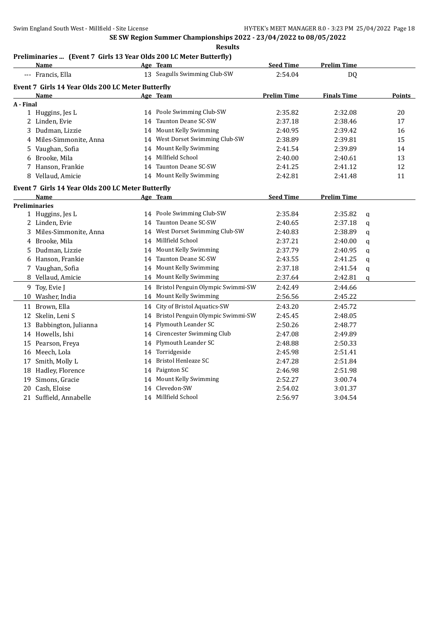# **Preliminaries ... (Event 7 Girls 13 Year Olds 200 LC Meter Butterfly)**

|           | <b>Name</b>                                       |    | Age Team                             | <b>Seed Time</b>   | <b>Prelim Time</b> |             |        |
|-----------|---------------------------------------------------|----|--------------------------------------|--------------------|--------------------|-------------|--------|
|           | --- Francis, Ella                                 |    | 13 Seagulls Swimming Club-SW         | 2:54.04            | DQ                 |             |        |
|           | Event 7 Girls 14 Year Olds 200 LC Meter Butterfly |    |                                      |                    |                    |             |        |
|           | Name                                              |    | Age Team                             | <b>Prelim Time</b> | <b>Finals Time</b> |             | Points |
| A - Final |                                                   |    |                                      |                    |                    |             |        |
|           | 1 Huggins, Jes L                                  |    | 14 Poole Swimming Club-SW            | 2:35.82            | 2:32.08            |             | 20     |
|           | 2 Linden, Evie                                    |    | 14 Taunton Deane SC-SW               | 2:37.18            | 2:38.46            |             | 17     |
| 3         | Dudman, Lizzie                                    | 14 | Mount Kelly Swimming                 | 2:40.95            | 2:39.42            |             | 16     |
|           | 4 Miles-Simmonite, Anna                           | 14 | West Dorset Swimming Club-SW         | 2:38.89            | 2:39.81            |             | 15     |
|           | 5 Vaughan, Sofia                                  | 14 | Mount Kelly Swimming                 | 2:41.54            | 2:39.89            |             | 14     |
|           | 6 Brooke, Mila                                    | 14 | Millfield School                     | 2:40.00            | 2:40.61            |             | 13     |
|           | 7 Hanson, Frankie                                 |    | 14 Taunton Deane SC-SW               | 2:41.25            | 2:41.12            |             | 12     |
|           | 8 Vellaud, Amicie                                 |    | 14 Mount Kelly Swimming              | 2:42.81            | 2:41.48            |             | 11     |
|           | Event 7 Girls 14 Year Olds 200 LC Meter Butterfly |    |                                      |                    |                    |             |        |
|           | Name                                              |    | Age Team                             | <b>Seed Time</b>   | <b>Prelim Time</b> |             |        |
|           | <b>Preliminaries</b>                              |    |                                      |                    |                    |             |        |
|           | 1 Huggins, Jes L                                  |    | 14 Poole Swimming Club-SW            | 2:35.84            | 2:35.82            | q           |        |
|           | 2 Linden, Evie                                    | 14 | Taunton Deane SC-SW                  | 2:40.65            | 2:37.18            | q           |        |
|           | 3 Miles-Simmonite, Anna                           | 14 | West Dorset Swimming Club-SW         | 2:40.83            | 2:38.89            | q           |        |
|           | 4 Brooke, Mila                                    |    | 14 Millfield School                  | 2:37.21            | 2:40.00            | q           |        |
|           | 5 Dudman, Lizzie                                  |    | 14 Mount Kelly Swimming              | 2:37.79            | 2:40.95            | q           |        |
|           | 6 Hanson, Frankie                                 |    | 14 Taunton Deane SC-SW               | 2:43.55            | 2:41.25            | q           |        |
| 7         | Vaughan, Sofia                                    |    | 14 Mount Kelly Swimming              | 2:37.18            | 2:41.54            | q           |        |
|           | 8 Vellaud, Amicie                                 |    | 14 Mount Kelly Swimming              | 2:37.64            | 2:42.81            | $\mathbf q$ |        |
| 9         | Toy, Evie J                                       |    | 14 Bristol Penguin Olympic Swimmi-SW | 2:42.49            | 2:44.66            |             |        |
| 10        | Washer, India                                     |    | 14 Mount Kelly Swimming              | 2:56.56            | 2:45.22            |             |        |
|           | 11 Brown, Ella                                    |    | 14 City of Bristol Aquatics-SW       | 2:43.20            | 2:45.72            |             |        |
|           | 12 Skelin, Leni S                                 |    | 14 Bristol Penguin Olympic Swimmi-SW | 2:45.45            | 2:48.05            |             |        |
|           | 13 Babbington, Julianna                           |    | 14 Plymouth Leander SC               | 2:50.26            | 2:48.77            |             |        |
|           | 14 Howells, Ishi                                  |    | 14 Cirencester Swimming Club         | 2:47.08            | 2:49.89            |             |        |
|           | 15 Pearson, Freya                                 |    | 14 Plymouth Leander SC               | 2:48.88            | 2:50.33            |             |        |
|           | 16 Meech, Lola                                    |    | 14 Torridgeside                      | 2:45.98            | 2:51.41            |             |        |
|           | 17 Smith, Molly L                                 |    | 14 Bristol Henleaze SC               | 2:47.28            | 2:51.84            |             |        |
|           | 18 Hadley, Florence                               |    | 14 Paignton SC                       | 2:46.98            | 2:51.98            |             |        |
|           | 19 Simons, Gracie                                 |    | 14 Mount Kelly Swimming              | 2:52.27            | 3:00.74            |             |        |
|           | 20 Cash, Eloise                                   |    | 14 Clevedon-SW                       | 2:54.02            | 3:01.37            |             |        |
|           | 21 Suffield, Annabelle                            |    | 14 Millfield School                  | 2:56.97            | 3:04.54            |             |        |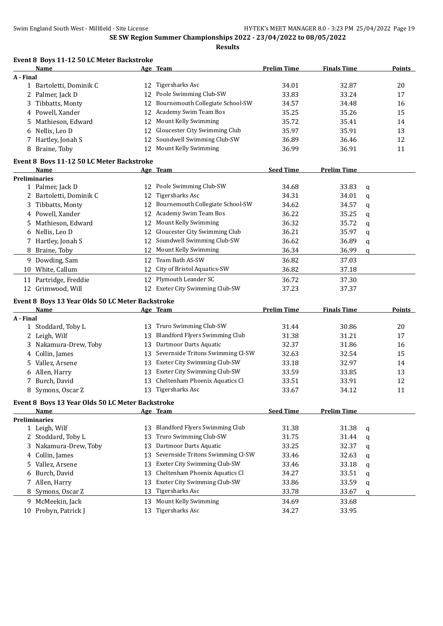|           | Event 8 Boys 11-12 50 LC Meter Backstroke        |    |                                                |                    |                    |             |        |
|-----------|--------------------------------------------------|----|------------------------------------------------|--------------------|--------------------|-------------|--------|
|           | Name                                             |    | <u>Age Team</u>                                | <b>Prelim Time</b> | <b>Finals Time</b> |             | Points |
| A - Final |                                                  |    |                                                |                    |                    |             |        |
|           | 1 Bartoletti, Dominik C                          | 12 | Tigersharks Asc                                | 34.01              | 32.87              |             | 20     |
|           | 2 Palmer, Jack D                                 | 12 | Poole Swimming Club-SW                         | 33.83              | 33.24              |             | 17     |
| 3         | Tibbatts, Monty                                  | 12 | Bournemouth Collegiate School-SW               | 34.57              | 34.48              |             | 16     |
|           | 4 Powell, Xander                                 | 12 | Academy Swim Team Bos                          | 35.25              | 35.26              |             | 15     |
| 5.        | Mathieson, Edward                                | 12 | Mount Kelly Swimming                           | 35.72              | 35.41              |             | 14     |
|           | Nellis, Leo D                                    | 12 | Gloucester City Swimming Club                  | 35.97              | 35.91              |             | 13     |
|           | 7 Hartley, Jonah S                               | 12 | Soundwell Swimming Club-SW                     | 36.89              | 36.46              |             | 12     |
|           | 8 Braine, Toby                                   | 12 | Mount Kelly Swimming                           | 36.99              | 36.91              |             | 11     |
|           | Event 8 Boys 11-12 50 LC Meter Backstroke        |    |                                                |                    |                    |             |        |
|           | Name                                             |    | Age Team                                       | <b>Seed Time</b>   | <b>Prelim Time</b> |             |        |
|           | <b>Preliminaries</b>                             |    |                                                |                    |                    |             |        |
|           | 1 Palmer, Jack D                                 |    | 12 Poole Swimming Club-SW                      | 34.68              | 33.83              | q           |        |
|           | 2 Bartoletti, Dominik C                          | 12 | <b>Tigersharks Asc</b>                         | 34.31              | 34.01              | $\mathbf q$ |        |
| 3         | Tibbatts, Monty                                  | 12 | Bournemouth Collegiate School-SW               | 34.62              | 34.57              | q           |        |
|           | 4 Powell, Xander                                 | 12 | Academy Swim Team Bos                          | 36.22              | 35.25              | q           |        |
| 5         | Mathieson, Edward                                | 12 | Mount Kelly Swimming                           | 36.32              | 35.72              | q           |        |
| 6         | Nellis, Leo D                                    | 12 | Gloucester City Swimming Club                  | 36.21              | 35.97              | q           |        |
| 7         | Hartley, Jonah S                                 | 12 | Soundwell Swimming Club-SW                     | 36.62              | 36.89              | q           |        |
| 8         | Braine, Toby                                     | 12 | Mount Kelly Swimming                           | 36.34              | 36.99              | q           |        |
|           | 9 Dowding, Sam                                   | 12 | Team Bath AS-SW                                | 36.82              | 37.03              |             |        |
| 10        | White, Callum                                    | 12 | City of Bristol Aquatics-SW                    | 36.82              | 37.18              |             |        |
|           | 11 Partridge, Freddie                            | 12 | Plymouth Leander SC                            | 36.72              | 37.30              |             |        |
|           | 12 Grimwood, Will                                |    | 12 Exeter City Swimming Club-SW                | 37.23              | 37.37              |             |        |
|           |                                                  |    |                                                |                    |                    |             |        |
|           | Event 8 Boys 13 Year Olds 50 LC Meter Backstroke |    |                                                |                    |                    |             |        |
|           | <u>Name</u>                                      |    | Age Team                                       | <b>Prelim Time</b> | <b>Finals Time</b> |             | Points |
| A - Final | 1 Stoddard, Toby L                               | 13 | Truro Swimming Club-SW                         | 31.44              | 30.86              |             | 20     |
|           | 2 Leigh, Wilf                                    | 13 | <b>Blandford Flyers Swimming Club</b>          | 31.38              | 31.21              |             | 17     |
| 3         | Nakamura-Drew, Toby                              | 13 | Dartmoor Darts Aquatic                         | 32.37              | 31.86              |             | 16     |
|           | 4 Collin, James                                  | 13 | Severnside Tritons Swimming Cl-SW              | 32.63              | 32.54              |             | 15     |
| 5.        | Vallez, Arsene                                   | 13 | Exeter City Swimming Club-SW                   | 33.18              | 32.97              |             | 14     |
|           |                                                  | 13 | Exeter City Swimming Club-SW                   | 33.59              | 33.85              |             | 13     |
|           | Allen, Harry<br>7 Burch, David                   | 13 | Cheltenham Phoenix Aquatics Cl                 | 33.51              | 33.91              |             | 12     |
|           |                                                  |    | 13 Tigersharks Asc                             |                    |                    |             |        |
|           | 8 Symons, Oscar Z                                |    |                                                | 33.67              | 34.12              |             | 11     |
|           | Event 8 Boys 13 Year Olds 50 LC Meter Backstroke |    |                                                |                    |                    |             |        |
|           | Name                                             |    | Age Team                                       | <b>Seed Time</b>   | <b>Prelim Time</b> |             |        |
|           | <b>Preliminaries</b>                             |    |                                                |                    |                    |             |        |
|           | 1 Leigh, Wilf                                    | 13 | <b>Blandford Flyers Swimming Club</b>          | 31.38              | 31.38              | q           |        |
| 2.        | Stoddard, Toby L                                 | 13 | Truro Swimming Club-SW                         | 31.75              | 31.44              | $\mathbf q$ |        |
| 3         | Nakamura-Drew, Toby                              | 13 | Dartmoor Darts Aquatic                         | 33.25              | 32.37              | q           |        |
| 4         | Collin, James                                    | 13 | Severnside Tritons Swimming Cl-SW              | 33.46              | 32.63              | q           |        |
| 5.        | Vallez, Arsene                                   | 13 | Exeter City Swimming Club-SW                   | 33.46              | 33.18              | q           |        |
| 6         | Burch, David                                     | 13 | Cheltenham Phoenix Aquatics Cl                 | 34.27              | 33.51              | q           |        |
|           |                                                  |    |                                                |                    |                    |             |        |
| 7         | Allen, Harry                                     | 13 | Exeter City Swimming Club-SW                   | 33.86              | 33.59              | q           |        |
|           | 8 Symons, Oscar Z                                | 13 | Tigersharks Asc                                | 33.78              | 33.67              | q           |        |
|           | 9 McMeekin, Jack<br>10 Probyn, Patrick J         | 13 | Mount Kelly Swimming<br><b>Tigersharks Asc</b> | 34.69<br>34.27     | 33.68              |             |        |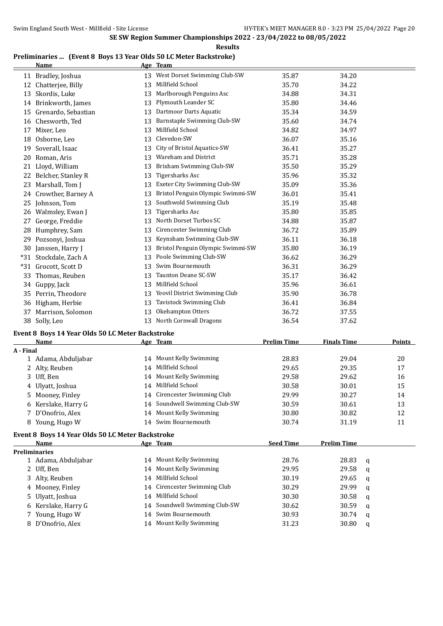#### **Preliminaries ... (Event 8 Boys 13 Year Olds 50 LC Meter Backstroke)**

|       | <b>Name</b>         |    | Age Team                          |       |       |
|-------|---------------------|----|-----------------------------------|-------|-------|
|       | 11 Bradley, Joshua  |    | 13 West Dorset Swimming Club-SW   | 35.87 | 34.20 |
| 12    | Chatterjee, Billy   | 13 | Millfield School                  | 35.70 | 34.22 |
| 13    | Skordis, Luke       | 13 | Marlborough Penguins Asc          | 34.88 | 34.31 |
| 14    | Brinkworth, James   | 13 | Plymouth Leander SC               | 35.80 | 34.46 |
| 15    | Grenardo, Sebastian | 13 | Dartmoor Darts Aquatic            | 35.34 | 34.59 |
| 16    | Chesworth, Ted      | 13 | Barnstaple Swimming Club-SW       | 35.60 | 34.74 |
| 17    | Mixer, Leo          | 13 | Millfield School                  | 34.82 | 34.97 |
| 18    | Osborne, Leo        | 13 | Clevedon-SW                       | 36.07 | 35.16 |
| 19    | Soverall, Isaac     | 13 | City of Bristol Aquatics-SW       | 36.41 | 35.27 |
| 20    | Roman, Aris         | 13 | Wareham and District              | 35.71 | 35.28 |
| 21    | Lloyd, William      | 13 | Brixham Swimming Club-SW          | 35.50 | 35.29 |
| 22    | Belcher, Stanley R  | 13 | Tigersharks Asc                   | 35.96 | 35.32 |
| 23    | Marshall, Tom J     | 13 | Exeter City Swimming Club-SW      | 35.09 | 35.36 |
| 24    | Crowther, Barney A  | 13 | Bristol Penguin Olympic Swimmi-SW | 36.01 | 35.41 |
| 25    | Johnson, Tom        | 13 | Southwold Swimming Club           | 35.19 | 35.48 |
| 26    | Walmsley, Ewan J    | 13 | <b>Tigersharks Asc</b>            | 35.80 | 35.85 |
| 27    | George, Freddie     | 13 | North Dorset Turbos SC            | 34.88 | 35.87 |
| 28    | Humphrey, Sam       | 13 | Cirencester Swimming Club         | 36.72 | 35.89 |
| 29    | Pozsonyi, Joshua    | 13 | Keynsham Swimming Club-SW         | 36.11 | 36.18 |
| 30    | Janssen, Harry J    | 13 | Bristol Penguin Olympic Swimmi-SW | 35.80 | 36.19 |
| $*31$ | Stockdale, Zach A   | 13 | Poole Swimming Club-SW            | 36.62 | 36.29 |
| $*31$ | Grocott, Scott D    | 13 | Swim Bournemouth                  | 36.31 | 36.29 |
| 33    | Thomas, Reuben      | 13 | Taunton Deane SC-SW               | 35.17 | 36.42 |
| 34    | Guppy, Jack         | 13 | Millfield School                  | 35.96 | 36.61 |
| 35    | Perrin, Theodore    | 13 | Yeovil District Swimming Club     | 35.90 | 36.78 |
| 36    | Higham, Herbie      | 13 | Tavistock Swimming Club           | 36.41 | 36.84 |
| 37    | Marrison, Solomon   | 13 | Okehampton Otters                 | 36.72 | 37.55 |
| 38    | Solly, Leo          | 13 | North Cornwall Dragons            | 36.54 | 37.62 |

#### **Event 8 Boys 14 Year Olds 50 LC Meter Backstroke**

| Name                | Age Team |                               | <b>Prelim Time</b> | <b>Finals Time</b> | <b>Points</b> |
|---------------------|----------|-------------------------------|--------------------|--------------------|---------------|
| A - Final           |          |                               |                    |                    |               |
| 1 Adama, Abduljabar | 14       | Mount Kelly Swimming          | 28.83              | 29.04              | 20            |
| 2 Alty, Reuben      | 14       | Millfield School              | 29.65              | 29.35              | 17            |
| 3 Uff, Ben          |          | 14 Mount Kelly Swimming       | 29.58              | 29.62              | 16            |
| 4 Ulyatt, Joshua    | 14       | Millfield School              | 30.58              | 30.01              | 15            |
| 5 Mooney, Finley    |          | 14 Cirencester Swimming Club  | 29.99              | 30.27              | 14            |
| 6 Kerslake, Harry G |          | 14 Soundwell Swimming Club-SW | 30.59              | 30.61              | 13            |
| 7 D'Onofrio, Alex   |          | 14 Mount Kelly Swimming       | 30.80              | 30.82              | 12            |
| 8 Young, Hugo W     |          | 14 Swim Bournemouth           | 30.74              | 31.19              | 11            |
|                     |          |                               |                    |                    |               |

#### **Event 8 Boys 14 Year Olds 50 LC Meter Backstroke**

| Name                 |  | <b>Seed Time</b>                                                                                                                                                                                                                | <b>Prelim Time</b> |   |
|----------------------|--|---------------------------------------------------------------------------------------------------------------------------------------------------------------------------------------------------------------------------------|--------------------|---|
| <b>Preliminaries</b> |  |                                                                                                                                                                                                                                 |                    |   |
| 1 Adama, Abduljabar  |  | 28.76                                                                                                                                                                                                                           | 28.83              | q |
| 2 Uff, Ben           |  | 29.95                                                                                                                                                                                                                           | 29.58              | a |
| 3 Alty, Reuben       |  | 30.19                                                                                                                                                                                                                           | 29.65              | q |
| 4 Mooney, Finley     |  | 30.29                                                                                                                                                                                                                           | 29.99              | q |
| 5 Ulyatt, Joshua     |  | 30.30                                                                                                                                                                                                                           | 30.58              | q |
| 6 Kerslake, Harry G  |  | 30.62                                                                                                                                                                                                                           | 30.59              | a |
| 7 Young, Hugo W      |  | 30.93                                                                                                                                                                                                                           | 30.74              | q |
| 8 D'Onofrio, Alex    |  | 31.23                                                                                                                                                                                                                           | 30.80              | q |
|                      |  | Age Team<br>14 Mount Kelly Swimming<br>14 Mount Kelly Swimming<br>14 Millfield School<br>14 Cirencester Swimming Club<br>14 Millfield School<br>14 Soundwell Swimming Club-SW<br>14 Swim Bournemouth<br>14 Mount Kelly Swimming |                    |   |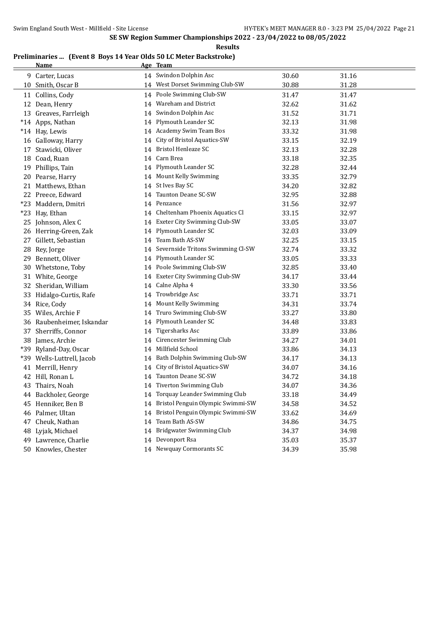**Results**

#### **Preliminaries ... (Event 8 Boys 14 Year Olds 50 LC Meter Backstroke) Name Age Team**

| 9 Carter, Lucas           |    | 14 Swindon Dolphin Asc               | 30.60 | 31.16 |
|---------------------------|----|--------------------------------------|-------|-------|
| 10 Smith, Oscar B         |    | 14 West Dorset Swimming Club-SW      | 30.88 | 31.28 |
| 11 Collins, Cody          |    | 14 Poole Swimming Club-SW            | 31.47 | 31.47 |
| 12 Dean, Henry            |    | 14 Wareham and District              | 32.62 | 31.62 |
| 13 Greaves, Farrleigh     |    | 14 Swindon Dolphin Asc               | 31.52 | 31.71 |
| *14 Apps, Nathan          |    | 14 Plymouth Leander SC               | 32.13 | 31.98 |
| *14 Hay, Lewis            |    | 14 Academy Swim Team Bos             | 33.32 | 31.98 |
| 16 Galloway, Harry        |    | 14 City of Bristol Aquatics-SW       | 33.15 | 32.19 |
| 17 Stawicki, Oliver       |    | 14 Bristol Henleaze SC               | 32.13 | 32.28 |
| 18 Coad, Ruan             |    | 14 Carn Brea                         | 33.18 | 32.35 |
| 19 Phillips, Tain         |    | 14 Plymouth Leander SC               | 32.28 | 32.44 |
| 20 Pearse, Harry          |    | 14 Mount Kelly Swimming              | 33.35 | 32.79 |
| 21 Matthews, Ethan        |    | 14 St Ives Bay SC                    | 34.20 | 32.82 |
| 22 Preece, Edward         |    | 14 Taunton Deane SC-SW               | 32.95 | 32.88 |
| *23 Maddern, Dmitri       |    | 14 Penzance                          | 31.56 | 32.97 |
| *23 Hay, Ethan            |    | 14 Cheltenham Phoenix Aquatics Cl    | 33.15 | 32.97 |
| 25 Johnson, Alex C        |    | 14 Exeter City Swimming Club-SW      | 33.05 | 33.07 |
| 26 Herring-Green, Zak     |    | 14 Plymouth Leander SC               | 32.03 | 33.09 |
| 27 Gillett, Sebastian     |    | 14 Team Bath AS-SW                   | 32.25 | 33.15 |
| 28 Rey, Jorge             |    | 14 Severnside Tritons Swimming Cl-SW | 32.74 | 33.32 |
| 29 Bennett, Oliver        |    | 14 Plymouth Leander SC               | 33.05 | 33.33 |
| 30 Whetstone, Toby        |    | 14 Poole Swimming Club-SW            | 32.85 | 33.40 |
| 31 White, George          |    | 14 Exeter City Swimming Club-SW      | 34.17 | 33.44 |
| 32 Sheridan, William      |    | 14 Calne Alpha 4                     | 33.30 | 33.56 |
| 33 Hidalgo-Curtis, Rafe   |    | 14 Trowbridge Asc                    | 33.71 | 33.71 |
| 34 Rice, Cody             |    | 14 Mount Kelly Swimming              | 34.31 | 33.74 |
| 35 Wiles, Archie F        |    | 14 Truro Swimming Club-SW            | 33.27 | 33.80 |
| 36 Raubenheimer, Iskandar |    | 14 Plymouth Leander SC               | 34.48 | 33.83 |
| 37 Sherriffs, Connor      |    | 14 Tigersharks Asc                   | 33.89 | 33.86 |
| 38 James, Archie          |    | 14 Cirencester Swimming Club         | 34.27 | 34.01 |
| *39 Ryland-Day, Oscar     |    | 14 Millfield School                  | 33.86 | 34.13 |
| *39 Wells-Luttrell, Jacob |    | 14 Bath Dolphin Swimming Club-SW     | 34.17 | 34.13 |
| 41 Merrill, Henry         |    | 14 City of Bristol Aquatics-SW       | 34.07 | 34.16 |
| 42 Hill, Ronan L          |    | 14 Taunton Deane SC-SW               | 34.72 | 34.18 |
| 43 Thairs, Noah           |    | 14 Tiverton Swimming Club            | 34.07 | 34.36 |
| 44 Backholer, George      | 14 | Torquay Leander Swimming Club        | 33.18 | 34.49 |
| 45 Henniker, Ben B        |    | 14 Bristol Penguin Olympic Swimmi-SW | 34.58 | 34.52 |
| 46 Palmer, Ultan          |    | 14 Bristol Penguin Olympic Swimmi-SW | 33.62 | 34.69 |
| 47 Cheuk, Nathan          |    | 14 Team Bath AS-SW                   | 34.86 | 34.75 |
| 48 Lyjak, Michael         |    | 14 Bridgwater Swimming Club          | 34.37 | 34.98 |
| 49 Lawrence, Charlie      |    | 14 Devonport Rsa                     | 35.03 | 35.37 |
| 50 Knowles, Chester       |    | 14 Newquay Cormorants SC             | 34.39 | 35.98 |
|                           |    |                                      |       |       |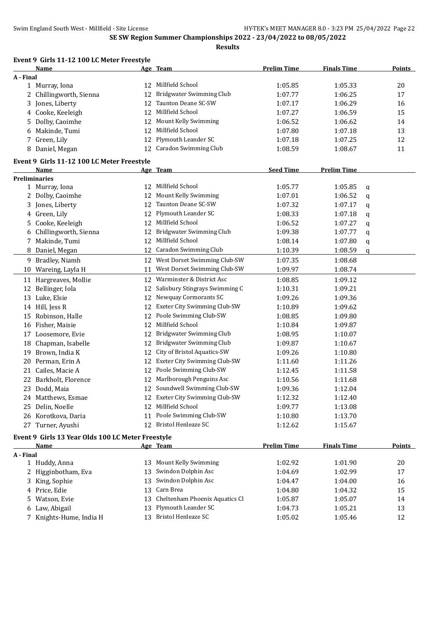**Event 9 Girls 11-12 100 LC Meter Freestyle**

**SE SW Region Summer Championships 2022 - 23/04/2022 to 08/05/2022**

**Results**

|           | Name                                       |    | Age Team                        | <b>Prelim Time</b> | <b>Finals Time</b> |   | <b>Points</b> |
|-----------|--------------------------------------------|----|---------------------------------|--------------------|--------------------|---|---------------|
| A - Final |                                            |    |                                 |                    |                    |   |               |
|           | 1 Murray, Iona                             |    | 12 Millfield School             | 1:05.85            | 1:05.33            |   | 20            |
|           | 2 Chillingworth, Sienna                    | 12 | Bridgwater Swimming Club        | 1:07.77            | 1:06.25            |   | 17            |
|           | 3 Jones, Liberty                           | 12 | Taunton Deane SC-SW             | 1:07.17            | 1:06.29            |   | 16            |
|           | 4 Cooke, Keeleigh                          |    | 12 Millfield School             | 1:07.27            | 1:06.59            |   | 15            |
|           | 5 Dolby, Caoimhe                           | 12 | Mount Kelly Swimming            | 1:06.52            | 1:06.62            |   | 14            |
|           | 6 Makinde, Tumi                            | 12 | Millfield School                | 1:07.80            | 1:07.18            |   | 13            |
|           | 7 Green, Lily                              | 12 | Plymouth Leander SC             | 1:07.18            | 1:07.25            |   | 12            |
|           | 8 Daniel, Megan                            |    | 12 Caradon Swimming Club        | 1:08.59            | 1:08.67            |   | 11            |
|           | Event 9 Girls 11-12 100 LC Meter Freestyle |    |                                 |                    |                    |   |               |
|           | Name                                       |    | Age Team                        | <b>Seed Time</b>   | <b>Prelim Time</b> |   |               |
|           | <b>Preliminaries</b>                       |    |                                 |                    |                    |   |               |
|           | 1 Murray, Iona                             | 12 | Millfield School                | 1:05.77            | 1:05.85            | q |               |
|           | 2 Dolby, Caoimhe                           |    | 12 Mount Kelly Swimming         | 1:07.01            | 1:06.52            | q |               |
| 3         | Jones, Liberty                             | 12 | Taunton Deane SC-SW             | 1:07.32            | 1:07.17            | q |               |
|           | 4 Green, Lily                              | 12 | Plymouth Leander SC             | 1:08.33            | 1:07.18            | q |               |
|           | 5 Cooke, Keeleigh                          | 12 | Millfield School                | 1:06.52            | 1:07.27            | q |               |
|           | 6 Chillingworth, Sienna                    | 12 | Bridgwater Swimming Club        | 1:09.38            | 1:07.77            | q |               |
|           | 7 Makinde, Tumi                            |    | 12 Millfield School             | 1:08.14            | 1:07.80            | q |               |
|           | 8 Daniel, Megan                            |    | 12 Caradon Swimming Club        | 1:10.39            | 1:08.59            | q |               |
|           | 9 Bradley, Niamh                           |    | 12 West Dorset Swimming Club-SW | 1:07.35            | 1:08.68            |   |               |
|           | 10 Wareing, Layla H                        | 11 | West Dorset Swimming Club-SW    | 1:09.97            | 1:08.74            |   |               |
|           | 11 Hargreaves, Mollie                      | 12 | Warminster & District Asc       | 1:08.85            | 1:09.12            |   |               |
| 12        | Bellinger, Iola                            | 12 | Salisbury Stingrays Swimming C  | 1:10.31            | 1:09.21            |   |               |
|           | 13 Luke, Elsie                             | 12 | Newquay Cormorants SC           | 1:09.26            | 1:09.36            |   |               |
|           | 14 Hill, Jess R                            | 12 | Exeter City Swimming Club-SW    | 1:10.89            | 1:09.62            |   |               |
|           | 15 Robinson, Halle                         | 12 | Poole Swimming Club-SW          | 1:08.85            | 1:09.80            |   |               |
|           | 16 Fisher, Maisie                          | 12 | Millfield School                | 1:10.84            | 1:09.87            |   |               |
|           | 17 Loosemore, Evie                         |    | 12 Bridgwater Swimming Club     | 1:08.95            | 1:10.07            |   |               |
|           | 18 Chapman, Isabelle                       | 12 | Bridgwater Swimming Club        | 1:09.87            | 1:10.67            |   |               |
|           | 19 Brown, India K                          | 12 | City of Bristol Aquatics-SW     | 1:09.26            | 1:10.80            |   |               |
|           | 20 Perman, Erin A                          | 12 | Exeter City Swimming Club-SW    | 1:11.60            | 1:11.26            |   |               |
|           | 21 Cailes, Macie A                         | 12 | Poole Swimming Club-SW          | 1:12.45            | 1:11.58            |   |               |
|           | 22 Barkholt, Florence                      | 12 | Marlborough Penguins Asc        | 1:10.56            | 1:11.68            |   |               |
|           | 23 Dodd, Maia                              |    | 12 Soundwell Swimming Club-SW   | 1:09.36            | 1:12.04            |   |               |
|           | 24 Matthews, Esmae                         | 12 | Exeter City Swimming Club-SW    | 1:12.32            | 1:12.40            |   |               |
|           | 25 Delin, Noelle                           | 12 | Millfield School                | 1:09.77            | 1:13.08            |   |               |
|           | 26 Korotkova, Daria                        | 11 | Poole Swimming Club-SW          | 1:10.80            | 1:13.70            |   |               |
|           | 27 Turner, Ayushi                          |    | 12 Bristol Henleaze SC          | 1:12.62            | 1:15.67            |   |               |
|           |                                            |    |                                 |                    |                    |   |               |

# **Event 9 Girls 13 Year Olds 100 LC Meter Freestyle**

|           | Name                    |     | Age Team                          | <b>Prelim Time</b> | <b>Finals Time</b> | <b>Points</b> |
|-----------|-------------------------|-----|-----------------------------------|--------------------|--------------------|---------------|
| A - Final |                         |     |                                   |                    |                    |               |
|           | 1 Huddy, Anna           | 13. | Mount Kelly Swimming              | 1:02.92            | 1:01.90            | 20            |
|           | 2 Higginbotham, Eva     |     | 13 Swindon Dolphin Asc            | 1:04.69            | 1:02.99            | 17            |
|           | 3 King, Sophie          |     | 13 Swindon Dolphin Asc            | 1:04.47            | 1:04.00            | 16            |
|           | 4 Price. Edie           |     | 13 Carn Brea                      | 1:04.80            | 1:04.32            | 15            |
|           | 5 Watson, Evie          |     | 13 Cheltenham Phoenix Aquatics Cl | 1:05.87            | 1:05.07            | 14            |
|           | 6 Law, Abigail          |     | 13 Plymouth Leander SC            | 1:04.73            | 1:05.21            | 13            |
|           | 7 Knights-Hume, India H | 13. | Bristol Henleaze SC               | 1:05.02            | 1:05.46            | 12            |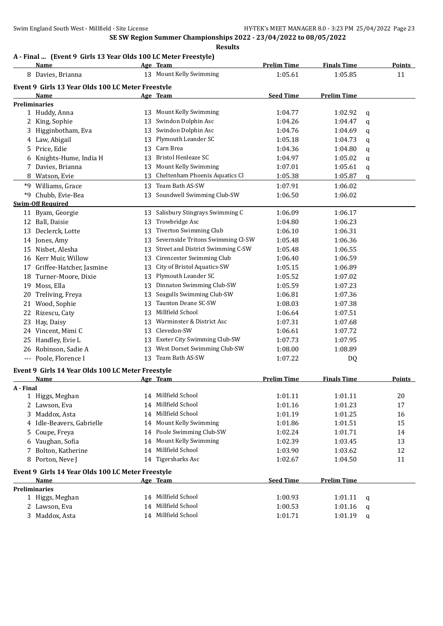#### **A - Final ... (Event 9 Girls 13 Year Olds 100 LC Meter Freestyle)**

|           | <b>Name</b>                                       |    | Age Team                          | <b>Prelim Time</b> | <b>Finals Time</b> |             | <b>Points</b> |
|-----------|---------------------------------------------------|----|-----------------------------------|--------------------|--------------------|-------------|---------------|
|           | 8 Davies, Brianna                                 |    | 13 Mount Kelly Swimming           | 1:05.61            | 1:05.85            |             | 11            |
|           | Event 9 Girls 13 Year Olds 100 LC Meter Freestyle |    |                                   |                    |                    |             |               |
|           | Name                                              |    | Age Team                          | <b>Seed Time</b>   | <b>Prelim Time</b> |             |               |
|           | <b>Preliminaries</b>                              |    |                                   |                    |                    |             |               |
|           | 1 Huddy, Anna                                     |    | 13 Mount Kelly Swimming           | 1:04.77            | 1:02.92            | q           |               |
| 2         | King, Sophie                                      | 13 | Swindon Dolphin Asc               | 1:04.26            | 1:04.47            | $\mathbf q$ |               |
| 3         | Higginbotham, Eva                                 | 13 | Swindon Dolphin Asc               | 1:04.76            | 1:04.69            | q           |               |
|           | 4 Law, Abigail                                    | 13 | Plymouth Leander SC               | 1:05.18            | 1:04.73            | q           |               |
| 5.        | Price, Edie                                       | 13 | Carn Brea                         | 1:04.36            | 1:04.80            | q           |               |
| 6         | Knights-Hume, India H                             | 13 | <b>Bristol Henleaze SC</b>        | 1:04.97            | 1:05.02            | q           |               |
| 7.        | Davies, Brianna                                   | 13 | Mount Kelly Swimming              | 1:07.01            | 1:05.61            | q           |               |
| 8         | Watson, Evie                                      | 13 | Cheltenham Phoenix Aquatics Cl    | 1:05.38            | 1:05.87            | q           |               |
|           | *9 Williams, Grace                                | 13 | Team Bath AS-SW                   | 1:07.91            | 1:06.02            |             |               |
| *9        | Chubb, Evie-Bea                                   |    | 13 Soundwell Swimming Club-SW     | 1:06.50            | 1:06.02            |             |               |
|           | <b>Swim-Off Required</b>                          |    |                                   |                    |                    |             |               |
|           | 11 Byam, Georgie                                  | 13 | Salisbury Stingrays Swimming C    | 1:06.09            | 1:06.17            |             |               |
|           | 12 Ball, Daisie                                   | 13 | Trowbridge Asc                    | 1:04.80            | 1:06.23            |             |               |
|           | 13 Declerck, Lotte                                | 13 | <b>Tiverton Swimming Club</b>     | 1:06.10            | 1:06.31            |             |               |
|           | 14 Jones, Amy                                     | 13 | Severnside Tritons Swimming Cl-SW | 1:05.48            | 1:06.36            |             |               |
|           | 15 Nisbet, Alesha                                 | 13 | Street and District Swimming C-SW | 1:05.48            | 1:06.55            |             |               |
|           | 16 Kerr Muir, Willow                              | 13 | Cirencester Swimming Club         | 1:06.40            | 1:06.59            |             |               |
|           | 17 Griffee-Hatcher, Jasmine                       | 13 | City of Bristol Aquatics-SW       | 1:05.15            | 1:06.89            |             |               |
|           | 18 Turner-Moore, Dixie                            | 13 | Plymouth Leander SC               | 1:05.52            | 1:07.02            |             |               |
|           | 19 Moss, Ella                                     | 13 | Dinnaton Swimming Club-SW         | 1:05.59            | 1:07.23            |             |               |
| 20        | Treliving, Freya                                  | 13 | Seagulls Swimming Club-SW         | 1:06.81            | 1:07.36            |             |               |
| 21        | Wood, Sophie                                      | 13 | Taunton Deane SC-SW               | 1:08.03            | 1:07.38            |             |               |
|           | 22 Rizescu, Caty                                  | 13 | Millfield School                  | 1:06.64            | 1:07.51            |             |               |
| 23        | Hay, Daisy                                        | 13 | Warminster & District Asc         | 1:07.31            | 1:07.68            |             |               |
|           | 24 Vincent, Mimi C                                | 13 | Clevedon-SW                       | 1:06.61            | 1:07.72            |             |               |
| 25        | Handley, Evie L                                   | 13 | Exeter City Swimming Club-SW      | 1:07.73            | 1:07.95            |             |               |
|           | 26 Robinson, Sadie A                              | 13 | West Dorset Swimming Club-SW      | 1:08.00            | 1:08.89            |             |               |
|           | --- Poole, Florence I                             |    | 13 Team Bath AS-SW                | 1:07.22            | DQ                 |             |               |
|           |                                                   |    |                                   |                    |                    |             |               |
|           | Event 9 Girls 14 Year Olds 100 LC Meter Freestyle |    |                                   |                    |                    |             |               |
|           | Name                                              |    | Age Team                          | <b>Prelim Time</b> | <b>Finals Time</b> |             | Points        |
| A - Final |                                                   |    | 14 Millfield School               |                    |                    |             |               |
|           | 1 Higgs, Meghan<br>2 Lawson, Eva                  |    | 14 Millfield School               | 1:01.11<br>1:01.16 | 1:01.11<br>1:01.23 |             | 20<br>17      |
|           |                                                   |    | 14 Millfield School               |                    |                    |             |               |
| 3         | Maddox, Asta                                      |    | 14 Mount Kelly Swimming           | 1:01.19            | 1:01.25            |             | 16            |
| 4         | Idle-Beavers, Gabrielle                           |    | Poole Swimming Club-SW            | 1:01.86            | 1:01.51            |             | 15            |
| 5.        | Coupe, Freya<br>6 Vaughan, Sofia                  | 14 | 14 Mount Kelly Swimming           | 1:02.24            | 1:01.71            |             | 14            |
|           |                                                   |    | 14 Millfield School               | 1:02.39            | 1:03.45            |             | 13            |
|           | 7 Bolton, Katherine<br>8 Porton, Neve J           |    | 14 Tigersharks Asc                | 1:03.90            | 1:03.62            |             | 12            |
|           |                                                   |    |                                   | 1:02.67            | 1:04.50            |             | 11            |
|           | Event 9 Girls 14 Year Olds 100 LC Meter Freestyle |    |                                   |                    |                    |             |               |
|           | Name                                              |    | Age Team                          | <b>Seed Time</b>   | <b>Prelim Time</b> |             |               |
|           | <b>Preliminaries</b>                              |    |                                   |                    |                    |             |               |
|           | 1 Higgs, Meghan                                   |    | 14 Millfield School               | 1:00.93            | 1:01.11            | q           |               |
|           | 2 Lawson, Eva                                     |    | 14 Millfield School               | 1:00.53            | 1:01.16            | q           |               |
|           | 3 Maddox, Asta                                    |    | 14 Millfield School               | 1:01.71            | 1:01.19            | q           |               |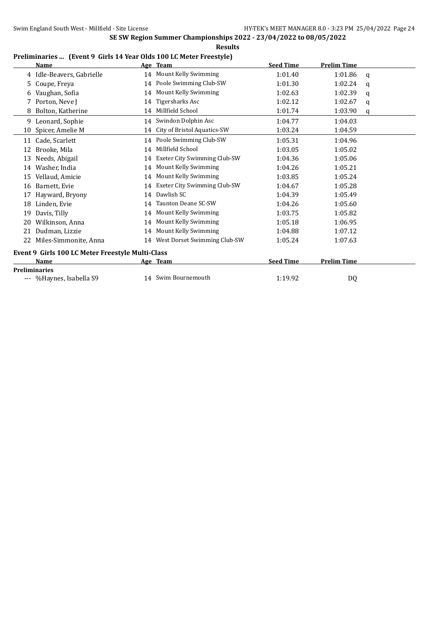|  | Preliminaries  (Event 9 Girls 14 Year Olds 100 LC Meter Freestyle) |  |
|--|--------------------------------------------------------------------|--|
|  |                                                                    |  |

|    | <b>Name</b>                                      |    | Age Team                     | <b>Seed Time</b> | <b>Prelim Time</b> |   |
|----|--------------------------------------------------|----|------------------------------|------------------|--------------------|---|
|    | 4 Idle-Beavers, Gabrielle                        |    | 14 Mount Kelly Swimming      | 1:01.40          | 1:01.86            | a |
| 5. | Coupe, Freya                                     | 14 | Poole Swimming Club-SW       | 1:01.30          | 1:02.24            | a |
|    | Vaughan, Sofia                                   | 14 | Mount Kelly Swimming         | 1:02.63          | 1:02.39            | q |
|    | Porton, Neve J                                   | 14 | Tigersharks Asc              | 1:02.12          | 1:02.67            | q |
| 8  | Bolton, Katherine                                | 14 | Millfield School             | 1:01.74          | 1:03.90            | q |
| 9. | Leonard, Sophie                                  | 14 | Swindon Dolphin Asc          | 1:04.77          | 1:04.03            |   |
| 10 | Spicer, Amelie M                                 | 14 | City of Bristol Aquatics-SW  | 1:03.24          | 1:04.59            |   |
| 11 | Cade, Scarlett                                   |    | 14 Poole Swimming Club-SW    | 1:05.31          | 1:04.96            |   |
| 12 | Brooke, Mila                                     | 14 | Millfield School             | 1:03.05          | 1:05.02            |   |
| 13 | Needs, Abigail                                   | 14 | Exeter City Swimming Club-SW | 1:04.36          | 1:05.06            |   |
| 14 | Washer, India                                    | 14 | Mount Kelly Swimming         | 1:04.26          | 1:05.21            |   |
| 15 | Vellaud, Amicie                                  | 14 | Mount Kelly Swimming         | 1:03.85          | 1:05.24            |   |
| 16 | Barnett, Evie                                    | 14 | Exeter City Swimming Club-SW | 1:04.67          | 1:05.28            |   |
| 17 | Hayward, Bryony                                  | 14 | Dawlish SC                   | 1:04.39          | 1:05.49            |   |
| 18 | Linden, Evie                                     | 14 | Taunton Deane SC-SW          | 1:04.26          | 1:05.60            |   |
| 19 | Davis, Tilly                                     | 14 | Mount Kelly Swimming         | 1:03.75          | 1:05.82            |   |
| 20 | Wilkinson, Anna                                  | 14 | Mount Kelly Swimming         | 1:05.18          | 1:06.95            |   |
| 21 | Dudman, Lizzie                                   | 14 | Mount Kelly Swimming         | 1:04.88          | 1:07.12            |   |
| 22 | Miles-Simmonite, Anna                            | 14 | West Dorset Swimming Club-SW | 1:05.24          | 1:07.63            |   |
|    | Event 9 Girls 100 LC Meter Freestyle Multi-Class |    |                              |                  |                    |   |
|    | Name                                             |    | Age Team                     | <b>Seed Time</b> | <b>Prelim Time</b> |   |
|    | <b>Preliminaries</b>                             |    |                              |                  |                    |   |
|    | --- %Haynes, Isabella S9                         |    | 14 Swim Bournemouth          | 1:19.92          | DQ                 |   |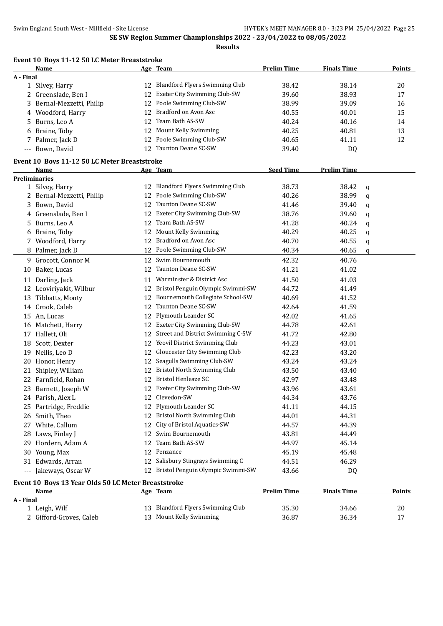|           | Event 10 Boys 11-12 50 LC Meter Breaststroke<br>Name |    | Age Team                                                              | <b>Prelim Time</b> | <b>Finals Time</b> |   | <b>Points</b> |
|-----------|------------------------------------------------------|----|-----------------------------------------------------------------------|--------------------|--------------------|---|---------------|
| A - Final |                                                      |    |                                                                       |                    |                    |   |               |
|           | 1 Silvey, Harry                                      | 12 | <b>Blandford Flyers Swimming Club</b>                                 | 38.42              | 38.14              |   | 20            |
| 2         | Greenslade, Ben I                                    | 12 | Exeter City Swimming Club-SW                                          | 39.60              | 38.93              |   | 17            |
| 3.        | Bernal-Mezzetti, Philip                              | 12 | Poole Swimming Club-SW                                                | 38.99              | 39.09              |   | 16            |
| 4         | Woodford, Harry                                      | 12 | Bradford on Avon Asc                                                  | 40.55              | 40.01              |   | 15            |
| 5         | Burns, Leo A                                         | 12 | Team Bath AS-SW                                                       | 40.24              | 40.16              |   | 14            |
| 6         | Braine, Toby                                         | 12 | Mount Kelly Swimming                                                  | 40.25              | 40.81              |   | 13            |
|           | 7 Palmer, Jack D                                     | 12 | Poole Swimming Club-SW                                                | 40.65              | 41.11              |   | 12            |
|           | --- Bown, David                                      | 12 | Taunton Deane SC-SW                                                   | 39.40              | DQ                 |   |               |
|           | Event 10 Boys 11-12 50 LC Meter Breaststroke         |    |                                                                       |                    |                    |   |               |
|           | Name                                                 |    | Age Team                                                              | <b>Seed Time</b>   | <b>Prelim Time</b> |   |               |
|           | <b>Preliminaries</b>                                 |    |                                                                       |                    |                    |   |               |
|           | 1 Silvey, Harry                                      |    | 12 Blandford Flyers Swimming Club                                     | 38.73              | 38.42              | q |               |
|           | 2 Bernal-Mezzetti, Philip                            |    | 12 Poole Swimming Club-SW                                             | 40.26              | 38.99              | q |               |
| 3         | Bown, David                                          |    | 12 Taunton Deane SC-SW                                                | 41.46              | 39.40              | q |               |
| 4         | Greenslade, Ben I                                    |    | 12 Exeter City Swimming Club-SW                                       | 38.76              | 39.60              | q |               |
| 5.        | Burns, Leo A                                         | 12 | Team Bath AS-SW                                                       | 41.28              | 40.24              | q |               |
| 6         | Braine, Toby                                         | 12 | Mount Kelly Swimming                                                  | 40.29              | 40.25              | q |               |
|           | 7 Woodford, Harry                                    | 12 | Bradford on Avon Asc                                                  | 40.70              | 40.55              | q |               |
|           | 8 Palmer, Jack D                                     | 12 | Poole Swimming Club-SW                                                | 40.34              | 40.65              | q |               |
|           | 9 Grocott, Connor M                                  | 12 | Swim Bournemouth                                                      | 42.32              | 40.76              |   |               |
| 10        | Baker, Lucas                                         | 12 | <b>Taunton Deane SC-SW</b>                                            | 41.21              | 41.02              |   |               |
|           |                                                      |    | Warminster & District Asc                                             |                    |                    |   |               |
|           | 11 Darling, Jack                                     | 11 |                                                                       | 41.50              | 41.03              |   |               |
|           | 12 Leoviriyakit, Wilbur                              | 12 | Bristol Penguin Olympic Swimmi-SW<br>Bournemouth Collegiate School-SW | 44.72              | 41.49              |   |               |
|           | 13 Tibbatts, Monty                                   | 12 | Taunton Deane SC-SW                                                   | 40.69              | 41.52              |   |               |
|           | 14 Crook, Caleb                                      | 12 |                                                                       | 42.64              | 41.59              |   |               |
|           | 15 An, Lucas                                         | 12 | Plymouth Leander SC                                                   | 42.02              | 41.65              |   |               |
|           | 16 Matchett, Harry                                   |    | 12 Exeter City Swimming Club-SW                                       | 44.78              | 42.61              |   |               |
|           | 17 Hallett, Oli                                      |    | 12 Street and District Swimming C-SW                                  | 41.72              | 42.80              |   |               |
| 18        | Scott, Dexter                                        |    | 12 Yeovil District Swimming Club                                      | 44.23              | 43.01              |   |               |
| 19        | Nellis, Leo D                                        | 12 | Gloucester City Swimming Club                                         | 42.23              | 43.20              |   |               |
| 20        | Honor, Henry                                         | 12 | Seagulls Swimming Club-SW                                             | 43.24              | 43.24              |   |               |
| 21        | Shipley, William                                     |    | 12 Bristol North Swimming Club                                        | 43.50              | 43.40              |   |               |
|           | 22 Farnfield, Rohan                                  |    | 12 Bristol Henleaze SC                                                | 42.97              | 43.48              |   |               |
|           | 23 Barnett, Joseph W                                 |    | 12 Exeter City Swimming Club-SW                                       | 43.96              | 43.61              |   |               |
|           | 24 Parish, Alex L                                    |    | 12 Clevedon-SW                                                        | 44.34              | 43.76              |   |               |
|           | 25 Partridge, Freddie                                | 12 | Plymouth Leander SC                                                   | 41.11              | 44.15              |   |               |
|           | 26 Smith, Theo                                       | 12 | Bristol North Swimming Club                                           | 44.01              | 44.31              |   |               |
|           | 27 White, Callum                                     |    | 12 City of Bristol Aquatics-SW                                        | 44.57              | 44.39              |   |               |
|           | 28 Laws, Finlay J                                    |    | 12 Swim Bournemouth                                                   | 43.81              | 44.49              |   |               |
|           | 29 Hordern, Adam A                                   | 12 | Team Bath AS-SW                                                       | 44.97              | 45.14              |   |               |
|           | 30 Young, Max                                        |    | 12 Penzance                                                           | 45.19              | 45.48              |   |               |
|           | 31 Edwards, Arran                                    |    | 12 Salisbury Stingrays Swimming C                                     | 44.51              | 46.29              |   |               |
|           | --- Jakeways, Oscar W                                |    | 12 Bristol Penguin Olympic Swimmi-SW                                  | 43.66              | DQ                 |   |               |
|           | Event 10 Boys 13 Year Olds 50 LC Meter Breaststroke  |    |                                                                       |                    |                    |   |               |
|           | <b>Name</b>                                          |    | Age Team                                                              | <b>Prelim Time</b> | <b>Finals Time</b> |   | <b>Points</b> |
| A - Final |                                                      |    |                                                                       |                    |                    |   |               |
|           | 1 Leigh, Wilf                                        |    | 13 Blandford Flyers Swimming Club                                     | 35.30              | 34.66              |   | 20            |
|           | 2 Gifford-Groves, Caleb                              |    | 13 Mount Kelly Swimming                                               | 36.87              | 36.34              |   | 17            |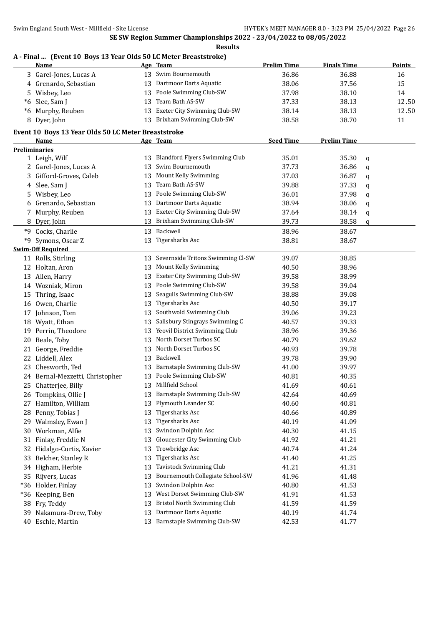**Results**

#### **A - Final ... (Event 10 Boys 13 Year Olds 50 LC Meter Breaststroke)**

|     | <b>Name</b>                                         |    | <u>Age Team</u>                      | <b>Prelim Time</b> | <b>Finals Time</b> |   | <b>Points</b> |
|-----|-----------------------------------------------------|----|--------------------------------------|--------------------|--------------------|---|---------------|
|     | 3 Garel-Jones, Lucas A                              |    | 13 Swim Bournemouth                  | 36.86              | 36.88              |   | 16            |
|     | 4 Grenardo, Sebastian                               |    | 13 Dartmoor Darts Aquatic            | 38.06              | 37.56              |   | 15            |
|     | 5 Wisbey, Leo                                       |    | 13 Poole Swimming Club-SW            | 37.98              | 38.10              |   | 14            |
|     | *6 Slee, Sam J                                      |    | 13 Team Bath AS-SW                   | 37.33              | 38.13              |   | 12.50         |
|     | *6 Murphy, Reuben                                   |    | 13 Exeter City Swimming Club-SW      | 38.14              | 38.13              |   | 12.50         |
|     | 8 Dyer, John                                        |    | 13 Brixham Swimming Club-SW          | 38.58              | 38.70              |   | 11            |
|     | Event 10 Boys 13 Year Olds 50 LC Meter Breaststroke |    |                                      |                    |                    |   |               |
|     | Name                                                |    | Age Team                             | <b>Seed Time</b>   | <b>Prelim Time</b> |   |               |
|     | <b>Preliminaries</b>                                |    |                                      |                    |                    |   |               |
|     | 1 Leigh, Wilf                                       |    | 13 Blandford Flyers Swimming Club    | 35.01              | 35.30              | q |               |
|     | 2 Garel-Jones, Lucas A                              | 13 | Swim Bournemouth                     | 37.73              | 36.86              | q |               |
|     | 3 Gifford-Groves, Caleb                             |    | 13 Mount Kelly Swimming              | 37.03              | 36.87              | q |               |
|     | 4 Slee, Sam J                                       | 13 | Team Bath AS-SW                      | 39.88              | 37.33              | q |               |
|     | 5 Wisbey, Leo                                       | 13 | Poole Swimming Club-SW               | 36.01              | 37.98              | q |               |
|     | 6 Grenardo, Sebastian                               | 13 | Dartmoor Darts Aquatic               | 38.94              | 38.06              | q |               |
| 7   | Murphy, Reuben                                      | 13 | Exeter City Swimming Club-SW         | 37.64              | 38.14              | q |               |
|     | 8 Dyer, John                                        | 13 | Brixham Swimming Club-SW             | 39.73              | 38.58              | q |               |
|     | *9 Cocks, Charlie                                   |    | 13 Backwell                          | 38.96              | 38.67              |   |               |
|     | *9 Symons, Oscar Z                                  |    | 13 Tigersharks Asc                   | 38.81              | 38.67              |   |               |
|     | <b>Swim-Off Required</b>                            |    |                                      |                    |                    |   |               |
|     | 11 Rolls, Stirling                                  |    | 13 Severnside Tritons Swimming Cl-SW | 39.07              | 38.85              |   |               |
|     | 12 Holtan, Aron                                     |    | 13 Mount Kelly Swimming              | 40.50              | 38.96              |   |               |
|     | 13 Allen, Harry                                     |    | 13 Exeter City Swimming Club-SW      | 39.58              | 38.99              |   |               |
|     | 14 Wozniak, Miron                                   |    | 13 Poole Swimming Club-SW            | 39.58              | 39.04              |   |               |
|     | 15 Thring, Isaac                                    | 13 | Seagulls Swimming Club-SW            | 38.88              | 39.08              |   |               |
|     | 16 Owen, Charlie                                    | 13 | <b>Tigersharks Asc</b>               | 40.50              | 39.17              |   |               |
|     | 17 Johnson, Tom                                     | 13 | Southwold Swimming Club              | 39.06              | 39.23              |   |               |
|     | 18 Wyatt, Ethan                                     | 13 | Salisbury Stingrays Swimming C       | 40.57              | 39.33              |   |               |
|     | 19 Perrin, Theodore                                 |    | 13 Yeovil District Swimming Club     | 38.96              | 39.36              |   |               |
|     | 20 Beale, Toby                                      |    | 13 North Dorset Turbos SC            | 40.79              | 39.62              |   |               |
|     | 21 George, Freddie                                  |    | 13 North Dorset Turbos SC            | 40.93              | 39.78              |   |               |
|     | 22 Liddell, Alex                                    |    | 13 Backwell                          | 39.78              | 39.90              |   |               |
|     | 23 Chesworth, Ted                                   |    | 13 Barnstaple Swimming Club-SW       | 41.00              | 39.97              |   |               |
|     | 24 Bernal-Mezzetti, Christopher                     |    | 13 Poole Swimming Club-SW            | 40.81              | 40.35              |   |               |
|     | 25 Chatterjee, Billy                                |    | 13 Millfield School                  | 41.69              | 40.61              |   |               |
|     | 26 Tompkins, Ollie J                                |    | 13 Barnstaple Swimming Club-SW       | 42.64              | 40.69              |   |               |
|     | 27 Hamilton, William                                |    | 13 Plymouth Leander SC               | 40.60              | 40.81              |   |               |
|     | 28 Penny, Tobias J                                  | 13 | Tigersharks Asc                      | 40.66              | 40.89              |   |               |
|     | 29 Walmsley, Ewan J                                 | 13 | Tigersharks Asc                      | 40.19              | 41.09              |   |               |
|     | 30 Workman, Alfie                                   | 13 | Swindon Dolphin Asc                  | 40.30              | 41.15              |   |               |
| 31  | Finlay, Freddie N                                   | 13 | Gloucester City Swimming Club        | 41.92              | 41.21              |   |               |
| 32  | Hidalgo-Curtis, Xavier                              | 13 | Trowbridge Asc                       | 40.74              | 41.24              |   |               |
| 33  | Belcher, Stanley R                                  | 13 | <b>Tigersharks Asc</b>               | 41.40              | 41.25              |   |               |
| 34  | Higham, Herbie                                      | 13 | Tavistock Swimming Club              | 41.21              | 41.31              |   |               |
| 35  | Rijvers, Lucas                                      | 13 | Bournemouth Collegiate School-SW     | 41.96              | 41.48              |   |               |
|     | *36 Holder, Finlay                                  | 13 | Swindon Dolphin Asc                  | 40.80              | 41.53              |   |               |
| *36 | Keeping, Ben                                        | 13 | West Dorset Swimming Club-SW         | 41.91              | 41.53              |   |               |
| 38  | Fry, Teddy                                          | 13 | Bristol North Swimming Club          | 41.59              | 41.59              |   |               |
| 39  | Nakamura-Drew, Toby                                 | 13 | Dartmoor Darts Aquatic               | 40.19              | 41.74              |   |               |
| 40  | Eschle, Martin                                      |    | 13 Barnstaple Swimming Club-SW       | 42.53              | 41.77              |   |               |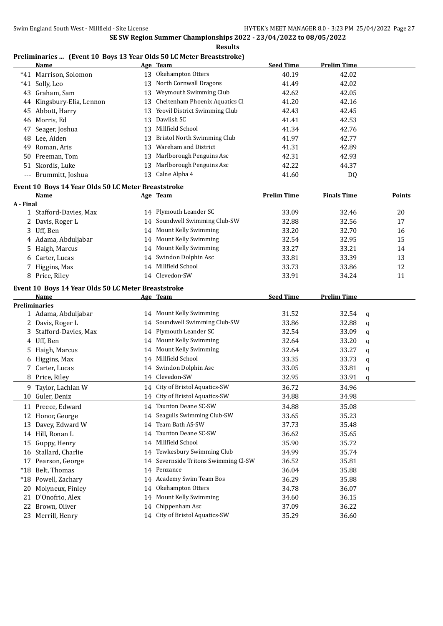#### **Results**

#### **Preliminaries ... (Event 10 Boys 13 Year Olds 50 LC Meter Breaststroke)**

|                     | <b>Name</b>                                         |    | Age Team                          | <b>Seed Time</b>   | <b>Prelim Time</b> |   |        |
|---------------------|-----------------------------------------------------|----|-----------------------------------|--------------------|--------------------|---|--------|
|                     | *41 Marrison, Solomon                               | 13 | Okehampton Otters                 | 40.19              | 42.02              |   |        |
|                     | *41 Solly, Leo                                      | 13 | North Cornwall Dragons            | 41.49              | 42.02              |   |        |
|                     | 43 Graham, Sam                                      | 13 | Weymouth Swimming Club            | 42.62              | 42.05              |   |        |
|                     | 44 Kingsbury-Elia, Lennon                           | 13 | Cheltenham Phoenix Aquatics Cl    | 41.20              | 42.16              |   |        |
|                     | 45 Abbott, Harry                                    | 13 | Yeovil District Swimming Club     | 42.43              | 42.45              |   |        |
|                     | 46 Morris, Ed                                       | 13 | Dawlish SC                        | 41.41              | 42.53              |   |        |
|                     | 47 Seager, Joshua                                   | 13 | Millfield School                  | 41.34              | 42.76              |   |        |
|                     | 48 Lee, Aiden                                       | 13 | Bristol North Swimming Club       | 41.97              | 42.77              |   |        |
| 49                  | Roman, Aris                                         | 13 | Wareham and District              | 41.31              | 42.89              |   |        |
|                     | 50 Freeman, Tom                                     | 13 | Marlborough Penguins Asc          | 42.31              | 42.93              |   |        |
| 51                  | Skordis, Luke                                       | 13 | Marlborough Penguins Asc          | 42.22              | 44.37              |   |        |
| $\qquad \qquad - -$ | Brummitt, Joshua                                    |    | 13 Calne Alpha 4                  | 41.60              | DQ                 |   |        |
|                     |                                                     |    |                                   |                    |                    |   |        |
|                     | Event 10 Boys 14 Year Olds 50 LC Meter Breaststroke |    |                                   |                    |                    |   |        |
|                     | <b>Name</b>                                         |    | Age Team                          | <b>Prelim Time</b> | <b>Finals Time</b> |   | Points |
| A - Final           |                                                     |    |                                   |                    |                    |   |        |
|                     | 1 Stafford-Davies, Max                              |    | 14 Plymouth Leander SC            | 33.09              | 32.46              |   | 20     |
|                     | 2 Davis, Roger L                                    |    | 14 Soundwell Swimming Club-SW     | 32.88              | 32.56              |   | 17     |
|                     | 3 Uff, Ben                                          |    | 14 Mount Kelly Swimming           | 33.20              | 32.70              |   | 16     |
|                     | 4 Adama, Abduljabar                                 |    | 14 Mount Kelly Swimming           | 32.54              | 32.95              |   | 15     |
| 5.                  | Haigh, Marcus                                       |    | 14 Mount Kelly Swimming           | 33.27              | 33.21              |   | 14     |
|                     | 6 Carter, Lucas                                     | 14 | Swindon Dolphin Asc               | 33.81              | 33.39              |   | 13     |
| 7                   | Higgins, Max                                        |    | 14 Millfield School               | 33.73              | 33.86              |   | 12     |
|                     | 8 Price, Riley                                      |    | 14 Clevedon-SW                    | 33.91              | 34.24              |   | 11     |
|                     | Event 10 Boys 14 Year Olds 50 LC Meter Breaststroke |    |                                   |                    |                    |   |        |
|                     | Name                                                |    | Age Team                          | <b>Seed Time</b>   | <b>Prelim Time</b> |   |        |
|                     | <b>Preliminaries</b>                                |    |                                   |                    |                    |   |        |
|                     | 1 Adama, Abduljabar                                 |    | 14 Mount Kelly Swimming           | 31.52              | 32.54              | q |        |
|                     | 2 Davis, Roger L                                    |    | 14 Soundwell Swimming Club-SW     | 33.86              | 32.88              | q |        |
|                     | 3 Stafford-Davies, Max                              |    | 14 Plymouth Leander SC            | 32.54              | 33.09              | q |        |
|                     | 4 Uff, Ben                                          |    | 14 Mount Kelly Swimming           | 32.64              | 33.20              | q |        |
|                     | 5 Haigh, Marcus                                     | 14 | Mount Kelly Swimming              | 32.64              | 33.27              | q |        |
|                     | 6 Higgins, Max                                      |    | 14 Millfield School               | 33.35              | 33.73              | q |        |
|                     | 7 Carter, Lucas                                     |    | 14 Swindon Dolphin Asc            | 33.05              | 33.81              | q |        |
|                     | 8 Price, Riley                                      |    | 14 Clevedon-SW                    | 32.95              | 33.91              | q |        |
|                     | 9 Taylor, Lachlan W                                 |    | 14 City of Bristol Aquatics-SW    | 36.72              | 34.96              |   |        |
|                     | 10 Guler, Deniz                                     |    | 14 City of Bristol Aquatics-SW    | 34.88              | 34.98              |   |        |
|                     |                                                     |    |                                   |                    |                    |   |        |
|                     | 11 Preece, Edward                                   |    | 14 Taunton Deane SC-SW            | 34.88              | 35.08              |   |        |
| 12                  | Honor, George                                       | 14 | Seagulls Swimming Club-SW         | 33.65              | 35.23              |   |        |
| 13                  | Davey, Edward W                                     | 14 | Team Bath AS-SW                   | 37.73              | 35.48              |   |        |
|                     | 14 Hill, Ronan L                                    | 14 | Taunton Deane SC-SW               | 36.62              | 35.65              |   |        |
| 15                  | Guppy, Henry                                        | 14 | Millfield School                  | 35.90              | 35.72              |   |        |
|                     | 16 Stallard, Charlie                                | 14 | Tewkesbury Swimming Club          | 34.99              | 35.74              |   |        |
|                     | 17 Pearson, George                                  | 14 | Severnside Tritons Swimming Cl-SW | 36.52              | 35.81              |   |        |
| $*18$               | Belt, Thomas                                        | 14 | Penzance                          | 36.04              | 35.88              |   |        |
| $*18$               | Powell, Zachary                                     |    | 14 Academy Swim Team Bos          | 36.29              | 35.88              |   |        |
| 20                  | Molyneux, Finley                                    |    | Okehampton Otters                 | 34.78              | 36.07              |   |        |
|                     |                                                     | 14 |                                   |                    |                    |   |        |
| 21                  | D'Onofrio, Alex                                     | 14 | Mount Kelly Swimming              | 34.60              | 36.15              |   |        |
| 22                  | Brown, Oliver                                       | 14 | Chippenham Asc                    | 37.09              | 36.22              |   |        |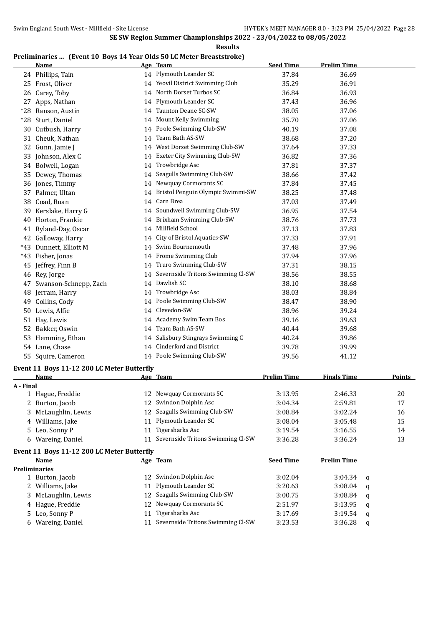**Results**

#### **Preliminaries ... (Event 10 Boys 14 Year Olds 50 LC Meter Breaststroke)**

|           | <b>Name</b>                                |    | Age Team                                      | <b>Seed Time</b>   | <b>Prelim Time</b> |             |               |
|-----------|--------------------------------------------|----|-----------------------------------------------|--------------------|--------------------|-------------|---------------|
|           | 24 Phillips, Tain                          |    | 14 Plymouth Leander SC                        | 37.84              | 36.69              |             |               |
|           | 25 Frost, Oliver                           |    | 14 Yeovil District Swimming Club              | 35.29              | 36.91              |             |               |
| 26        | Carey, Toby                                | 14 | North Dorset Turbos SC                        | 36.84              | 36.93              |             |               |
|           | 27 Apps, Nathan                            | 14 | Plymouth Leander SC                           | 37.43              | 36.96              |             |               |
|           | *28 Ranson, Austin                         |    | 14 Taunton Deane SC-SW                        | 38.05              | 37.06              |             |               |
|           | *28 Sturt, Daniel                          |    | 14 Mount Kelly Swimming                       | 35.70              | 37.06              |             |               |
|           | 30 Cutbush, Harry                          |    | 14 Poole Swimming Club-SW                     | 40.19              | 37.08              |             |               |
|           | 31 Cheuk, Nathan                           | 14 | Team Bath AS-SW                               | 38.68              | 37.20              |             |               |
|           | 32 Gunn, Jamie J                           |    | 14 West Dorset Swimming Club-SW               | 37.64              | 37.33              |             |               |
|           | 33 Johnson, Alex C                         |    | 14 Exeter City Swimming Club-SW               | 36.82              | 37.36              |             |               |
|           | 34 Bolwell, Logan                          | 14 | Trowbridge Asc                                | 37.81              | 37.37              |             |               |
|           | 35 Dewey, Thomas                           | 14 | Seagulls Swimming Club-SW                     | 38.66              | 37.42              |             |               |
|           | 36 Jones, Timmy                            |    | 14 Newquay Cormorants SC                      | 37.84              | 37.45              |             |               |
|           | 37 Palmer, Ultan                           |    | 14 Bristol Penguin Olympic Swimmi-SW          | 38.25              | 37.48              |             |               |
|           | 38 Coad, Ruan                              |    | 14 Carn Brea                                  | 37.03              | 37.49              |             |               |
| 39        | Kerslake, Harry G                          |    | 14 Soundwell Swimming Club-SW                 | 36.95              | 37.54              |             |               |
| 40        | Horton, Frankie                            |    | 14 Brixham Swimming Club-SW                   | 38.76              | 37.73              |             |               |
|           | 41 Ryland-Day, Oscar                       |    | 14 Millfield School                           | 37.13              | 37.83              |             |               |
|           | 42 Galloway, Harry                         |    | 14 City of Bristol Aquatics-SW                | 37.33              | 37.91              |             |               |
|           | *43 Dunnett, Elliott M                     | 14 | Swim Bournemouth                              | 37.48              | 37.96              |             |               |
|           | *43 Fisher, Jonas                          |    | 14 Frome Swimming Club                        | 37.94              | 37.96              |             |               |
|           | 45 Jeffrey, Finn B                         |    | 14 Truro Swimming Club-SW                     | 37.31              | 38.15              |             |               |
|           | 46 Rey, Jorge                              |    | 14 Severnside Tritons Swimming Cl-SW          | 38.56              | 38.55              |             |               |
| 47        | Swanson-Schnepp, Zach                      |    | 14 Dawlish SC                                 | 38.10              | 38.68              |             |               |
|           | 48 Jerram, Harry                           |    | 14 Trowbridge Asc                             | 38.03              | 38.84              |             |               |
| 49        | Collins, Cody                              | 14 | Poole Swimming Club-SW                        | 38.47              | 38.90              |             |               |
|           | 50 Lewis, Alfie                            |    | 14 Clevedon-SW                                | 38.96              | 39.24              |             |               |
| 51        | Hay, Lewis                                 |    | 14 Academy Swim Team Bos                      | 39.16              | 39.63              |             |               |
| 52        | Bakker, Oswin                              |    | 14 Team Bath AS-SW                            | 40.44              | 39.68              |             |               |
|           | Hemming, Ethan                             | 14 | Salisbury Stingrays Swimming C                | 40.24              | 39.86              |             |               |
| 53        | 54 Lane, Chase                             |    | 14 Cinderford and District                    | 39.78              | 39.99              |             |               |
|           | 55 Squire, Cameron                         |    | 14 Poole Swimming Club-SW                     |                    |                    |             |               |
|           |                                            |    |                                               | 39.56              | 41.12              |             |               |
|           | Event 11 Boys 11-12 200 LC Meter Butterfly |    |                                               |                    |                    |             |               |
|           | <b>Name</b>                                |    | <u>Age Team</u>                               | <b>Prelim Time</b> | <b>Finals Time</b> |             | <b>Points</b> |
| A - Final | 1 Hague, Freddie                           |    | 12 Newquay Cormorants SC                      | 3:13.95            | 2:46.33            |             | $20\,$        |
|           |                                            |    | 12 Swindon Dolphin Asc                        |                    | 2:59.81            |             | 17            |
|           | 2 Burton, Jacob<br>3 McLaughlin, Lewis     | 12 | Seagulls Swimming Club-SW                     | 3:04.34<br>3:08.84 | 3:02.24            |             | 16            |
|           | 4 Williams, Jake                           | 11 | Plymouth Leander SC                           |                    |                    |             | 15            |
|           |                                            |    | 11 Tigersharks Asc                            | 3:08.04            | 3:05.48            |             |               |
|           | 5 Leo, Sonny P                             |    | 11 Severnside Tritons Swimming Cl-SW          | 3:19.54            | 3:16.55            |             | 14            |
|           | 6 Wareing, Daniel                          |    |                                               | 3:36.28            | 3:36.24            |             | 13            |
|           | Event 11 Boys 11-12 200 LC Meter Butterfly |    |                                               |                    |                    |             |               |
|           | Name                                       |    | Age Team                                      | <b>Seed Time</b>   | <b>Prelim Time</b> |             |               |
|           | <b>Preliminaries</b>                       |    |                                               |                    |                    |             |               |
|           | 1 Burton, Jacob                            |    | 12 Swindon Dolphin Asc<br>Plymouth Leander SC | 3:02.04            | 3:04.34            | q           |               |
|           | 2 Williams, Jake                           | 11 |                                               | 3:20.63            | 3:08.04            | q           |               |
|           | 3 McLaughlin, Lewis                        |    | 12 Seagulls Swimming Club-SW                  | 3:00.75            | 3:08.84            | q           |               |
|           | 4 Hague, Freddie                           | 12 | Newquay Cormorants SC                         | 2:51.97            | 3:13.95            | q           |               |
|           | 5 Leo, Sonny P                             | 11 | <b>Tigersharks Asc</b>                        | 3:17.69            | 3:19.54            | q           |               |
|           | 6 Wareing, Daniel                          |    | 11 Severnside Tritons Swimming Cl-SW          | 3:23.53            | 3:36.28            | $\mathbf q$ |               |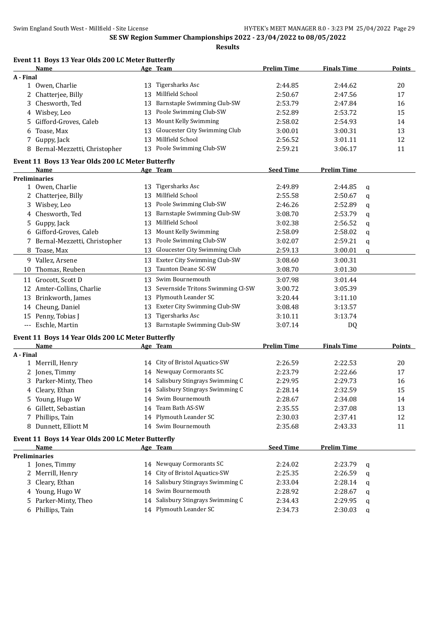|           |                                                   |    | <b>Results</b>                       |                    |                    |   |               |
|-----------|---------------------------------------------------|----|--------------------------------------|--------------------|--------------------|---|---------------|
|           | Event 11 Boys 13 Year Olds 200 LC Meter Butterfly |    |                                      |                    |                    |   |               |
|           | Name                                              |    | Age Team                             | <b>Prelim Time</b> | <b>Finals Time</b> |   | <b>Points</b> |
| A - Final |                                                   |    |                                      |                    |                    |   |               |
|           | 1 Owen, Charlie                                   |    | 13 Tigersharks Asc                   | 2:44.85            | 2:44.62            |   | 20            |
|           | 2 Chatterjee, Billy                               |    | 13 Millfield School                  | 2:50.67            | 2:47.56            |   | 17            |
| 3         | Chesworth, Ted                                    |    | 13 Barnstaple Swimming Club-SW       | 2:53.79            | 2:47.84            |   | 16            |
|           | 4 Wisbey, Leo                                     |    | 13 Poole Swimming Club-SW            | 2:52.89            | 2:53.72            |   | 15            |
| 5         | Gifford-Groves, Caleb                             | 13 | Mount Kelly Swimming                 | 2:58.02            | 2:54.93            |   | 14            |
| 6         | Toase, Max                                        | 13 | Gloucester City Swimming Club        | 3:00.01            | 3:00.31            |   | 13            |
| 7         | Guppy, Jack                                       | 13 | Millfield School                     | 2:56.52            | 3:01.11            |   | 12            |
|           | 8 Bernal-Mezzetti, Christopher                    |    | 13 Poole Swimming Club-SW            | 2:59.21            | 3:06.17            |   | 11            |
|           | Event 11 Boys 13 Year Olds 200 LC Meter Butterfly |    |                                      |                    |                    |   |               |
|           | Name                                              |    | Age Team                             | <b>Seed Time</b>   | <b>Prelim Time</b> |   |               |
|           | <b>Preliminaries</b>                              |    |                                      |                    |                    |   |               |
|           | 1 Owen, Charlie                                   |    | 13 Tigersharks Asc                   | 2:49.89            | 2:44.85            | q |               |
|           | 2 Chatterjee, Billy                               |    | 13 Millfield School                  | 2:55.58            | 2:50.67            | q |               |
|           | 3 Wisbey, Leo                                     |    | 13 Poole Swimming Club-SW            | 2:46.26            | 2:52.89            | q |               |
| 4         | Chesworth, Ted                                    | 13 | Barnstaple Swimming Club-SW          | 3:08.70            | 2:53.79            | q |               |
| 5         | Guppy, Jack                                       | 13 | Millfield School                     | 3:02.38            | 2:56.52            | q |               |
|           | 6 Gifford-Groves, Caleb                           | 13 | Mount Kelly Swimming                 | 2:58.09            | 2:58.02            | q |               |
|           | 7 Bernal-Mezzetti, Christopher                    |    | 13 Poole Swimming Club-SW            | 3:02.07            | 2:59.21            | q |               |
|           | 8 Toase, Max                                      |    | 13 Gloucester City Swimming Club     | 2:59.13            | 3:00.01            | a |               |
|           | 9 Vallez, Arsene                                  |    | 13 Exeter City Swimming Club-SW      | 3:08.60            | 3:00.31            |   |               |
| 10        | Thomas, Reuben                                    | 13 | Taunton Deane SC-SW                  | 3:08.70            | 3:01.30            |   |               |
|           | 11 Grocott, Scott D                               |    | 13 Swim Bournemouth                  | 3:07.98            | 3:01.44            |   |               |
|           | 12 Amter-Collins, Charlie                         |    | 13 Severnside Tritons Swimming Cl-SW | 3:00.72            | 3:05.39            |   |               |
|           |                                                   |    | 13 Plymouth Leander SC               | 3:20.44            | 3:11.10            |   |               |
|           | 13 Brinkworth, James                              |    | 13 Exeter City Swimming Club-SW      |                    |                    |   |               |
|           | 14 Cheung, Daniel                                 |    |                                      | 3:08.48            | 3:13.57            |   |               |
|           | 15 Penny, Tobias J                                |    | 13 Tigersharks Asc                   | 3:10.11            | 3:13.74            |   |               |
|           | --- Eschle, Martin                                |    | 13 Barnstaple Swimming Club-SW       | 3:07.14            | DQ                 |   |               |
|           | Event 11 Boys 14 Year Olds 200 LC Meter Butterfly |    |                                      |                    |                    |   |               |
|           | Name                                              |    | Age Team                             | <b>Prelim Time</b> | <b>Finals Time</b> |   | <b>Points</b> |
| A - Final | 1 Merrill, Henry                                  |    | 14 City of Bristol Aquatics-SW       | 2:26.59            | 2:22.53            |   | 20            |
|           |                                                   |    | 14 Newquay Cormorants SC             | 2:23.79            |                    |   | 17            |
|           | 2 Jones, Timmy<br>3 Parker-Minty, Theo            |    | 14 Salisbury Stingrays Swimming C    | 2:29.95            | 2:22.66            |   |               |
|           |                                                   |    | 14 Salisbury Stingrays Swimming C    |                    | 2:29.73            |   | 16            |
|           | 4 Cleary, Ethan                                   |    |                                      | 2:28.14            | 2:32.59            |   | 15            |
| 5.        | Young, Hugo W                                     |    | 14 Swim Bournemouth                  | 2:28.67            | 2:34.08            |   | 14            |
|           | 6 Gillett, Sebastian                              |    | 14 Team Bath AS-SW                   | 2:35.55            | 2:37.08            |   | 13            |
|           | 7 Phillips, Tain                                  |    | 14 Plymouth Leander SC               | 2:30.03            | 2:37.41            |   | 12            |
|           | 8 Dunnett, Elliott M                              |    | 14 Swim Bournemouth                  | 2:35.68            | 2:43.33            |   | 11            |
|           | Event 11 Boys 14 Year Olds 200 LC Meter Butterfly |    |                                      |                    |                    |   |               |
|           | <u>Name</u>                                       |    | Age Team                             | <b>Seed Time</b>   | <b>Prelim Time</b> |   |               |
|           | <b>Preliminaries</b>                              |    |                                      |                    |                    |   |               |
|           | 1 Jones, Timmy                                    |    | 14 Newquay Cormorants SC             | 2:24.02            | 2:23.79            | q |               |
|           | 2 Merrill, Henry                                  |    | 14 City of Bristol Aquatics-SW       | 2:25.35            | 2:26.59            | q |               |
|           | 3 Cleary, Ethan                                   |    | 14 Salisbury Stingrays Swimming C    | 2:33.04            | 2:28.14            | q |               |
|           | 4 Young, Hugo W                                   |    | 14 Swim Bournemouth                  | 2:28.92            | 2:28.67            | q |               |
| 5.        | Parker-Minty, Theo                                |    | 14 Salisbury Stingrays Swimming C    | 2:34.43            | 2:29.95            | q |               |
|           | 6 Phillips, Tain                                  |    | 14 Plymouth Leander SC               | 2:34.73            | 2:30.03            | q |               |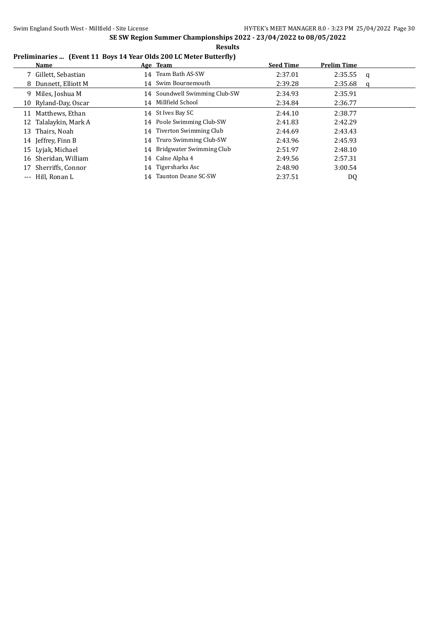## **Preliminaries ... (Event 11 Boys 14 Year Olds 200 LC Meter Butterfly)**

| Name                    | Age Team                      | <b>Seed Time</b> | <b>Prelim Time</b> |          |
|-------------------------|-------------------------------|------------------|--------------------|----------|
| 7 Gillett, Sebastian    | 14 Team Bath AS-SW            | 2:37.01          | 2:35.55            | <b>q</b> |
| 8 Dunnett, Elliott M    | 14 Swim Bournemouth           | 2:39.28          | 2:35.68            | q        |
| 9 Miles, Joshua M       | 14 Soundwell Swimming Club-SW | 2:34.93          | 2:35.91            |          |
| 10 Ryland-Day, Oscar    | 14 Millfield School           | 2:34.84          | 2:36.77            |          |
| Matthews, Ethan<br>11   | 14 St Ives Bay SC             | 2:44.10          | 2:38.77            |          |
| 12 Talalaykin, Mark A   | 14 Poole Swimming Club-SW     | 2:41.83          | 2:42.29            |          |
| Thairs, Noah<br>13      | 14 Tiverton Swimming Club     | 2:44.69          | 2:43.43            |          |
| 14 Jeffrey, Finn B      | 14 Truro Swimming Club-SW     | 2:43.96          | 2:45.93            |          |
| 15 Lyjak, Michael       | 14 Bridgwater Swimming Club   | 2:51.97          | 2:48.10            |          |
| 16 Sheridan, William    | 14 Calne Alpha 4              | 2:49.56          | 2:57.31            |          |
| Sherriffs, Connor<br>17 | 14 Tigersharks Asc            | 2:48.90          | 3:00.54            |          |
| --- Hill, Ronan L       | 14 Taunton Deane SC-SW        | 2:37.51          | DQ                 |          |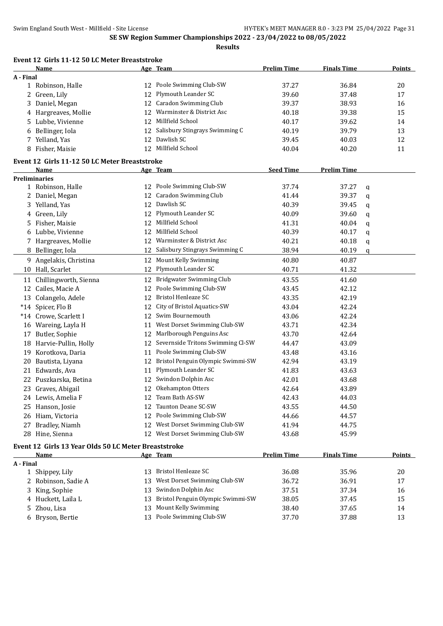|           | Event 12 Girls 11-12 50 LC Meter Breaststroke<br>Name |          | Age Team                             | <b>Prelim Time</b> | <b>Finals Time</b> |   | <b>Points</b> |
|-----------|-------------------------------------------------------|----------|--------------------------------------|--------------------|--------------------|---|---------------|
| A - Final |                                                       |          |                                      |                    |                    |   |               |
|           | 1 Robinson, Halle                                     |          | 12 Poole Swimming Club-SW            | 37.27              | 36.84              |   | 20            |
|           | 2 Green, Lily                                         | 12       | Plymouth Leander SC                  | 39.60              | 37.48              |   | 17            |
| 3         | Daniel, Megan                                         | 12       | Caradon Swimming Club                | 39.37              | 38.93              |   | 16            |
|           | 4 Hargreaves, Mollie                                  | 12       | Warminster & District Asc            | 40.18              | 39.38              |   | 15            |
|           | 5 Lubbe, Vivienne                                     | 12       | Millfield School                     | 40.17              | 39.62              |   | 14            |
|           | 6 Bellinger, Iola                                     | 12       | Salisbury Stingrays Swimming C       | 40.19              | 39.79              |   | 13            |
|           | 7 Yelland, Yas                                        | 12       | Dawlish SC                           | 39.45              | 40.03              |   | 12            |
|           | 8 Fisher, Maisie                                      |          | 12 Millfield School                  | 40.04              | 40.20              |   | 11            |
|           | Event 12 Girls 11-12 50 LC Meter Breaststroke         |          |                                      |                    |                    |   |               |
|           | Name                                                  |          | Age Team                             | <b>Seed Time</b>   | <b>Prelim Time</b> |   |               |
|           | <b>Preliminaries</b>                                  |          |                                      |                    |                    |   |               |
|           | 1 Robinson, Halle                                     |          | 12 Poole Swimming Club-SW            | 37.74              | 37.27              | q |               |
|           | 2 Daniel, Megan                                       |          | 12 Caradon Swimming Club             | 41.44              | 39.37              | q |               |
|           | 3 Yelland, Yas                                        |          | 12 Dawlish SC                        | 40.39              | 39.45              | q |               |
|           | 4 Green, Lily                                         |          | 12 Plymouth Leander SC               | 40.09              | 39.60              | q |               |
|           | 5 Fisher, Maisie                                      |          | 12 Millfield School                  | 41.31              | 40.04              | q |               |
|           | 6 Lubbe, Vivienne                                     |          | 12 Millfield School                  | 40.39              | 40.17              | q |               |
|           | 7 Hargreaves, Mollie                                  |          | 12 Warminster & District Asc         | 40.21              | 40.18              | q |               |
|           | 8 Bellinger, Iola                                     | 12       | Salisbury Stingrays Swimming C       | 38.94              | 40.19              | q |               |
|           | 9 Angelakis, Christina                                | 12       | Mount Kelly Swimming                 | 40.80              | 40.87              |   |               |
|           | 10 Hall, Scarlet                                      | 12       | Plymouth Leander SC                  | 40.71              | 41.32              |   |               |
|           | Chillingworth, Sienna                                 | 12       | Bridgwater Swimming Club             | 43.55              | 41.60              |   |               |
| 11<br>12  | Cailes, Macie A                                       | 12       | Poole Swimming Club-SW               | 43.45              | 42.12              |   |               |
|           |                                                       | 12       | <b>Bristol Henleaze SC</b>           | 43.35              | 42.19              |   |               |
|           | 13 Colangelo, Adele                                   |          | City of Bristol Aquatics-SW          |                    |                    |   |               |
|           | *14 Spicer, Flo B                                     | 12       | 12 Swim Bournemouth                  | 43.04              | 42.24              |   |               |
|           | *14 Crowe, Scarlett I                                 |          | 11 West Dorset Swimming Club-SW      | 43.06              | 42.24              |   |               |
|           | 16 Wareing, Layla H                                   |          |                                      | 43.71              | 42.34              |   |               |
| 17        | Butler, Sophie                                        |          | 12 Marlborough Penguins Asc          | 43.70              | 42.64              |   |               |
|           | 18 Harvie-Pullin, Holly                               |          | 12 Severnside Tritons Swimming Cl-SW | 44.47              | 43.09              |   |               |
|           | 19 Korotkova, Daria                                   |          | 11 Poole Swimming Club-SW            | 43.48              | 43.16              |   |               |
|           | 20 Bautista, Liyana                                   |          | 12 Bristol Penguin Olympic Swimmi-SW | 42.94              | 43.19              |   |               |
| 21        | Edwards, Ava                                          | 11       | Plymouth Leander SC                  | 41.83              | 43.63              |   |               |
|           | 22 Puszkarska, Betina                                 |          | 12 Swindon Dolphin Asc               | 42.01              | 43.68              |   |               |
|           | 23 Graves, Abigail                                    |          | 12 Okehampton Otters                 | 42.64              | 43.89              |   |               |
|           | 24 Lewis, Amelia F                                    |          | 12 Team Bath AS-SW                   | 42.43              | 44.03              |   |               |
|           | 25 Hanson, Josie                                      | 12       | Taunton Deane SC-SW                  | 43.55              | 44.50              |   |               |
|           | 26 Hiam, Victoria                                     |          | 12 Poole Swimming Club-SW            | 44.66              | 44.57              |   |               |
|           | 27 Bradley, Niamh                                     |          | 12 West Dorset Swimming Club-SW      | 41.94              | 44.75              |   |               |
|           | 28 Hine, Sienna                                       |          | 12 West Dorset Swimming Club-SW      | 43.68              | 45.99              |   |               |
|           | Event 12 Girls 13 Year Olds 50 LC Meter Breaststroke  |          |                                      |                    |                    |   |               |
|           | Name                                                  |          | Age Team                             | <b>Prelim Time</b> | <b>Finals Time</b> |   | <b>Points</b> |
| A - Final | 1 Shippey, Lily                                       | 13       | Bristol Henleaze SC                  | 36.08              | 35.96              |   | 20            |
|           | 2 Robinson, Sadie A                                   | 13       | West Dorset Swimming Club-SW         | 36.72              | 36.91              |   | 17            |
|           |                                                       |          | Swindon Dolphin Asc                  | 37.51              | 37.34              |   |               |
|           | 3 King, Sophie                                        | 13<br>13 | Bristol Penguin Olympic Swimmi-SW    | 38.05              |                    |   | 16            |
|           | 4 Huckett, Laila L<br>5 Zhou, Lisa                    |          | Mount Kelly Swimming                 |                    | 37.45              |   | 15            |
|           |                                                       | 13       | 13 Poole Swimming Club-SW            | 38.40<br>37.70     | 37.65<br>37.88     |   | 14<br>13      |
|           | 6 Bryson, Bertie                                      |          |                                      |                    |                    |   |               |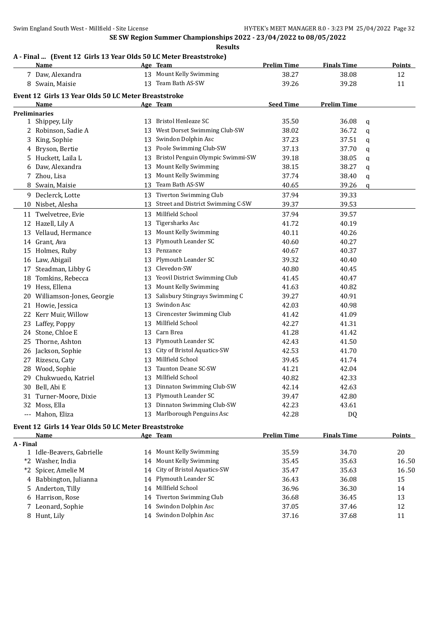#### **Results**

# **A - Final ... (Event 12 Girls 13 Year Olds 50 LC Meter Breaststroke)**

| 13 Mount Kelly Swimming<br>38.27<br>7 Daw, Alexandra<br>38.08<br>12<br>13 Team Bath AS-SW<br>8 Swain, Maisie<br>39.26<br>39.28<br>11<br>Event 12 Girls 13 Year Olds 50 LC Meter Breaststroke<br><b>Seed Time</b><br><b>Prelim Time</b><br>Name<br>Age Team<br><b>Preliminaries</b><br>Bristol Henleaze SC<br>35.50<br>36.08<br>1 Shippey, Lily<br>13<br>q<br>West Dorset Swimming Club-SW<br>2 Robinson, Sadie A<br>38.02<br>36.72<br>13<br>q<br>Swindon Dolphin Asc<br>37.51<br>3 King, Sophie<br>13<br>37.23<br>q<br>Poole Swimming Club-SW<br>4 Bryson, Bertie<br>37.70<br>13<br>37.13<br>q<br>Bristol Penguin Olympic Swimmi-SW<br>5 Huckett, Laila L<br>38.05<br>13<br>39.18<br>q<br>Mount Kelly Swimming<br>6 Daw, Alexandra<br>38.27<br>13<br>38.15<br>q<br>Mount Kelly Swimming<br>7 Zhou, Lisa<br>13<br>37.74<br>38.40<br>q<br>Team Bath AS-SW<br>40.65<br>8 Swain, Maisie<br>13<br>39.26<br>q<br>13 Tiverton Swimming Club<br>9 Declerck, Lotte<br>37.94<br>39.33<br>Street and District Swimming C-SW<br>10 Nisbet, Alesha<br>39.37<br>39.53<br>13<br>Millfield School<br>11 Twelvetree, Evie<br>37.94<br>39.57<br>13<br>Tigersharks Asc<br>12 Hazell, Lily A<br>41.72<br>40.19<br>13<br>Mount Kelly Swimming<br>40.26<br>13 Vellaud, Hermance<br>40.11<br>13<br>Plymouth Leander SC<br>40.27<br>14 Grant, Ava<br>40.60<br>13<br>Penzance<br>15 Holmes, Ruby<br>13<br>40.37<br>40.67<br>Plymouth Leander SC<br>16 Law, Abigail<br>39.32<br>40.40<br>13<br>Clevedon-SW<br>Steadman, Libby G<br>13<br>40.80<br>40.45<br>17<br>Yeovil District Swimming Club<br>18 Tomkins, Rebecca<br>40.47<br>13<br>41.45<br>Mount Kelly Swimming<br>Hess, Ellena<br>40.82<br>19<br>13<br>41.63<br>Salisbury Stingrays Swimming C<br>20 Williamson-Jones, Georgie<br>40.91<br>13<br>39.27<br>Swindon Asc<br>40.98<br>Howie, Jessica<br>13<br>42.03<br>21<br>Cirencester Swimming Club<br>Kerr Muir, Willow<br>41.09<br>22<br>41.42<br>13<br>Millfield School<br>42.27<br>41.31<br>23<br>Laffey, Poppy<br>13<br>Carn Brea<br>Stone, Chloe E<br>41.42<br>13<br>41.28<br>24<br>Plymouth Leander SC<br>25 Thorne, Ashton<br>42.43<br>41.50<br>13<br>City of Bristol Aquatics-SW<br>26 Jackson, Sophie<br>42.53<br>41.70<br>13<br>Millfield School<br>Rizescu, Caty<br>39.45<br>41.74<br>27<br>13<br>Taunton Deane SC-SW<br>28 Wood, Sophie<br>41.21<br>42.04<br>13<br>13 Millfield School<br>Chukwuedo, Katriel<br>40.82<br>42.33<br>29<br>13 Dinnaton Swimming Club-SW<br>30 Bell, Abi E<br>42.14<br>42.63<br>13 Plymouth Leander SC<br>31 Turner-Moore, Dixie<br>39.47<br>42.80<br>Dinnaton Swimming Club-SW<br>32 Moss, Ella<br>42.23<br>43.61<br>13<br>Marlborough Penguins Asc<br>--- Mahon, Eliza<br>42.28<br>13<br>DQ<br>Event 12 Girls 14 Year Olds 50 LC Meter Breaststroke<br><b>Prelim Time</b><br>Name<br>Age Team<br><b>Finals Time</b><br>Points<br>A - Final<br>14 Mount Kelly Swimming<br>34.70<br>20<br>1 Idle-Beavers, Gabrielle<br>35.59<br>Mount Kelly Swimming<br>*2 Washer, India<br>35.63<br>35.45<br>16.50<br>14<br>City of Bristol Aquatics-SW<br>Spicer, Amelie M<br>35.47<br>35.63<br>16.50<br>$*2$<br>14<br>Plymouth Leander SC<br>4 Babbington, Julianna<br>36.43<br>36.08<br>15<br>14<br>Millfield School<br>Anderton, Tilly<br>36.96<br>36.30<br>14<br>14<br>5.<br>Tiverton Swimming Club<br>6 Harrison, Rose<br>36.68<br>13<br>36.45<br>14<br>14 Swindon Dolphin Asc<br>7 Leonard, Sophie<br>37.05<br>37.46<br>12 | Name | Age Team | <b>Prelim Time</b> | <b>Finals Time</b> | <b>Points</b> |
|-----------------------------------------------------------------------------------------------------------------------------------------------------------------------------------------------------------------------------------------------------------------------------------------------------------------------------------------------------------------------------------------------------------------------------------------------------------------------------------------------------------------------------------------------------------------------------------------------------------------------------------------------------------------------------------------------------------------------------------------------------------------------------------------------------------------------------------------------------------------------------------------------------------------------------------------------------------------------------------------------------------------------------------------------------------------------------------------------------------------------------------------------------------------------------------------------------------------------------------------------------------------------------------------------------------------------------------------------------------------------------------------------------------------------------------------------------------------------------------------------------------------------------------------------------------------------------------------------------------------------------------------------------------------------------------------------------------------------------------------------------------------------------------------------------------------------------------------------------------------------------------------------------------------------------------------------------------------------------------------------------------------------------------------------------------------------------------------------------------------------------------------------------------------------------------------------------------------------------------------------------------------------------------------------------------------------------------------------------------------------------------------------------------------------------------------------------------------------------------------------------------------------------------------------------------------------------------------------------------------------------------------------------------------------------------------------------------------------------------------------------------------------------------------------------------------------------------------------------------------------------------------------------------------------------------------------------------------------------------------------------------------------------------------------------------------------------------------------------------------------------------------------------------------------------------------------------------------------------------------------------------------------------------------------------------------------------------------------------------------------------------------------------------------------------------------|------|----------|--------------------|--------------------|---------------|
|                                                                                                                                                                                                                                                                                                                                                                                                                                                                                                                                                                                                                                                                                                                                                                                                                                                                                                                                                                                                                                                                                                                                                                                                                                                                                                                                                                                                                                                                                                                                                                                                                                                                                                                                                                                                                                                                                                                                                                                                                                                                                                                                                                                                                                                                                                                                                                                                                                                                                                                                                                                                                                                                                                                                                                                                                                                                                                                                                                                                                                                                                                                                                                                                                                                                                                                                                                                                                                         |      |          |                    |                    |               |
|                                                                                                                                                                                                                                                                                                                                                                                                                                                                                                                                                                                                                                                                                                                                                                                                                                                                                                                                                                                                                                                                                                                                                                                                                                                                                                                                                                                                                                                                                                                                                                                                                                                                                                                                                                                                                                                                                                                                                                                                                                                                                                                                                                                                                                                                                                                                                                                                                                                                                                                                                                                                                                                                                                                                                                                                                                                                                                                                                                                                                                                                                                                                                                                                                                                                                                                                                                                                                                         |      |          |                    |                    |               |
|                                                                                                                                                                                                                                                                                                                                                                                                                                                                                                                                                                                                                                                                                                                                                                                                                                                                                                                                                                                                                                                                                                                                                                                                                                                                                                                                                                                                                                                                                                                                                                                                                                                                                                                                                                                                                                                                                                                                                                                                                                                                                                                                                                                                                                                                                                                                                                                                                                                                                                                                                                                                                                                                                                                                                                                                                                                                                                                                                                                                                                                                                                                                                                                                                                                                                                                                                                                                                                         |      |          |                    |                    |               |
|                                                                                                                                                                                                                                                                                                                                                                                                                                                                                                                                                                                                                                                                                                                                                                                                                                                                                                                                                                                                                                                                                                                                                                                                                                                                                                                                                                                                                                                                                                                                                                                                                                                                                                                                                                                                                                                                                                                                                                                                                                                                                                                                                                                                                                                                                                                                                                                                                                                                                                                                                                                                                                                                                                                                                                                                                                                                                                                                                                                                                                                                                                                                                                                                                                                                                                                                                                                                                                         |      |          |                    |                    |               |
|                                                                                                                                                                                                                                                                                                                                                                                                                                                                                                                                                                                                                                                                                                                                                                                                                                                                                                                                                                                                                                                                                                                                                                                                                                                                                                                                                                                                                                                                                                                                                                                                                                                                                                                                                                                                                                                                                                                                                                                                                                                                                                                                                                                                                                                                                                                                                                                                                                                                                                                                                                                                                                                                                                                                                                                                                                                                                                                                                                                                                                                                                                                                                                                                                                                                                                                                                                                                                                         |      |          |                    |                    |               |
|                                                                                                                                                                                                                                                                                                                                                                                                                                                                                                                                                                                                                                                                                                                                                                                                                                                                                                                                                                                                                                                                                                                                                                                                                                                                                                                                                                                                                                                                                                                                                                                                                                                                                                                                                                                                                                                                                                                                                                                                                                                                                                                                                                                                                                                                                                                                                                                                                                                                                                                                                                                                                                                                                                                                                                                                                                                                                                                                                                                                                                                                                                                                                                                                                                                                                                                                                                                                                                         |      |          |                    |                    |               |
|                                                                                                                                                                                                                                                                                                                                                                                                                                                                                                                                                                                                                                                                                                                                                                                                                                                                                                                                                                                                                                                                                                                                                                                                                                                                                                                                                                                                                                                                                                                                                                                                                                                                                                                                                                                                                                                                                                                                                                                                                                                                                                                                                                                                                                                                                                                                                                                                                                                                                                                                                                                                                                                                                                                                                                                                                                                                                                                                                                                                                                                                                                                                                                                                                                                                                                                                                                                                                                         |      |          |                    |                    |               |
|                                                                                                                                                                                                                                                                                                                                                                                                                                                                                                                                                                                                                                                                                                                                                                                                                                                                                                                                                                                                                                                                                                                                                                                                                                                                                                                                                                                                                                                                                                                                                                                                                                                                                                                                                                                                                                                                                                                                                                                                                                                                                                                                                                                                                                                                                                                                                                                                                                                                                                                                                                                                                                                                                                                                                                                                                                                                                                                                                                                                                                                                                                                                                                                                                                                                                                                                                                                                                                         |      |          |                    |                    |               |
|                                                                                                                                                                                                                                                                                                                                                                                                                                                                                                                                                                                                                                                                                                                                                                                                                                                                                                                                                                                                                                                                                                                                                                                                                                                                                                                                                                                                                                                                                                                                                                                                                                                                                                                                                                                                                                                                                                                                                                                                                                                                                                                                                                                                                                                                                                                                                                                                                                                                                                                                                                                                                                                                                                                                                                                                                                                                                                                                                                                                                                                                                                                                                                                                                                                                                                                                                                                                                                         |      |          |                    |                    |               |
|                                                                                                                                                                                                                                                                                                                                                                                                                                                                                                                                                                                                                                                                                                                                                                                                                                                                                                                                                                                                                                                                                                                                                                                                                                                                                                                                                                                                                                                                                                                                                                                                                                                                                                                                                                                                                                                                                                                                                                                                                                                                                                                                                                                                                                                                                                                                                                                                                                                                                                                                                                                                                                                                                                                                                                                                                                                                                                                                                                                                                                                                                                                                                                                                                                                                                                                                                                                                                                         |      |          |                    |                    |               |
|                                                                                                                                                                                                                                                                                                                                                                                                                                                                                                                                                                                                                                                                                                                                                                                                                                                                                                                                                                                                                                                                                                                                                                                                                                                                                                                                                                                                                                                                                                                                                                                                                                                                                                                                                                                                                                                                                                                                                                                                                                                                                                                                                                                                                                                                                                                                                                                                                                                                                                                                                                                                                                                                                                                                                                                                                                                                                                                                                                                                                                                                                                                                                                                                                                                                                                                                                                                                                                         |      |          |                    |                    |               |
|                                                                                                                                                                                                                                                                                                                                                                                                                                                                                                                                                                                                                                                                                                                                                                                                                                                                                                                                                                                                                                                                                                                                                                                                                                                                                                                                                                                                                                                                                                                                                                                                                                                                                                                                                                                                                                                                                                                                                                                                                                                                                                                                                                                                                                                                                                                                                                                                                                                                                                                                                                                                                                                                                                                                                                                                                                                                                                                                                                                                                                                                                                                                                                                                                                                                                                                                                                                                                                         |      |          |                    |                    |               |
|                                                                                                                                                                                                                                                                                                                                                                                                                                                                                                                                                                                                                                                                                                                                                                                                                                                                                                                                                                                                                                                                                                                                                                                                                                                                                                                                                                                                                                                                                                                                                                                                                                                                                                                                                                                                                                                                                                                                                                                                                                                                                                                                                                                                                                                                                                                                                                                                                                                                                                                                                                                                                                                                                                                                                                                                                                                                                                                                                                                                                                                                                                                                                                                                                                                                                                                                                                                                                                         |      |          |                    |                    |               |
|                                                                                                                                                                                                                                                                                                                                                                                                                                                                                                                                                                                                                                                                                                                                                                                                                                                                                                                                                                                                                                                                                                                                                                                                                                                                                                                                                                                                                                                                                                                                                                                                                                                                                                                                                                                                                                                                                                                                                                                                                                                                                                                                                                                                                                                                                                                                                                                                                                                                                                                                                                                                                                                                                                                                                                                                                                                                                                                                                                                                                                                                                                                                                                                                                                                                                                                                                                                                                                         |      |          |                    |                    |               |
|                                                                                                                                                                                                                                                                                                                                                                                                                                                                                                                                                                                                                                                                                                                                                                                                                                                                                                                                                                                                                                                                                                                                                                                                                                                                                                                                                                                                                                                                                                                                                                                                                                                                                                                                                                                                                                                                                                                                                                                                                                                                                                                                                                                                                                                                                                                                                                                                                                                                                                                                                                                                                                                                                                                                                                                                                                                                                                                                                                                                                                                                                                                                                                                                                                                                                                                                                                                                                                         |      |          |                    |                    |               |
|                                                                                                                                                                                                                                                                                                                                                                                                                                                                                                                                                                                                                                                                                                                                                                                                                                                                                                                                                                                                                                                                                                                                                                                                                                                                                                                                                                                                                                                                                                                                                                                                                                                                                                                                                                                                                                                                                                                                                                                                                                                                                                                                                                                                                                                                                                                                                                                                                                                                                                                                                                                                                                                                                                                                                                                                                                                                                                                                                                                                                                                                                                                                                                                                                                                                                                                                                                                                                                         |      |          |                    |                    |               |
|                                                                                                                                                                                                                                                                                                                                                                                                                                                                                                                                                                                                                                                                                                                                                                                                                                                                                                                                                                                                                                                                                                                                                                                                                                                                                                                                                                                                                                                                                                                                                                                                                                                                                                                                                                                                                                                                                                                                                                                                                                                                                                                                                                                                                                                                                                                                                                                                                                                                                                                                                                                                                                                                                                                                                                                                                                                                                                                                                                                                                                                                                                                                                                                                                                                                                                                                                                                                                                         |      |          |                    |                    |               |
|                                                                                                                                                                                                                                                                                                                                                                                                                                                                                                                                                                                                                                                                                                                                                                                                                                                                                                                                                                                                                                                                                                                                                                                                                                                                                                                                                                                                                                                                                                                                                                                                                                                                                                                                                                                                                                                                                                                                                                                                                                                                                                                                                                                                                                                                                                                                                                                                                                                                                                                                                                                                                                                                                                                                                                                                                                                                                                                                                                                                                                                                                                                                                                                                                                                                                                                                                                                                                                         |      |          |                    |                    |               |
|                                                                                                                                                                                                                                                                                                                                                                                                                                                                                                                                                                                                                                                                                                                                                                                                                                                                                                                                                                                                                                                                                                                                                                                                                                                                                                                                                                                                                                                                                                                                                                                                                                                                                                                                                                                                                                                                                                                                                                                                                                                                                                                                                                                                                                                                                                                                                                                                                                                                                                                                                                                                                                                                                                                                                                                                                                                                                                                                                                                                                                                                                                                                                                                                                                                                                                                                                                                                                                         |      |          |                    |                    |               |
|                                                                                                                                                                                                                                                                                                                                                                                                                                                                                                                                                                                                                                                                                                                                                                                                                                                                                                                                                                                                                                                                                                                                                                                                                                                                                                                                                                                                                                                                                                                                                                                                                                                                                                                                                                                                                                                                                                                                                                                                                                                                                                                                                                                                                                                                                                                                                                                                                                                                                                                                                                                                                                                                                                                                                                                                                                                                                                                                                                                                                                                                                                                                                                                                                                                                                                                                                                                                                                         |      |          |                    |                    |               |
|                                                                                                                                                                                                                                                                                                                                                                                                                                                                                                                                                                                                                                                                                                                                                                                                                                                                                                                                                                                                                                                                                                                                                                                                                                                                                                                                                                                                                                                                                                                                                                                                                                                                                                                                                                                                                                                                                                                                                                                                                                                                                                                                                                                                                                                                                                                                                                                                                                                                                                                                                                                                                                                                                                                                                                                                                                                                                                                                                                                                                                                                                                                                                                                                                                                                                                                                                                                                                                         |      |          |                    |                    |               |
|                                                                                                                                                                                                                                                                                                                                                                                                                                                                                                                                                                                                                                                                                                                                                                                                                                                                                                                                                                                                                                                                                                                                                                                                                                                                                                                                                                                                                                                                                                                                                                                                                                                                                                                                                                                                                                                                                                                                                                                                                                                                                                                                                                                                                                                                                                                                                                                                                                                                                                                                                                                                                                                                                                                                                                                                                                                                                                                                                                                                                                                                                                                                                                                                                                                                                                                                                                                                                                         |      |          |                    |                    |               |
|                                                                                                                                                                                                                                                                                                                                                                                                                                                                                                                                                                                                                                                                                                                                                                                                                                                                                                                                                                                                                                                                                                                                                                                                                                                                                                                                                                                                                                                                                                                                                                                                                                                                                                                                                                                                                                                                                                                                                                                                                                                                                                                                                                                                                                                                                                                                                                                                                                                                                                                                                                                                                                                                                                                                                                                                                                                                                                                                                                                                                                                                                                                                                                                                                                                                                                                                                                                                                                         |      |          |                    |                    |               |
|                                                                                                                                                                                                                                                                                                                                                                                                                                                                                                                                                                                                                                                                                                                                                                                                                                                                                                                                                                                                                                                                                                                                                                                                                                                                                                                                                                                                                                                                                                                                                                                                                                                                                                                                                                                                                                                                                                                                                                                                                                                                                                                                                                                                                                                                                                                                                                                                                                                                                                                                                                                                                                                                                                                                                                                                                                                                                                                                                                                                                                                                                                                                                                                                                                                                                                                                                                                                                                         |      |          |                    |                    |               |
|                                                                                                                                                                                                                                                                                                                                                                                                                                                                                                                                                                                                                                                                                                                                                                                                                                                                                                                                                                                                                                                                                                                                                                                                                                                                                                                                                                                                                                                                                                                                                                                                                                                                                                                                                                                                                                                                                                                                                                                                                                                                                                                                                                                                                                                                                                                                                                                                                                                                                                                                                                                                                                                                                                                                                                                                                                                                                                                                                                                                                                                                                                                                                                                                                                                                                                                                                                                                                                         |      |          |                    |                    |               |
|                                                                                                                                                                                                                                                                                                                                                                                                                                                                                                                                                                                                                                                                                                                                                                                                                                                                                                                                                                                                                                                                                                                                                                                                                                                                                                                                                                                                                                                                                                                                                                                                                                                                                                                                                                                                                                                                                                                                                                                                                                                                                                                                                                                                                                                                                                                                                                                                                                                                                                                                                                                                                                                                                                                                                                                                                                                                                                                                                                                                                                                                                                                                                                                                                                                                                                                                                                                                                                         |      |          |                    |                    |               |
|                                                                                                                                                                                                                                                                                                                                                                                                                                                                                                                                                                                                                                                                                                                                                                                                                                                                                                                                                                                                                                                                                                                                                                                                                                                                                                                                                                                                                                                                                                                                                                                                                                                                                                                                                                                                                                                                                                                                                                                                                                                                                                                                                                                                                                                                                                                                                                                                                                                                                                                                                                                                                                                                                                                                                                                                                                                                                                                                                                                                                                                                                                                                                                                                                                                                                                                                                                                                                                         |      |          |                    |                    |               |
|                                                                                                                                                                                                                                                                                                                                                                                                                                                                                                                                                                                                                                                                                                                                                                                                                                                                                                                                                                                                                                                                                                                                                                                                                                                                                                                                                                                                                                                                                                                                                                                                                                                                                                                                                                                                                                                                                                                                                                                                                                                                                                                                                                                                                                                                                                                                                                                                                                                                                                                                                                                                                                                                                                                                                                                                                                                                                                                                                                                                                                                                                                                                                                                                                                                                                                                                                                                                                                         |      |          |                    |                    |               |
|                                                                                                                                                                                                                                                                                                                                                                                                                                                                                                                                                                                                                                                                                                                                                                                                                                                                                                                                                                                                                                                                                                                                                                                                                                                                                                                                                                                                                                                                                                                                                                                                                                                                                                                                                                                                                                                                                                                                                                                                                                                                                                                                                                                                                                                                                                                                                                                                                                                                                                                                                                                                                                                                                                                                                                                                                                                                                                                                                                                                                                                                                                                                                                                                                                                                                                                                                                                                                                         |      |          |                    |                    |               |
|                                                                                                                                                                                                                                                                                                                                                                                                                                                                                                                                                                                                                                                                                                                                                                                                                                                                                                                                                                                                                                                                                                                                                                                                                                                                                                                                                                                                                                                                                                                                                                                                                                                                                                                                                                                                                                                                                                                                                                                                                                                                                                                                                                                                                                                                                                                                                                                                                                                                                                                                                                                                                                                                                                                                                                                                                                                                                                                                                                                                                                                                                                                                                                                                                                                                                                                                                                                                                                         |      |          |                    |                    |               |
|                                                                                                                                                                                                                                                                                                                                                                                                                                                                                                                                                                                                                                                                                                                                                                                                                                                                                                                                                                                                                                                                                                                                                                                                                                                                                                                                                                                                                                                                                                                                                                                                                                                                                                                                                                                                                                                                                                                                                                                                                                                                                                                                                                                                                                                                                                                                                                                                                                                                                                                                                                                                                                                                                                                                                                                                                                                                                                                                                                                                                                                                                                                                                                                                                                                                                                                                                                                                                                         |      |          |                    |                    |               |
|                                                                                                                                                                                                                                                                                                                                                                                                                                                                                                                                                                                                                                                                                                                                                                                                                                                                                                                                                                                                                                                                                                                                                                                                                                                                                                                                                                                                                                                                                                                                                                                                                                                                                                                                                                                                                                                                                                                                                                                                                                                                                                                                                                                                                                                                                                                                                                                                                                                                                                                                                                                                                                                                                                                                                                                                                                                                                                                                                                                                                                                                                                                                                                                                                                                                                                                                                                                                                                         |      |          |                    |                    |               |
|                                                                                                                                                                                                                                                                                                                                                                                                                                                                                                                                                                                                                                                                                                                                                                                                                                                                                                                                                                                                                                                                                                                                                                                                                                                                                                                                                                                                                                                                                                                                                                                                                                                                                                                                                                                                                                                                                                                                                                                                                                                                                                                                                                                                                                                                                                                                                                                                                                                                                                                                                                                                                                                                                                                                                                                                                                                                                                                                                                                                                                                                                                                                                                                                                                                                                                                                                                                                                                         |      |          |                    |                    |               |
|                                                                                                                                                                                                                                                                                                                                                                                                                                                                                                                                                                                                                                                                                                                                                                                                                                                                                                                                                                                                                                                                                                                                                                                                                                                                                                                                                                                                                                                                                                                                                                                                                                                                                                                                                                                                                                                                                                                                                                                                                                                                                                                                                                                                                                                                                                                                                                                                                                                                                                                                                                                                                                                                                                                                                                                                                                                                                                                                                                                                                                                                                                                                                                                                                                                                                                                                                                                                                                         |      |          |                    |                    |               |
|                                                                                                                                                                                                                                                                                                                                                                                                                                                                                                                                                                                                                                                                                                                                                                                                                                                                                                                                                                                                                                                                                                                                                                                                                                                                                                                                                                                                                                                                                                                                                                                                                                                                                                                                                                                                                                                                                                                                                                                                                                                                                                                                                                                                                                                                                                                                                                                                                                                                                                                                                                                                                                                                                                                                                                                                                                                                                                                                                                                                                                                                                                                                                                                                                                                                                                                                                                                                                                         |      |          |                    |                    |               |
|                                                                                                                                                                                                                                                                                                                                                                                                                                                                                                                                                                                                                                                                                                                                                                                                                                                                                                                                                                                                                                                                                                                                                                                                                                                                                                                                                                                                                                                                                                                                                                                                                                                                                                                                                                                                                                                                                                                                                                                                                                                                                                                                                                                                                                                                                                                                                                                                                                                                                                                                                                                                                                                                                                                                                                                                                                                                                                                                                                                                                                                                                                                                                                                                                                                                                                                                                                                                                                         |      |          |                    |                    |               |
|                                                                                                                                                                                                                                                                                                                                                                                                                                                                                                                                                                                                                                                                                                                                                                                                                                                                                                                                                                                                                                                                                                                                                                                                                                                                                                                                                                                                                                                                                                                                                                                                                                                                                                                                                                                                                                                                                                                                                                                                                                                                                                                                                                                                                                                                                                                                                                                                                                                                                                                                                                                                                                                                                                                                                                                                                                                                                                                                                                                                                                                                                                                                                                                                                                                                                                                                                                                                                                         |      |          |                    |                    |               |
|                                                                                                                                                                                                                                                                                                                                                                                                                                                                                                                                                                                                                                                                                                                                                                                                                                                                                                                                                                                                                                                                                                                                                                                                                                                                                                                                                                                                                                                                                                                                                                                                                                                                                                                                                                                                                                                                                                                                                                                                                                                                                                                                                                                                                                                                                                                                                                                                                                                                                                                                                                                                                                                                                                                                                                                                                                                                                                                                                                                                                                                                                                                                                                                                                                                                                                                                                                                                                                         |      |          |                    |                    |               |
|                                                                                                                                                                                                                                                                                                                                                                                                                                                                                                                                                                                                                                                                                                                                                                                                                                                                                                                                                                                                                                                                                                                                                                                                                                                                                                                                                                                                                                                                                                                                                                                                                                                                                                                                                                                                                                                                                                                                                                                                                                                                                                                                                                                                                                                                                                                                                                                                                                                                                                                                                                                                                                                                                                                                                                                                                                                                                                                                                                                                                                                                                                                                                                                                                                                                                                                                                                                                                                         |      |          |                    |                    |               |
|                                                                                                                                                                                                                                                                                                                                                                                                                                                                                                                                                                                                                                                                                                                                                                                                                                                                                                                                                                                                                                                                                                                                                                                                                                                                                                                                                                                                                                                                                                                                                                                                                                                                                                                                                                                                                                                                                                                                                                                                                                                                                                                                                                                                                                                                                                                                                                                                                                                                                                                                                                                                                                                                                                                                                                                                                                                                                                                                                                                                                                                                                                                                                                                                                                                                                                                                                                                                                                         |      |          |                    |                    |               |
|                                                                                                                                                                                                                                                                                                                                                                                                                                                                                                                                                                                                                                                                                                                                                                                                                                                                                                                                                                                                                                                                                                                                                                                                                                                                                                                                                                                                                                                                                                                                                                                                                                                                                                                                                                                                                                                                                                                                                                                                                                                                                                                                                                                                                                                                                                                                                                                                                                                                                                                                                                                                                                                                                                                                                                                                                                                                                                                                                                                                                                                                                                                                                                                                                                                                                                                                                                                                                                         |      |          |                    |                    |               |
|                                                                                                                                                                                                                                                                                                                                                                                                                                                                                                                                                                                                                                                                                                                                                                                                                                                                                                                                                                                                                                                                                                                                                                                                                                                                                                                                                                                                                                                                                                                                                                                                                                                                                                                                                                                                                                                                                                                                                                                                                                                                                                                                                                                                                                                                                                                                                                                                                                                                                                                                                                                                                                                                                                                                                                                                                                                                                                                                                                                                                                                                                                                                                                                                                                                                                                                                                                                                                                         |      |          |                    |                    |               |
|                                                                                                                                                                                                                                                                                                                                                                                                                                                                                                                                                                                                                                                                                                                                                                                                                                                                                                                                                                                                                                                                                                                                                                                                                                                                                                                                                                                                                                                                                                                                                                                                                                                                                                                                                                                                                                                                                                                                                                                                                                                                                                                                                                                                                                                                                                                                                                                                                                                                                                                                                                                                                                                                                                                                                                                                                                                                                                                                                                                                                                                                                                                                                                                                                                                                                                                                                                                                                                         |      |          |                    |                    |               |
|                                                                                                                                                                                                                                                                                                                                                                                                                                                                                                                                                                                                                                                                                                                                                                                                                                                                                                                                                                                                                                                                                                                                                                                                                                                                                                                                                                                                                                                                                                                                                                                                                                                                                                                                                                                                                                                                                                                                                                                                                                                                                                                                                                                                                                                                                                                                                                                                                                                                                                                                                                                                                                                                                                                                                                                                                                                                                                                                                                                                                                                                                                                                                                                                                                                                                                                                                                                                                                         |      |          |                    |                    |               |
|                                                                                                                                                                                                                                                                                                                                                                                                                                                                                                                                                                                                                                                                                                                                                                                                                                                                                                                                                                                                                                                                                                                                                                                                                                                                                                                                                                                                                                                                                                                                                                                                                                                                                                                                                                                                                                                                                                                                                                                                                                                                                                                                                                                                                                                                                                                                                                                                                                                                                                                                                                                                                                                                                                                                                                                                                                                                                                                                                                                                                                                                                                                                                                                                                                                                                                                                                                                                                                         |      |          |                    |                    |               |
|                                                                                                                                                                                                                                                                                                                                                                                                                                                                                                                                                                                                                                                                                                                                                                                                                                                                                                                                                                                                                                                                                                                                                                                                                                                                                                                                                                                                                                                                                                                                                                                                                                                                                                                                                                                                                                                                                                                                                                                                                                                                                                                                                                                                                                                                                                                                                                                                                                                                                                                                                                                                                                                                                                                                                                                                                                                                                                                                                                                                                                                                                                                                                                                                                                                                                                                                                                                                                                         |      |          |                    |                    |               |
|                                                                                                                                                                                                                                                                                                                                                                                                                                                                                                                                                                                                                                                                                                                                                                                                                                                                                                                                                                                                                                                                                                                                                                                                                                                                                                                                                                                                                                                                                                                                                                                                                                                                                                                                                                                                                                                                                                                                                                                                                                                                                                                                                                                                                                                                                                                                                                                                                                                                                                                                                                                                                                                                                                                                                                                                                                                                                                                                                                                                                                                                                                                                                                                                                                                                                                                                                                                                                                         |      |          |                    |                    |               |
|                                                                                                                                                                                                                                                                                                                                                                                                                                                                                                                                                                                                                                                                                                                                                                                                                                                                                                                                                                                                                                                                                                                                                                                                                                                                                                                                                                                                                                                                                                                                                                                                                                                                                                                                                                                                                                                                                                                                                                                                                                                                                                                                                                                                                                                                                                                                                                                                                                                                                                                                                                                                                                                                                                                                                                                                                                                                                                                                                                                                                                                                                                                                                                                                                                                                                                                                                                                                                                         |      |          |                    |                    |               |

8 Hunt, Lily 14 Swindon Dolphin Asc 37.16 37.68 11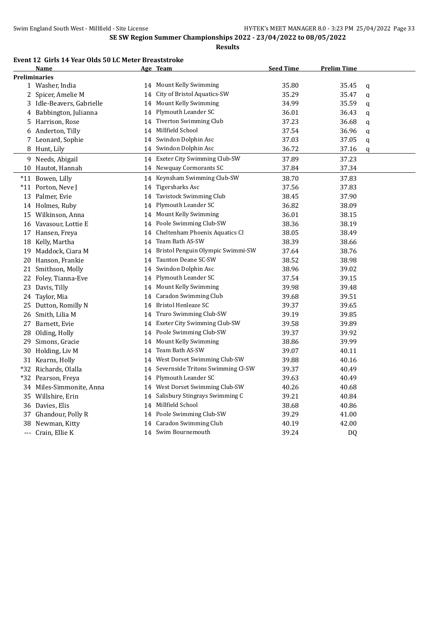## **Event 12 Girls 14 Year Olds 50 LC Meter Breaststroke**

|    | Name                      |    | Age Team                             | <b>Seed Time</b> | <u>Prelim Time</u> |   |
|----|---------------------------|----|--------------------------------------|------------------|--------------------|---|
|    | <b>Preliminaries</b>      |    |                                      |                  |                    |   |
|    | 1 Washer, India           |    | 14 Mount Kelly Swimming              | 35.80            | 35.45              | q |
|    | 2 Spicer, Amelie M        | 14 | City of Bristol Aquatics-SW          | 35.29            | 35.47              | q |
|    | 3 Idle-Beavers, Gabrielle |    | 14 Mount Kelly Swimming              | 34.99            | 35.59              | q |
|    | 4 Babbington, Julianna    |    | 14 Plymouth Leander SC               | 36.01            | 36.43              | q |
|    | 5 Harrison, Rose          | 14 | Tiverton Swimming Club               | 37.23            | 36.68              | q |
|    | 6 Anderton, Tilly         | 14 | Millfield School                     | 37.54            | 36.96              | q |
|    | 7 Leonard, Sophie         | 14 | Swindon Dolphin Asc                  | 37.03            | 37.05              | q |
|    | 8 Hunt, Lily              | 14 | Swindon Dolphin Asc                  | 36.72            | 37.16              | q |
|    | 9 Needs, Abigail          |    | 14 Exeter City Swimming Club-SW      | 37.89            | 37.23              |   |
|    | 10 Hautot, Hannah         |    | 14 Newquay Cormorants SC             | 37.84            | 37.34              |   |
|    | *11 Bowen, Lilly          |    | 14 Keynsham Swimming Club-SW         | 38.70            | 37.83              |   |
|    | *11 Porton, Neve J        | 14 | Tigersharks Asc                      | 37.56            | 37.83              |   |
|    | 13 Palmer, Evie           | 14 | Tavistock Swimming Club              | 38.45            | 37.90              |   |
|    | 14 Holmes, Ruby           | 14 | Plymouth Leander SC                  | 36.82            | 38.09              |   |
|    | 15 Wilkinson, Anna        | 14 | Mount Kelly Swimming                 | 36.01            | 38.15              |   |
|    | 16 Vavasour, Lottie E     |    | 14 Poole Swimming Club-SW            | 38.36            | 38.19              |   |
|    | 17 Hansen, Freya          | 14 | Cheltenham Phoenix Aquatics Cl       | 38.05            | 38.49              |   |
|    | 18 Kelly, Martha          | 14 | Team Bath AS-SW                      | 38.39            | 38.66              |   |
|    | 19 Maddock, Ciara M       |    | 14 Bristol Penguin Olympic Swimmi-SW | 37.64            | 38.76              |   |
|    | 20 Hanson, Frankie        | 14 | Taunton Deane SC-SW                  | 38.52            | 38.98              |   |
|    | 21 Smithson, Molly        | 14 | Swindon Dolphin Asc                  | 38.96            | 39.02              |   |
| 22 | Foley, Tianna-Eve         | 14 | Plymouth Leander SC                  | 37.54            | 39.15              |   |
| 23 | Davis, Tilly              |    | 14 Mount Kelly Swimming              | 39.98            | 39.48              |   |
|    | 24 Taylor, Mia            | 14 | <b>Caradon Swimming Club</b>         | 39.68            | 39.51              |   |
|    | 25 Dutton, Romilly N      |    | 14 Bristol Henleaze SC               | 39.37            | 39.65              |   |
|    | 26 Smith, Lilia M         | 14 | Truro Swimming Club-SW               | 39.19            | 39.85              |   |
|    | 27 Barnett, Evie          |    | 14 Exeter City Swimming Club-SW      | 39.58            | 39.89              |   |
|    | 28 Olding, Holly          |    | 14 Poole Swimming Club-SW            | 39.37            | 39.92              |   |
| 29 | Simons, Gracie            |    | 14 Mount Kelly Swimming              | 38.86            | 39.99              |   |
|    | 30 Holding, Liv M         |    | 14 Team Bath AS-SW                   | 39.07            | 40.11              |   |
|    | 31 Kearns, Holly          | 14 | West Dorset Swimming Club-SW         | 39.88            | 40.16              |   |
|    | *32 Richards, Olalla      | 14 | Severnside Tritons Swimming Cl-SW    | 39.37            | 40.49              |   |
|    | *32 Pearson, Freya        | 14 | Plymouth Leander SC                  | 39.63            | 40.49              |   |
|    | 34 Miles-Simmonite, Anna  | 14 | West Dorset Swimming Club-SW         | 40.26            | 40.68              |   |
|    | 35 Willshire, Erin        | 14 | Salisbury Stingrays Swimming C       | 39.21            | 40.84              |   |
|    | 36 Davies, Elis           |    | 14 Millfield School                  | 38.68            | 40.86              |   |
|    | 37 Ghandour, Polly R      |    | 14 Poole Swimming Club-SW            | 39.29            | 41.00              |   |
|    | 38 Newman, Kitty          | 14 | <b>Caradon Swimming Club</b>         | 40.19            | 42.00              |   |
|    | --- Crain, Ellie K        |    | 14 Swim Bournemouth                  | 39.24            | DQ                 |   |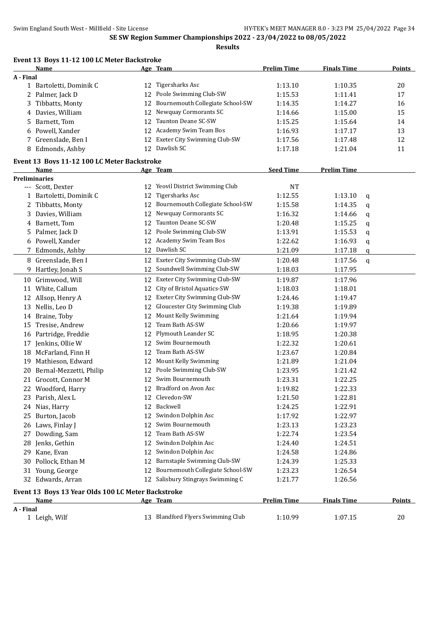|           | Event 13 Boys 11-12 100 LC Meter Backstroke        |          |                                              |                    |                    |   |               |
|-----------|----------------------------------------------------|----------|----------------------------------------------|--------------------|--------------------|---|---------------|
|           | Name                                               |          | Age Team                                     | <b>Prelim Time</b> | <b>Finals Time</b> |   | <b>Points</b> |
| A - Final |                                                    |          |                                              |                    |                    |   |               |
|           | 1 Bartoletti, Dominik C                            |          | 12 Tigersharks Asc<br>Poole Swimming Club-SW | 1:13.10            | 1:10.35            |   | 20            |
|           | 2 Palmer, Jack D                                   | 12       | Bournemouth Collegiate School-SW             | 1:15.53            | 1:11.41            |   | 17            |
| 3         | Tibbatts, Monty                                    | 12       | Newquay Cormorants SC                        | 1:14.35            | 1:14.27            |   | 16            |
|           | 4 Davies, William                                  | 12       | Taunton Deane SC-SW                          | 1:14.66            | 1:15.00            |   | 15            |
|           | 5 Barnett, Tom                                     | 12       | Academy Swim Team Bos                        | 1:15.25            | 1:15.64            |   | 14            |
|           | 6 Powell, Xander                                   | 12       | Exeter City Swimming Club-SW                 | 1:16.93            | 1:17.17            |   | 13            |
|           | 7 Greenslade, Ben I<br>8 Edmonds, Ashby            | 12<br>12 | Dawlish SC                                   | 1:17.56            | 1:17.48            |   | 12<br>11      |
|           |                                                    |          |                                              | 1:17.18            | 1:21.04            |   |               |
|           | Event 13 Boys 11-12 100 LC Meter Backstroke        |          |                                              |                    |                    |   |               |
|           | Name                                               |          | Age Team                                     | <b>Seed Time</b>   | <b>Prelim Time</b> |   |               |
|           | <b>Preliminaries</b>                               | 12       | Yeovil District Swimming Club                | <b>NT</b>          |                    |   |               |
|           | --- Scott, Dexter                                  | 12       | <b>Tigersharks Asc</b>                       | 1:12.55            | 1:13.10            |   |               |
|           | 1 Bartoletti, Dominik C                            | 12       | Bournemouth Collegiate School-SW             | 1:15.58            |                    | q |               |
|           | 2 Tibbatts, Monty<br>Davies, William               | 12       | Newquay Cormorants SC                        |                    | 1:14.35<br>1:14.66 | q |               |
| 3         | 4 Barnett, Tom                                     | 12       | Taunton Deane SC-SW                          | 1:16.32            | 1:15.25            | q |               |
|           | 5 Palmer, Jack D                                   | 12       | Poole Swimming Club-SW                       | 1:20.48<br>1:13.91 | 1:15.53            | q |               |
|           | 6 Powell, Xander                                   |          | 12 Academy Swim Team Bos                     | 1:22.62            | 1:16.93            | q |               |
|           | 7 Edmonds, Ashby                                   |          | 12 Dawlish SC                                | 1:21.09            | 1:17.18            | q |               |
|           |                                                    |          | Exeter City Swimming Club-SW                 |                    |                    | q |               |
|           | 8 Greenslade, Ben I                                | 12       | Soundwell Swimming Club-SW                   | 1:20.48            | 1:17.56            | q |               |
|           | 9 Hartley, Jonah S                                 | 12       |                                              | 1:18.03            | 1:17.95            |   |               |
|           | 10 Grimwood, Will                                  | 12       | Exeter City Swimming Club-SW                 | 1:19.87            | 1:17.96            |   |               |
| 11        | White, Callum                                      | 12       | City of Bristol Aquatics-SW                  | 1:18.03            | 1:18.01            |   |               |
|           | 12 Allsop, Henry A                                 | 12       | Exeter City Swimming Club-SW                 | 1:24.46            | 1:19.47            |   |               |
|           | 13 Nellis, Leo D                                   | 12       | Gloucester City Swimming Club                | 1:19.38            | 1:19.89            |   |               |
|           | 14 Braine, Toby                                    | 12       | Mount Kelly Swimming                         | 1:21.64            | 1:19.94            |   |               |
|           | 15 Tresise, Andrew                                 | 12       | Team Bath AS-SW                              | 1:20.66            | 1:19.97            |   |               |
|           | 16 Partridge, Freddie                              | 12       | Plymouth Leander SC                          | 1:18.95            | 1:20.38            |   |               |
|           | 17 Jenkins, Ollie W                                | 12       | Swim Bournemouth                             | 1:22.32            | 1:20.61            |   |               |
|           | 18 McFarland, Finn H                               | 12       | Team Bath AS-SW                              | 1:23.67            | 1:20.84            |   |               |
|           | 19 Mathieson, Edward                               | 12       | Mount Kelly Swimming                         | 1:21.89            | 1:21.04            |   |               |
|           | 20 Bernal-Mezzetti, Philip                         | 12       | Poole Swimming Club-SW                       | 1:23.95            | 1:21.42            |   |               |
|           | 21 Grocott, Connor M                               |          | 12 Swim Bournemouth                          | 1:23.31            | 1:22.25            |   |               |
|           | 22 Woodford, Harry                                 |          | 12 Bradford on Avon Asc                      | 1:19.82            | 1:22.33            |   |               |
|           | 23 Parish, Alex L                                  |          | 12 Clevedon-SW                               | 1:21.50            | 1:22.81            |   |               |
|           | 24 Nias, Harry                                     |          | 12 Backwell                                  | 1:24.25            | 1:22.91            |   |               |
|           | 25 Burton, Jacob                                   |          | 12 Swindon Dolphin Asc                       | 1:17.92            | 1:22.97            |   |               |
|           | 26 Laws, Finlay J                                  |          | 12 Swim Bournemouth                          | 1:23.13            | 1:23.23            |   |               |
|           | 27 Dowding, Sam                                    | 12       | Team Bath AS-SW                              | 1:22.74            | 1:23.54            |   |               |
|           | 28 Jenks, Gethin                                   | 12       | Swindon Dolphin Asc<br>Swindon Dolphin Asc   | 1:24.40            | 1:24.51            |   |               |
|           | 29 Kane, Evan                                      | 12       | Barnstaple Swimming Club-SW                  | 1:24.58            | 1:24.86            |   |               |
|           | 30 Pollock, Ethan M                                | 12       |                                              | 1:24.39            | 1:25.33            |   |               |
|           | 31 Young, George                                   | 12       | Bournemouth Collegiate School-SW             | 1:23.23            | 1:26.54            |   |               |
|           | 32 Edwards, Arran                                  |          | 12 Salisbury Stingrays Swimming C            | 1:21.77            | 1:26.56            |   |               |
|           | Event 13 Boys 13 Year Olds 100 LC Meter Backstroke |          |                                              |                    |                    |   |               |
|           | <u>Name</u>                                        |          | Age Team                                     | <b>Prelim Time</b> | <b>Finals Time</b> |   | <u>Points</u> |
| A - Final | 1 Leigh, Wilf                                      |          | 13 Blandford Flyers Swimming Club            | 1:10.99            | 1:07.15            |   | 20            |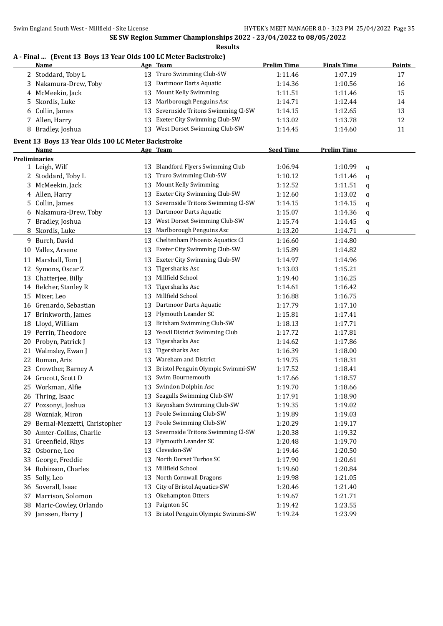# **A - Final ... (Event 13 Boys 13 Year Olds 100 LC Meter Backstroke)**

|          | <b>Name</b>                                        |    | Age Team                              | <b>Prelim Time</b> | <b>Finals Time</b> |   | <b>Points</b> |
|----------|----------------------------------------------------|----|---------------------------------------|--------------------|--------------------|---|---------------|
|          | 2 Stoddard, Toby L                                 | 13 | Truro Swimming Club-SW                | 1:11.46            | 1:07.19            |   | 17            |
| 3        | Nakamura-Drew, Toby                                | 13 | Dartmoor Darts Aquatic                | 1:14.36            | 1:10.56            |   | 16            |
|          | 4 McMeekin, Jack                                   | 13 | Mount Kelly Swimming                  | 1:11.51            | 1:11.46            |   | 15            |
| 5        | Skordis, Luke                                      | 13 | Marlborough Penguins Asc              | 1:14.71            | 1:12.44            |   | 14            |
| 6        | Collin, James                                      | 13 | Severnside Tritons Swimming Cl-SW     | 1:14.15            | 1:12.65            |   | 13            |
|          | 7 Allen, Harry                                     | 13 | Exeter City Swimming Club-SW          | 1:13.02            | 1:13.78            |   | 12            |
|          | 8 Bradley, Joshua                                  |    | 13 West Dorset Swimming Club-SW       | 1:14.45            | 1:14.60            |   | 11            |
|          | Event 13 Boys 13 Year Olds 100 LC Meter Backstroke |    |                                       |                    |                    |   |               |
|          | Name                                               |    | Age Team                              | <b>Seed Time</b>   | <b>Prelim Time</b> |   |               |
|          | <b>Preliminaries</b>                               |    |                                       |                    |                    |   |               |
|          | 1 Leigh, Wilf                                      | 13 | <b>Blandford Flyers Swimming Club</b> | 1:06.94            | 1:10.99            | q |               |
|          | 2 Stoddard, Toby L                                 | 13 | Truro Swimming Club-SW                | 1:10.12            | 1:11.46            | q |               |
| 3        | McMeekin, Jack                                     | 13 | Mount Kelly Swimming                  | 1:12.52            | 1:11.51            | q |               |
|          | 4 Allen, Harry                                     | 13 | Exeter City Swimming Club-SW          | 1:12.60            | 1:13.02            | q |               |
| 5        | Collin, James                                      | 13 | Severnside Tritons Swimming Cl-SW     | 1:14.15            | 1:14.15            | q |               |
| 6        | Nakamura-Drew, Toby                                | 13 | Dartmoor Darts Aquatic                | 1:15.07            | 1:14.36            | q |               |
| 7        | Bradley, Joshua                                    | 13 | West Dorset Swimming Club-SW          | 1:15.74            | 1:14.45            | q |               |
| 8        | Skordis, Luke                                      | 13 | Marlborough Penguins Asc              | 1:13.20            | 1:14.71            | q |               |
|          | 9 Burch, David                                     | 13 | Cheltenham Phoenix Aquatics Cl        | 1:16.60            | 1:14.80            |   |               |
| 10       | Vallez, Arsene                                     | 13 | Exeter City Swimming Club-SW          | 1:15.89            | 1:14.82            |   |               |
| 11       | Marshall, Tom J                                    | 13 | Exeter City Swimming Club-SW          | 1:14.97            | 1:14.96            |   |               |
|          | 12 Symons, Oscar Z                                 | 13 | Tigersharks Asc                       | 1:13.03            | 1:15.21            |   |               |
|          | 13 Chatterjee, Billy                               | 13 | Millfield School                      | 1:19.40            | 1:16.25            |   |               |
|          | 14 Belcher, Stanley R                              | 13 | Tigersharks Asc                       | 1:14.61            | 1:16.42            |   |               |
|          | 15 Mixer, Leo                                      | 13 | Millfield School                      | 1:16.88            | 1:16.75            |   |               |
|          | 16 Grenardo, Sebastian                             | 13 | Dartmoor Darts Aquatic                | 1:17.79            | 1:17.10            |   |               |
| 17       | Brinkworth, James                                  | 13 | Plymouth Leander SC                   | 1:15.81            | 1:17.41            |   |               |
|          | 18 Lloyd, William                                  | 13 | Brixham Swimming Club-SW              | 1:18.13            | 1:17.71            |   |               |
|          | 19 Perrin, Theodore                                | 13 | Yeovil District Swimming Club         | 1:17.72            | 1:17.81            |   |               |
|          | 20 Probyn, Patrick J                               | 13 | Tigersharks Asc                       | 1:14.62            | 1:17.86            |   |               |
| 21       | Walmsley, Ewan J                                   | 13 | Tigersharks Asc                       | 1:16.39            | 1:18.00            |   |               |
| 22       | Roman, Aris                                        | 13 | Wareham and District                  | 1:19.75            | 1:18.31            |   |               |
| 23       | Crowther, Barney A                                 | 13 | Bristol Penguin Olympic Swimmi-SW     | 1:17.52            | 1:18.41            |   |               |
|          | 24 Grocott, Scott D                                | 13 | Swim Bournemouth                      | 1:17.66            | 1:18.57            |   |               |
|          | 25 Workman, Alfie                                  |    | 13 Swindon Dolphin Asc                | 1:19.70            | 1:18.66            |   |               |
|          | Thring, Isaac                                      |    | Seagulls Swimming Club-SW             | 1:17.91            | 1:18.90            |   |               |
| Zb<br>27 | Pozsonyi, Joshua                                   | 13 | Keynsham Swimming Club-SW             | 1:19.35            | 1:19.02            |   |               |
|          | 28 Wozniak, Miron                                  | 13 | Poole Swimming Club-SW                | 1:19.89            | 1:19.03            |   |               |
| 29       | Bernal-Mezzetti, Christopher                       | 13 | Poole Swimming Club-SW                | 1:20.29            | 1:19.17            |   |               |
| 30       | Amter-Collins, Charlie                             | 13 | Severnside Tritons Swimming Cl-SW     | 1:20.38            | 1:19.32            |   |               |
|          | 31 Greenfield, Rhys                                | 13 | Plymouth Leander SC                   | 1:20.48            | 1:19.70            |   |               |
| 32       | Osborne, Leo                                       | 13 | Clevedon-SW                           | 1:19.46            | 1:20.50            |   |               |
| 33       | George, Freddie                                    | 13 | North Dorset Turbos SC                | 1:17.90            | 1:20.61            |   |               |
| 34       | Robinson, Charles                                  | 13 | Millfield School                      | 1:19.60            | 1:20.84            |   |               |
| 35       | Solly, Leo                                         | 13 | North Cornwall Dragons                | 1:19.98            | 1:21.05            |   |               |
|          | 36 Soverall, Isaac                                 | 13 | City of Bristol Aquatics-SW           | 1:20.46            | 1:21.40            |   |               |
| 37       | Marrison, Solomon                                  | 13 | Okehampton Otters                     | 1:19.67            | 1:21.71            |   |               |
| 38       | Maric-Cowley, Orlando                              | 13 | Paignton SC                           | 1:19.42            | 1:23.55            |   |               |
|          | 39 Janssen, Harry J                                | 13 | Bristol Penguin Olympic Swimmi-SW     | 1:19.24            | 1:23.99            |   |               |
|          |                                                    |    |                                       |                    |                    |   |               |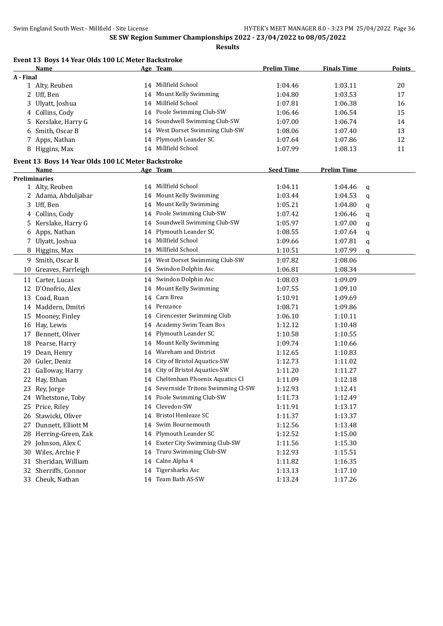| <b>Prelim Time</b><br><b>Finals Time</b><br><u>Name</u><br>Age Team<br>A - Final<br>14 Millfield School<br>1:04.46<br>1:03.11<br>20<br>1 Alty, Reuben<br>Mount Kelly Swimming<br>1:04.80<br>1:03.53<br>17<br>2 Uff, Ben<br>14<br>Millfield School<br>3 Ulyatt, Joshua<br>1:07.81<br>16<br>1:06.38<br>14<br>4 Collins, Cody<br>Poole Swimming Club-SW<br>15<br>1:06.46<br>1:06.54<br>14<br>Soundwell Swimming Club-SW<br>Kerslake, Harry G<br>14<br>1:07.00<br>1:06.74<br>14<br>5<br>West Dorset Swimming Club-SW<br>Smith, Oscar B<br>1:08.06<br>13<br>1:07.40<br>6<br>14<br>Plymouth Leander SC<br>12<br>7 Apps, Nathan<br>14<br>1:07.64<br>1:07.86<br>14 Millfield School<br>11<br>8 Higgins, Max<br>1:07.99<br>1:08.13<br>Event 13 Boys 14 Year Olds 100 LC Meter Backstroke<br><b>Seed Time</b><br><b>Prelim Time</b><br>Name<br>Age Team<br><b>Preliminaries</b><br>14 Millfield School<br>1 Alty, Reuben<br>1:04.11<br>1:04.46<br>q<br>14 Mount Kelly Swimming<br>2 Adama, Abduljabar<br>1:03.44<br>1:04.53<br>q<br>14 Mount Kelly Swimming<br>3 Uff, Ben<br>1:05.21<br>1:04.80<br>q<br>14 Poole Swimming Club-SW<br>4 Collins, Cody<br>1:07.42<br>1:06.46<br>q<br>14 Soundwell Swimming Club-SW<br>Kerslake, Harry G<br>1:05.97<br>1:07.00<br>5<br>q<br>14 Plymouth Leander SC<br>6 Apps, Nathan<br>1:08.55<br>1:07.64<br>q<br>14 Millfield School<br>Ulyatt, Joshua<br>1:09.66<br>1:07.81<br>7<br>q<br>14 Millfield School<br>1:10.51<br>1:07.99<br>8 Higgins, Max<br>q<br>14 West Dorset Swimming Club-SW<br>9 Smith, Oscar B<br>1:07.82<br>1:08.06<br>Greaves, Farrleigh<br>14 Swindon Dolphin Asc<br>1:06.81<br>1:08.34<br>10<br>14 Swindon Dolphin Asc<br>1:08.03<br>11 Carter, Lucas<br>1:09.09<br>14 Mount Kelly Swimming<br>12 D'Onofrio, Alex<br>1:07.55<br>1:09.10<br>Carn Brea<br>13 Coad, Ruan<br>1:10.91<br>1:09.69<br>14<br>14 Penzance<br>14 Maddern, Dmitri<br>1:08.71<br>1:09.86<br>14 Cirencester Swimming Club<br>Mooney, Finley<br>1:06.10<br>1:10.11<br>15<br>14 Academy Swim Team Bos<br>16 Hay, Lewis<br>1:12.12<br>1:10.48<br>Plymouth Leander SC<br>Bennett, Oliver<br>1:10.58<br>1:10.55<br>17<br>14<br>14 Mount Kelly Swimming<br>Pearse, Harry<br>1:09.74<br>1:10.66<br>18<br>14 Wareham and District<br>Dean, Henry<br>1:12.65<br>1:10.83<br>19<br>Guler, Deniz<br>City of Bristol Aquatics-SW<br>20<br>1:12.73<br>1:11.02<br>14<br>14 City of Bristol Aquatics-SW<br>Galloway, Harry<br>21<br>1:11.20<br>1:11.27<br>14 Cheltenham Phoenix Aquatics Cl<br>22 Hay, Ethan<br>1:11.09<br>1:12.18<br>23 Rey, Jorge<br>14 Severnside Tritons Swimming Cl-SW<br>1:12.93<br>1:12.41<br>14 Poole Swimming Club-SW<br>24 Whetstone, Toby<br>1:12.49<br>1:11.73<br>14 Clevedon-SW<br>25 Price, Riley<br>1:11.91<br>1:13.17<br><b>Bristol Henleaze SC</b><br>26 Stawicki, Oliver<br>1:11.37<br>1:13.37<br>14<br>14 Swim Bournemouth<br>Dunnett, Elliott M<br>1:12.56<br>1:13.48<br>27<br>14 Plymouth Leander SC<br>28 Herring-Green, Zak<br>1:12.52<br>1:15.00<br>14 Exeter City Swimming Club-SW<br>29 Johnson, Alex C<br>1:11.56<br>1:15.30<br>Truro Swimming Club-SW<br>30 Wiles, Archie F<br>1:12.93<br>14<br>1:15.51<br>14 Calne Alpha 4<br>Sheridan, William<br>1:11.82<br>31<br>1:16.35<br>32 Sherriffs, Connor<br>Tigersharks Asc<br>1:13.13<br>14<br>1:17.10<br>14 Team Bath AS-SW<br>33 Cheuk, Nathan<br>1:13.24<br>1:17.26 | Event 13 Boys 14 Year Olds 100 LC Meter Backstroke |  |  |               |
|----------------------------------------------------------------------------------------------------------------------------------------------------------------------------------------------------------------------------------------------------------------------------------------------------------------------------------------------------------------------------------------------------------------------------------------------------------------------------------------------------------------------------------------------------------------------------------------------------------------------------------------------------------------------------------------------------------------------------------------------------------------------------------------------------------------------------------------------------------------------------------------------------------------------------------------------------------------------------------------------------------------------------------------------------------------------------------------------------------------------------------------------------------------------------------------------------------------------------------------------------------------------------------------------------------------------------------------------------------------------------------------------------------------------------------------------------------------------------------------------------------------------------------------------------------------------------------------------------------------------------------------------------------------------------------------------------------------------------------------------------------------------------------------------------------------------------------------------------------------------------------------------------------------------------------------------------------------------------------------------------------------------------------------------------------------------------------------------------------------------------------------------------------------------------------------------------------------------------------------------------------------------------------------------------------------------------------------------------------------------------------------------------------------------------------------------------------------------------------------------------------------------------------------------------------------------------------------------------------------------------------------------------------------------------------------------------------------------------------------------------------------------------------------------------------------------------------------------------------------------------------------------------------------------------------------------------------------------------------------------------------------------------------------------------------------------------------------------------------------------------------------------------------------------------------------------------------------------------------------------------------------------------------------------------------------------------------------------------------------|----------------------------------------------------|--|--|---------------|
|                                                                                                                                                                                                                                                                                                                                                                                                                                                                                                                                                                                                                                                                                                                                                                                                                                                                                                                                                                                                                                                                                                                                                                                                                                                                                                                                                                                                                                                                                                                                                                                                                                                                                                                                                                                                                                                                                                                                                                                                                                                                                                                                                                                                                                                                                                                                                                                                                                                                                                                                                                                                                                                                                                                                                                                                                                                                                                                                                                                                                                                                                                                                                                                                                                                                                                                                                                |                                                    |  |  | <b>Points</b> |
|                                                                                                                                                                                                                                                                                                                                                                                                                                                                                                                                                                                                                                                                                                                                                                                                                                                                                                                                                                                                                                                                                                                                                                                                                                                                                                                                                                                                                                                                                                                                                                                                                                                                                                                                                                                                                                                                                                                                                                                                                                                                                                                                                                                                                                                                                                                                                                                                                                                                                                                                                                                                                                                                                                                                                                                                                                                                                                                                                                                                                                                                                                                                                                                                                                                                                                                                                                |                                                    |  |  |               |
|                                                                                                                                                                                                                                                                                                                                                                                                                                                                                                                                                                                                                                                                                                                                                                                                                                                                                                                                                                                                                                                                                                                                                                                                                                                                                                                                                                                                                                                                                                                                                                                                                                                                                                                                                                                                                                                                                                                                                                                                                                                                                                                                                                                                                                                                                                                                                                                                                                                                                                                                                                                                                                                                                                                                                                                                                                                                                                                                                                                                                                                                                                                                                                                                                                                                                                                                                                |                                                    |  |  |               |
|                                                                                                                                                                                                                                                                                                                                                                                                                                                                                                                                                                                                                                                                                                                                                                                                                                                                                                                                                                                                                                                                                                                                                                                                                                                                                                                                                                                                                                                                                                                                                                                                                                                                                                                                                                                                                                                                                                                                                                                                                                                                                                                                                                                                                                                                                                                                                                                                                                                                                                                                                                                                                                                                                                                                                                                                                                                                                                                                                                                                                                                                                                                                                                                                                                                                                                                                                                |                                                    |  |  |               |
|                                                                                                                                                                                                                                                                                                                                                                                                                                                                                                                                                                                                                                                                                                                                                                                                                                                                                                                                                                                                                                                                                                                                                                                                                                                                                                                                                                                                                                                                                                                                                                                                                                                                                                                                                                                                                                                                                                                                                                                                                                                                                                                                                                                                                                                                                                                                                                                                                                                                                                                                                                                                                                                                                                                                                                                                                                                                                                                                                                                                                                                                                                                                                                                                                                                                                                                                                                |                                                    |  |  |               |
|                                                                                                                                                                                                                                                                                                                                                                                                                                                                                                                                                                                                                                                                                                                                                                                                                                                                                                                                                                                                                                                                                                                                                                                                                                                                                                                                                                                                                                                                                                                                                                                                                                                                                                                                                                                                                                                                                                                                                                                                                                                                                                                                                                                                                                                                                                                                                                                                                                                                                                                                                                                                                                                                                                                                                                                                                                                                                                                                                                                                                                                                                                                                                                                                                                                                                                                                                                |                                                    |  |  |               |
|                                                                                                                                                                                                                                                                                                                                                                                                                                                                                                                                                                                                                                                                                                                                                                                                                                                                                                                                                                                                                                                                                                                                                                                                                                                                                                                                                                                                                                                                                                                                                                                                                                                                                                                                                                                                                                                                                                                                                                                                                                                                                                                                                                                                                                                                                                                                                                                                                                                                                                                                                                                                                                                                                                                                                                                                                                                                                                                                                                                                                                                                                                                                                                                                                                                                                                                                                                |                                                    |  |  |               |
|                                                                                                                                                                                                                                                                                                                                                                                                                                                                                                                                                                                                                                                                                                                                                                                                                                                                                                                                                                                                                                                                                                                                                                                                                                                                                                                                                                                                                                                                                                                                                                                                                                                                                                                                                                                                                                                                                                                                                                                                                                                                                                                                                                                                                                                                                                                                                                                                                                                                                                                                                                                                                                                                                                                                                                                                                                                                                                                                                                                                                                                                                                                                                                                                                                                                                                                                                                |                                                    |  |  |               |
|                                                                                                                                                                                                                                                                                                                                                                                                                                                                                                                                                                                                                                                                                                                                                                                                                                                                                                                                                                                                                                                                                                                                                                                                                                                                                                                                                                                                                                                                                                                                                                                                                                                                                                                                                                                                                                                                                                                                                                                                                                                                                                                                                                                                                                                                                                                                                                                                                                                                                                                                                                                                                                                                                                                                                                                                                                                                                                                                                                                                                                                                                                                                                                                                                                                                                                                                                                |                                                    |  |  |               |
|                                                                                                                                                                                                                                                                                                                                                                                                                                                                                                                                                                                                                                                                                                                                                                                                                                                                                                                                                                                                                                                                                                                                                                                                                                                                                                                                                                                                                                                                                                                                                                                                                                                                                                                                                                                                                                                                                                                                                                                                                                                                                                                                                                                                                                                                                                                                                                                                                                                                                                                                                                                                                                                                                                                                                                                                                                                                                                                                                                                                                                                                                                                                                                                                                                                                                                                                                                |                                                    |  |  |               |
|                                                                                                                                                                                                                                                                                                                                                                                                                                                                                                                                                                                                                                                                                                                                                                                                                                                                                                                                                                                                                                                                                                                                                                                                                                                                                                                                                                                                                                                                                                                                                                                                                                                                                                                                                                                                                                                                                                                                                                                                                                                                                                                                                                                                                                                                                                                                                                                                                                                                                                                                                                                                                                                                                                                                                                                                                                                                                                                                                                                                                                                                                                                                                                                                                                                                                                                                                                |                                                    |  |  |               |
|                                                                                                                                                                                                                                                                                                                                                                                                                                                                                                                                                                                                                                                                                                                                                                                                                                                                                                                                                                                                                                                                                                                                                                                                                                                                                                                                                                                                                                                                                                                                                                                                                                                                                                                                                                                                                                                                                                                                                                                                                                                                                                                                                                                                                                                                                                                                                                                                                                                                                                                                                                                                                                                                                                                                                                                                                                                                                                                                                                                                                                                                                                                                                                                                                                                                                                                                                                |                                                    |  |  |               |
|                                                                                                                                                                                                                                                                                                                                                                                                                                                                                                                                                                                                                                                                                                                                                                                                                                                                                                                                                                                                                                                                                                                                                                                                                                                                                                                                                                                                                                                                                                                                                                                                                                                                                                                                                                                                                                                                                                                                                                                                                                                                                                                                                                                                                                                                                                                                                                                                                                                                                                                                                                                                                                                                                                                                                                                                                                                                                                                                                                                                                                                                                                                                                                                                                                                                                                                                                                |                                                    |  |  |               |
|                                                                                                                                                                                                                                                                                                                                                                                                                                                                                                                                                                                                                                                                                                                                                                                                                                                                                                                                                                                                                                                                                                                                                                                                                                                                                                                                                                                                                                                                                                                                                                                                                                                                                                                                                                                                                                                                                                                                                                                                                                                                                                                                                                                                                                                                                                                                                                                                                                                                                                                                                                                                                                                                                                                                                                                                                                                                                                                                                                                                                                                                                                                                                                                                                                                                                                                                                                |                                                    |  |  |               |
|                                                                                                                                                                                                                                                                                                                                                                                                                                                                                                                                                                                                                                                                                                                                                                                                                                                                                                                                                                                                                                                                                                                                                                                                                                                                                                                                                                                                                                                                                                                                                                                                                                                                                                                                                                                                                                                                                                                                                                                                                                                                                                                                                                                                                                                                                                                                                                                                                                                                                                                                                                                                                                                                                                                                                                                                                                                                                                                                                                                                                                                                                                                                                                                                                                                                                                                                                                |                                                    |  |  |               |
|                                                                                                                                                                                                                                                                                                                                                                                                                                                                                                                                                                                                                                                                                                                                                                                                                                                                                                                                                                                                                                                                                                                                                                                                                                                                                                                                                                                                                                                                                                                                                                                                                                                                                                                                                                                                                                                                                                                                                                                                                                                                                                                                                                                                                                                                                                                                                                                                                                                                                                                                                                                                                                                                                                                                                                                                                                                                                                                                                                                                                                                                                                                                                                                                                                                                                                                                                                |                                                    |  |  |               |
|                                                                                                                                                                                                                                                                                                                                                                                                                                                                                                                                                                                                                                                                                                                                                                                                                                                                                                                                                                                                                                                                                                                                                                                                                                                                                                                                                                                                                                                                                                                                                                                                                                                                                                                                                                                                                                                                                                                                                                                                                                                                                                                                                                                                                                                                                                                                                                                                                                                                                                                                                                                                                                                                                                                                                                                                                                                                                                                                                                                                                                                                                                                                                                                                                                                                                                                                                                |                                                    |  |  |               |
|                                                                                                                                                                                                                                                                                                                                                                                                                                                                                                                                                                                                                                                                                                                                                                                                                                                                                                                                                                                                                                                                                                                                                                                                                                                                                                                                                                                                                                                                                                                                                                                                                                                                                                                                                                                                                                                                                                                                                                                                                                                                                                                                                                                                                                                                                                                                                                                                                                                                                                                                                                                                                                                                                                                                                                                                                                                                                                                                                                                                                                                                                                                                                                                                                                                                                                                                                                |                                                    |  |  |               |
|                                                                                                                                                                                                                                                                                                                                                                                                                                                                                                                                                                                                                                                                                                                                                                                                                                                                                                                                                                                                                                                                                                                                                                                                                                                                                                                                                                                                                                                                                                                                                                                                                                                                                                                                                                                                                                                                                                                                                                                                                                                                                                                                                                                                                                                                                                                                                                                                                                                                                                                                                                                                                                                                                                                                                                                                                                                                                                                                                                                                                                                                                                                                                                                                                                                                                                                                                                |                                                    |  |  |               |
|                                                                                                                                                                                                                                                                                                                                                                                                                                                                                                                                                                                                                                                                                                                                                                                                                                                                                                                                                                                                                                                                                                                                                                                                                                                                                                                                                                                                                                                                                                                                                                                                                                                                                                                                                                                                                                                                                                                                                                                                                                                                                                                                                                                                                                                                                                                                                                                                                                                                                                                                                                                                                                                                                                                                                                                                                                                                                                                                                                                                                                                                                                                                                                                                                                                                                                                                                                |                                                    |  |  |               |
|                                                                                                                                                                                                                                                                                                                                                                                                                                                                                                                                                                                                                                                                                                                                                                                                                                                                                                                                                                                                                                                                                                                                                                                                                                                                                                                                                                                                                                                                                                                                                                                                                                                                                                                                                                                                                                                                                                                                                                                                                                                                                                                                                                                                                                                                                                                                                                                                                                                                                                                                                                                                                                                                                                                                                                                                                                                                                                                                                                                                                                                                                                                                                                                                                                                                                                                                                                |                                                    |  |  |               |
|                                                                                                                                                                                                                                                                                                                                                                                                                                                                                                                                                                                                                                                                                                                                                                                                                                                                                                                                                                                                                                                                                                                                                                                                                                                                                                                                                                                                                                                                                                                                                                                                                                                                                                                                                                                                                                                                                                                                                                                                                                                                                                                                                                                                                                                                                                                                                                                                                                                                                                                                                                                                                                                                                                                                                                                                                                                                                                                                                                                                                                                                                                                                                                                                                                                                                                                                                                |                                                    |  |  |               |
|                                                                                                                                                                                                                                                                                                                                                                                                                                                                                                                                                                                                                                                                                                                                                                                                                                                                                                                                                                                                                                                                                                                                                                                                                                                                                                                                                                                                                                                                                                                                                                                                                                                                                                                                                                                                                                                                                                                                                                                                                                                                                                                                                                                                                                                                                                                                                                                                                                                                                                                                                                                                                                                                                                                                                                                                                                                                                                                                                                                                                                                                                                                                                                                                                                                                                                                                                                |                                                    |  |  |               |
|                                                                                                                                                                                                                                                                                                                                                                                                                                                                                                                                                                                                                                                                                                                                                                                                                                                                                                                                                                                                                                                                                                                                                                                                                                                                                                                                                                                                                                                                                                                                                                                                                                                                                                                                                                                                                                                                                                                                                                                                                                                                                                                                                                                                                                                                                                                                                                                                                                                                                                                                                                                                                                                                                                                                                                                                                                                                                                                                                                                                                                                                                                                                                                                                                                                                                                                                                                |                                                    |  |  |               |
|                                                                                                                                                                                                                                                                                                                                                                                                                                                                                                                                                                                                                                                                                                                                                                                                                                                                                                                                                                                                                                                                                                                                                                                                                                                                                                                                                                                                                                                                                                                                                                                                                                                                                                                                                                                                                                                                                                                                                                                                                                                                                                                                                                                                                                                                                                                                                                                                                                                                                                                                                                                                                                                                                                                                                                                                                                                                                                                                                                                                                                                                                                                                                                                                                                                                                                                                                                |                                                    |  |  |               |
|                                                                                                                                                                                                                                                                                                                                                                                                                                                                                                                                                                                                                                                                                                                                                                                                                                                                                                                                                                                                                                                                                                                                                                                                                                                                                                                                                                                                                                                                                                                                                                                                                                                                                                                                                                                                                                                                                                                                                                                                                                                                                                                                                                                                                                                                                                                                                                                                                                                                                                                                                                                                                                                                                                                                                                                                                                                                                                                                                                                                                                                                                                                                                                                                                                                                                                                                                                |                                                    |  |  |               |
|                                                                                                                                                                                                                                                                                                                                                                                                                                                                                                                                                                                                                                                                                                                                                                                                                                                                                                                                                                                                                                                                                                                                                                                                                                                                                                                                                                                                                                                                                                                                                                                                                                                                                                                                                                                                                                                                                                                                                                                                                                                                                                                                                                                                                                                                                                                                                                                                                                                                                                                                                                                                                                                                                                                                                                                                                                                                                                                                                                                                                                                                                                                                                                                                                                                                                                                                                                |                                                    |  |  |               |
|                                                                                                                                                                                                                                                                                                                                                                                                                                                                                                                                                                                                                                                                                                                                                                                                                                                                                                                                                                                                                                                                                                                                                                                                                                                                                                                                                                                                                                                                                                                                                                                                                                                                                                                                                                                                                                                                                                                                                                                                                                                                                                                                                                                                                                                                                                                                                                                                                                                                                                                                                                                                                                                                                                                                                                                                                                                                                                                                                                                                                                                                                                                                                                                                                                                                                                                                                                |                                                    |  |  |               |
|                                                                                                                                                                                                                                                                                                                                                                                                                                                                                                                                                                                                                                                                                                                                                                                                                                                                                                                                                                                                                                                                                                                                                                                                                                                                                                                                                                                                                                                                                                                                                                                                                                                                                                                                                                                                                                                                                                                                                                                                                                                                                                                                                                                                                                                                                                                                                                                                                                                                                                                                                                                                                                                                                                                                                                                                                                                                                                                                                                                                                                                                                                                                                                                                                                                                                                                                                                |                                                    |  |  |               |
|                                                                                                                                                                                                                                                                                                                                                                                                                                                                                                                                                                                                                                                                                                                                                                                                                                                                                                                                                                                                                                                                                                                                                                                                                                                                                                                                                                                                                                                                                                                                                                                                                                                                                                                                                                                                                                                                                                                                                                                                                                                                                                                                                                                                                                                                                                                                                                                                                                                                                                                                                                                                                                                                                                                                                                                                                                                                                                                                                                                                                                                                                                                                                                                                                                                                                                                                                                |                                                    |  |  |               |
|                                                                                                                                                                                                                                                                                                                                                                                                                                                                                                                                                                                                                                                                                                                                                                                                                                                                                                                                                                                                                                                                                                                                                                                                                                                                                                                                                                                                                                                                                                                                                                                                                                                                                                                                                                                                                                                                                                                                                                                                                                                                                                                                                                                                                                                                                                                                                                                                                                                                                                                                                                                                                                                                                                                                                                                                                                                                                                                                                                                                                                                                                                                                                                                                                                                                                                                                                                |                                                    |  |  |               |
|                                                                                                                                                                                                                                                                                                                                                                                                                                                                                                                                                                                                                                                                                                                                                                                                                                                                                                                                                                                                                                                                                                                                                                                                                                                                                                                                                                                                                                                                                                                                                                                                                                                                                                                                                                                                                                                                                                                                                                                                                                                                                                                                                                                                                                                                                                                                                                                                                                                                                                                                                                                                                                                                                                                                                                                                                                                                                                                                                                                                                                                                                                                                                                                                                                                                                                                                                                |                                                    |  |  |               |
|                                                                                                                                                                                                                                                                                                                                                                                                                                                                                                                                                                                                                                                                                                                                                                                                                                                                                                                                                                                                                                                                                                                                                                                                                                                                                                                                                                                                                                                                                                                                                                                                                                                                                                                                                                                                                                                                                                                                                                                                                                                                                                                                                                                                                                                                                                                                                                                                                                                                                                                                                                                                                                                                                                                                                                                                                                                                                                                                                                                                                                                                                                                                                                                                                                                                                                                                                                |                                                    |  |  |               |
|                                                                                                                                                                                                                                                                                                                                                                                                                                                                                                                                                                                                                                                                                                                                                                                                                                                                                                                                                                                                                                                                                                                                                                                                                                                                                                                                                                                                                                                                                                                                                                                                                                                                                                                                                                                                                                                                                                                                                                                                                                                                                                                                                                                                                                                                                                                                                                                                                                                                                                                                                                                                                                                                                                                                                                                                                                                                                                                                                                                                                                                                                                                                                                                                                                                                                                                                                                |                                                    |  |  |               |
|                                                                                                                                                                                                                                                                                                                                                                                                                                                                                                                                                                                                                                                                                                                                                                                                                                                                                                                                                                                                                                                                                                                                                                                                                                                                                                                                                                                                                                                                                                                                                                                                                                                                                                                                                                                                                                                                                                                                                                                                                                                                                                                                                                                                                                                                                                                                                                                                                                                                                                                                                                                                                                                                                                                                                                                                                                                                                                                                                                                                                                                                                                                                                                                                                                                                                                                                                                |                                                    |  |  |               |
|                                                                                                                                                                                                                                                                                                                                                                                                                                                                                                                                                                                                                                                                                                                                                                                                                                                                                                                                                                                                                                                                                                                                                                                                                                                                                                                                                                                                                                                                                                                                                                                                                                                                                                                                                                                                                                                                                                                                                                                                                                                                                                                                                                                                                                                                                                                                                                                                                                                                                                                                                                                                                                                                                                                                                                                                                                                                                                                                                                                                                                                                                                                                                                                                                                                                                                                                                                |                                                    |  |  |               |
|                                                                                                                                                                                                                                                                                                                                                                                                                                                                                                                                                                                                                                                                                                                                                                                                                                                                                                                                                                                                                                                                                                                                                                                                                                                                                                                                                                                                                                                                                                                                                                                                                                                                                                                                                                                                                                                                                                                                                                                                                                                                                                                                                                                                                                                                                                                                                                                                                                                                                                                                                                                                                                                                                                                                                                                                                                                                                                                                                                                                                                                                                                                                                                                                                                                                                                                                                                |                                                    |  |  |               |
|                                                                                                                                                                                                                                                                                                                                                                                                                                                                                                                                                                                                                                                                                                                                                                                                                                                                                                                                                                                                                                                                                                                                                                                                                                                                                                                                                                                                                                                                                                                                                                                                                                                                                                                                                                                                                                                                                                                                                                                                                                                                                                                                                                                                                                                                                                                                                                                                                                                                                                                                                                                                                                                                                                                                                                                                                                                                                                                                                                                                                                                                                                                                                                                                                                                                                                                                                                |                                                    |  |  |               |
|                                                                                                                                                                                                                                                                                                                                                                                                                                                                                                                                                                                                                                                                                                                                                                                                                                                                                                                                                                                                                                                                                                                                                                                                                                                                                                                                                                                                                                                                                                                                                                                                                                                                                                                                                                                                                                                                                                                                                                                                                                                                                                                                                                                                                                                                                                                                                                                                                                                                                                                                                                                                                                                                                                                                                                                                                                                                                                                                                                                                                                                                                                                                                                                                                                                                                                                                                                |                                                    |  |  |               |
|                                                                                                                                                                                                                                                                                                                                                                                                                                                                                                                                                                                                                                                                                                                                                                                                                                                                                                                                                                                                                                                                                                                                                                                                                                                                                                                                                                                                                                                                                                                                                                                                                                                                                                                                                                                                                                                                                                                                                                                                                                                                                                                                                                                                                                                                                                                                                                                                                                                                                                                                                                                                                                                                                                                                                                                                                                                                                                                                                                                                                                                                                                                                                                                                                                                                                                                                                                |                                                    |  |  |               |
|                                                                                                                                                                                                                                                                                                                                                                                                                                                                                                                                                                                                                                                                                                                                                                                                                                                                                                                                                                                                                                                                                                                                                                                                                                                                                                                                                                                                                                                                                                                                                                                                                                                                                                                                                                                                                                                                                                                                                                                                                                                                                                                                                                                                                                                                                                                                                                                                                                                                                                                                                                                                                                                                                                                                                                                                                                                                                                                                                                                                                                                                                                                                                                                                                                                                                                                                                                |                                                    |  |  |               |
|                                                                                                                                                                                                                                                                                                                                                                                                                                                                                                                                                                                                                                                                                                                                                                                                                                                                                                                                                                                                                                                                                                                                                                                                                                                                                                                                                                                                                                                                                                                                                                                                                                                                                                                                                                                                                                                                                                                                                                                                                                                                                                                                                                                                                                                                                                                                                                                                                                                                                                                                                                                                                                                                                                                                                                                                                                                                                                                                                                                                                                                                                                                                                                                                                                                                                                                                                                |                                                    |  |  |               |
|                                                                                                                                                                                                                                                                                                                                                                                                                                                                                                                                                                                                                                                                                                                                                                                                                                                                                                                                                                                                                                                                                                                                                                                                                                                                                                                                                                                                                                                                                                                                                                                                                                                                                                                                                                                                                                                                                                                                                                                                                                                                                                                                                                                                                                                                                                                                                                                                                                                                                                                                                                                                                                                                                                                                                                                                                                                                                                                                                                                                                                                                                                                                                                                                                                                                                                                                                                |                                                    |  |  |               |
|                                                                                                                                                                                                                                                                                                                                                                                                                                                                                                                                                                                                                                                                                                                                                                                                                                                                                                                                                                                                                                                                                                                                                                                                                                                                                                                                                                                                                                                                                                                                                                                                                                                                                                                                                                                                                                                                                                                                                                                                                                                                                                                                                                                                                                                                                                                                                                                                                                                                                                                                                                                                                                                                                                                                                                                                                                                                                                                                                                                                                                                                                                                                                                                                                                                                                                                                                                |                                                    |  |  |               |
|                                                                                                                                                                                                                                                                                                                                                                                                                                                                                                                                                                                                                                                                                                                                                                                                                                                                                                                                                                                                                                                                                                                                                                                                                                                                                                                                                                                                                                                                                                                                                                                                                                                                                                                                                                                                                                                                                                                                                                                                                                                                                                                                                                                                                                                                                                                                                                                                                                                                                                                                                                                                                                                                                                                                                                                                                                                                                                                                                                                                                                                                                                                                                                                                                                                                                                                                                                |                                                    |  |  |               |
|                                                                                                                                                                                                                                                                                                                                                                                                                                                                                                                                                                                                                                                                                                                                                                                                                                                                                                                                                                                                                                                                                                                                                                                                                                                                                                                                                                                                                                                                                                                                                                                                                                                                                                                                                                                                                                                                                                                                                                                                                                                                                                                                                                                                                                                                                                                                                                                                                                                                                                                                                                                                                                                                                                                                                                                                                                                                                                                                                                                                                                                                                                                                                                                                                                                                                                                                                                |                                                    |  |  |               |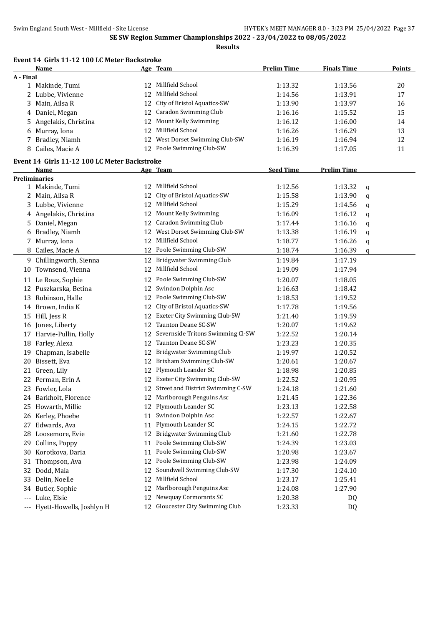|                     | Event 14 Girls 11-12 100 LC Meter Backstroke |    |                                      |                    |                    |   |               |
|---------------------|----------------------------------------------|----|--------------------------------------|--------------------|--------------------|---|---------------|
|                     | Name                                         |    | Age Team                             | <b>Prelim Time</b> | <b>Finals Time</b> |   | <b>Points</b> |
| A - Final           |                                              |    |                                      |                    |                    |   |               |
|                     | 1 Makinde, Tumi                              | 12 | Millfield School                     | 1:13.32            | 1:13.56            |   | 20            |
|                     | 2 Lubbe, Vivienne                            | 12 | Millfield School                     | 1:14.56            | 1:13.91            |   | 17            |
| 3                   | Main, Ailsa R                                | 12 | City of Bristol Aquatics-SW          | 1:13.90            | 1:13.97            |   | 16            |
|                     | 4 Daniel, Megan                              | 12 | <b>Caradon Swimming Club</b>         | 1:16.16            | 1:15.52            |   | 15            |
| 5                   | Angelakis, Christina                         | 12 | Mount Kelly Swimming                 | 1:16.12            | 1:16.00            |   | 14            |
| 6                   | Murray, Iona                                 | 12 | Millfield School                     | 1:16.26            | 1:16.29            |   | 13            |
| 7                   | Bradley, Niamh                               | 12 | West Dorset Swimming Club-SW         | 1:16.19            | 1:16.94            |   | 12            |
|                     | 8 Cailes, Macie A                            |    | 12 Poole Swimming Club-SW            | 1:16.39            | 1:17.05            |   | 11            |
|                     | Event 14 Girls 11-12 100 LC Meter Backstroke |    |                                      |                    |                    |   |               |
|                     | Name                                         |    | Age Team                             | <b>Seed Time</b>   | <b>Prelim Time</b> |   |               |
|                     | <b>Preliminaries</b>                         |    |                                      |                    |                    |   |               |
|                     | 1 Makinde, Tumi                              |    | 12 Millfield School                  | 1:12.56            | 1:13.32            | q |               |
|                     | 2 Main, Ailsa R                              | 12 | City of Bristol Aquatics-SW          | 1:15.58            | 1:13.90            | q |               |
|                     | 3 Lubbe, Vivienne                            |    | 12 Millfield School                  | 1:15.29            | 1:14.56            | q |               |
| 4                   | Angelakis, Christina                         |    | 12 Mount Kelly Swimming              | 1:16.09            | 1:16.12            | q |               |
| 5                   | Daniel, Megan                                | 12 | <b>Caradon Swimming Club</b>         | 1:17.44            | 1:16.16            | q |               |
| 6                   | Bradley, Niamh                               |    | 12 West Dorset Swimming Club-SW      | 1:13.38            | 1:16.19            | q |               |
| 7                   | Murray, Iona                                 | 12 | Millfield School                     | 1:18.77            | 1:16.26            | q |               |
| 8                   | Cailes, Macie A                              | 12 | Poole Swimming Club-SW               | 1:18.74            | 1:16.39            | q |               |
|                     | 9 Chillingworth, Sienna                      | 12 | <b>Bridgwater Swimming Club</b>      | 1:19.84            | 1:17.19            |   |               |
|                     | 10 Townsend, Vienna                          |    | 12 Millfield School                  | 1:19.09            | 1:17.94            |   |               |
|                     | 11 Le Roux, Sophie                           | 12 | Poole Swimming Club-SW               | 1:20.07            | 1:18.05            |   |               |
|                     | 12 Puszkarska, Betina                        | 12 | Swindon Dolphin Asc                  | 1:16.63            | 1:18.42            |   |               |
|                     | 13 Robinson, Halle                           | 12 | Poole Swimming Club-SW               | 1:18.53            | 1:19.52            |   |               |
|                     | 14 Brown, India K                            | 12 | City of Bristol Aquatics-SW          | 1:17.78            | 1:19.56            |   |               |
|                     | 15 Hill, Jess R                              | 12 | Exeter City Swimming Club-SW         | 1:21.40            | 1:19.59            |   |               |
|                     |                                              | 12 | Taunton Deane SC-SW                  | 1:20.07            | 1:19.62            |   |               |
|                     | 16 Jones, Liberty                            |    | 12 Severnside Tritons Swimming Cl-SW | 1:22.52            | 1:20.14            |   |               |
|                     | 17 Harvie-Pullin, Holly                      |    | Taunton Deane SC-SW                  |                    |                    |   |               |
|                     | 18 Farley, Alexa                             | 12 | Bridgwater Swimming Club             | 1:23.23            | 1:20.35            |   |               |
| 19                  | Chapman, Isabelle                            | 12 |                                      | 1:19.97            | 1:20.52            |   |               |
| 20                  | Bissett, Eva                                 | 12 | Brixham Swimming Club-SW             | 1:20.61            | 1:20.67            |   |               |
|                     | 21 Green, Lily                               | 12 | Plymouth Leander SC                  | 1:18.98            | 1:20.85            |   |               |
|                     | 22 Perman, Erin A                            |    | 12 Exeter City Swimming Club-SW      | 1:22.52            | 1:20.95            |   |               |
|                     | 23 Fowler, Lola                              |    | 12 Street and District Swimming C-SW | 1:24.18            | 1:21.60            |   |               |
|                     | 24 Barkholt, Florence                        | 12 | Marlborough Penguins Asc             | 1:21.45            | 1:22.36            |   |               |
| 25                  | Howarth, Millie                              | 12 | Plymouth Leander SC                  | 1:23.13            | 1:22.58            |   |               |
|                     | 26 Kerley, Phoebe                            | 11 | Swindon Dolphin Asc                  | 1:22.57            | 1:22.67            |   |               |
|                     | 27 Edwards, Ava                              | 11 | Plymouth Leander SC                  | 1:24.15            | 1:22.72            |   |               |
|                     | 28 Loosemore, Evie                           | 12 | Bridgwater Swimming Club             | 1:21.60            | 1:22.78            |   |               |
|                     | 29 Collins, Poppy                            | 11 | Poole Swimming Club-SW               | 1:24.39            | 1:23.03            |   |               |
|                     | 30 Korotkova, Daria                          | 11 | Poole Swimming Club-SW               | 1:20.98            | 1:23.67            |   |               |
| 31                  | Thompson, Ava                                | 12 | Poole Swimming Club-SW               | 1:23.98            | 1:24.09            |   |               |
| 32                  | Dodd, Maia                                   | 12 | Soundwell Swimming Club-SW           | 1:17.30            | 1:24.10            |   |               |
| 33                  | Delin, Noelle                                | 12 | Millfield School                     | 1:23.17            | 1:25.41            |   |               |
| 34                  | Butler, Sophie                               | 12 | Marlborough Penguins Asc             | 1:24.08            | 1:27.90            |   |               |
| $\qquad \qquad - -$ | Luke, Elsie                                  | 12 | Newquay Cormorants SC                | 1:20.38            | DQ                 |   |               |
|                     | --- Hyett-Howells, Joshlyn H                 | 12 | Gloucester City Swimming Club        | 1:23.33            | DQ                 |   |               |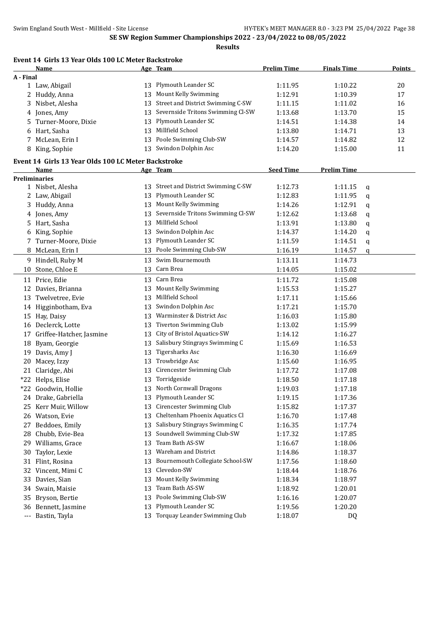|           | Event 14 Girls 13 Year Olds 100 LC Meter Backstroke<br>Name |          | Age Team                             | <b>Prelim Time</b> | <b>Finals Time</b> |   | <b>Points</b> |
|-----------|-------------------------------------------------------------|----------|--------------------------------------|--------------------|--------------------|---|---------------|
| A - Final |                                                             |          |                                      |                    |                    |   |               |
|           | 1 Law, Abigail                                              | 13       | Plymouth Leander SC                  | 1:11.95            | 1:10.22            |   | 20            |
| 2         | Huddy, Anna                                                 | 13       | Mount Kelly Swimming                 | 1:12.91            | 1:10.39            |   | 17            |
| 3         | Nisbet, Alesha                                              | 13       | Street and District Swimming C-SW    | 1:11.15            | 1:11.02            |   | 16            |
| 4         | Jones, Amy                                                  | 13       | Severnside Tritons Swimming Cl-SW    | 1:13.68            | 1:13.70            |   | 15            |
| 5         | Turner-Moore, Dixie                                         | 13       | Plymouth Leander SC                  | 1:14.51            | 1:14.38            |   | 14            |
| 6         | Hart, Sasha                                                 | 13       | Millfield School                     | 1:13.80            | 1:14.71            |   | 13            |
| 7         | McLean, Erin I                                              | 13       | Poole Swimming Club-SW               | 1:14.57            | 1:14.82            |   | 12            |
| 8         | King, Sophie                                                |          | 13 Swindon Dolphin Asc               | 1:14.20            | 1:15.00            |   | 11            |
|           | Event 14 Girls 13 Year Olds 100 LC Meter Backstroke         |          |                                      |                    |                    |   |               |
|           | Name                                                        |          | Age Team                             | <b>Seed Time</b>   | <b>Prelim Time</b> |   |               |
|           | <b>Preliminaries</b>                                        |          |                                      |                    |                    |   |               |
|           | 1 Nisbet, Alesha                                            |          | 13 Street and District Swimming C-SW | 1:12.73            | 1:11.15            | q |               |
|           | 2 Law, Abigail                                              | 13       | Plymouth Leander SC                  | 1:12.83            | 1:11.95            | q |               |
|           | 3 Huddy, Anna                                               |          | 13 Mount Kelly Swimming              | 1:14.26            | 1:12.91            | q |               |
| 4         | Jones, Amy                                                  | 13       | Severnside Tritons Swimming Cl-SW    | 1:12.62            | 1:13.68            | q |               |
| 5.        | Hart, Sasha                                                 | 13       | Millfield School                     | 1:13.91            | 1:13.80            | q |               |
| 6         | King, Sophie                                                | 13       | Swindon Dolphin Asc                  | 1:14.37            | 1:14.20            | q |               |
| 7         | Turner-Moore, Dixie                                         | 13       | Plymouth Leander SC                  | 1:11.59            | 1:14.51            | q |               |
| 8         | McLean, Erin I                                              |          | 13 Poole Swimming Club-SW            | 1:16.19            | 1:14.57            | q |               |
|           | 9 Hindell, Ruby M                                           | 13       | Swim Bournemouth                     | 1:13.11            | 1:14.73            |   |               |
| 10        | Stone, Chloe E                                              | 13       | Carn Brea                            | 1:14.05            | 1:15.02            |   |               |
|           | 11 Price, Edie                                              | 13       | Carn Brea                            | 1:11.72            | 1:15.08            |   |               |
| 12        | Davies, Brianna                                             | 13       | Mount Kelly Swimming                 | 1:15.53            | 1:15.27            |   |               |
|           | 13 Twelvetree, Evie                                         | 13       | Millfield School                     | 1:17.11            | 1:15.66            |   |               |
|           | 14 Higginbotham, Eva                                        | 13       | Swindon Dolphin Asc                  | 1:17.21            | 1:15.70            |   |               |
|           | 15 Hay, Daisy                                               | 13       | Warminster & District Asc            | 1:16.03            | 1:15.80            |   |               |
|           | 16 Declerck, Lotte                                          | 13       | Tiverton Swimming Club               | 1:13.02            | 1:15.99            |   |               |
| 17        | Griffee-Hatcher, Jasmine                                    | 13       | City of Bristol Aquatics-SW          | 1:14.12            | 1:16.27            |   |               |
| 18        | Byam, Georgie                                               | 13       | Salisbury Stingrays Swimming C       | 1:15.69            | 1:16.53            |   |               |
| 19        | Davis, Amy J                                                | 13       | <b>Tigersharks Asc</b>               | 1:16.30            | 1:16.69            |   |               |
| 20        | Macey, Izzy                                                 | 13       | Trowbridge Asc                       | 1:15.60            | 1:16.95            |   |               |
| 21        | Claridge, Abi                                               | 13       | Cirencester Swimming Club            | 1:17.72            | 1:17.08            |   |               |
|           | *22 Helps, Elise                                            |          | 13 Torridgeside                      | 1:18.50            | 1:17.18            |   |               |
|           | *22 Goodwin, Hollie                                         |          | 13 North Cornwall Dragons            | 1:19.03            | 1:17.18            |   |               |
|           |                                                             |          | 13 Plymouth Leander SC               |                    |                    |   |               |
|           | 24 Drake, Gabriella                                         |          | Cirencester Swimming Club            | 1:19.15            | 1:17.36            |   |               |
|           | 25 Kerr Muir, Willow                                        | 13<br>13 | Cheltenham Phoenix Aquatics Cl       | 1:15.82            | 1:17.37            |   |               |
| 26        | Watson, Evie                                                |          | Salisbury Stingrays Swimming C       | 1:16.70            | 1:17.48            |   |               |
| 27        | Beddoes, Emily                                              | 13       |                                      | 1:16.35            | 1:17.74            |   |               |
| 28        | Chubb, Evie-Bea                                             | 13       | Soundwell Swimming Club-SW           | 1:17.32            | 1:17.85            |   |               |
| 29        | Williams, Grace                                             | 13       | Team Bath AS-SW                      | 1:16.67            | 1:18.06            |   |               |
| 30        | Taylor, Lexie                                               | 13       | Wareham and District                 | 1:14.86            | 1:18.37            |   |               |
| 31        | Flint, Rosina                                               | 13       | Bournemouth Collegiate School-SW     | 1:17.56            | 1:18.60            |   |               |
| 32        | Vincent, Mimi C                                             | 13       | Clevedon-SW                          | 1:18.44            | 1:18.76            |   |               |
| 33        | Davies, Sian                                                | 13       | Mount Kelly Swimming                 | 1:18.34            | 1:18.97            |   |               |
| 34        | Swain, Maisie                                               | 13       | Team Bath AS-SW                      | 1:18.92            | 1:20.01            |   |               |
| 35        | Bryson, Bertie                                              | 13       | Poole Swimming Club-SW               | 1:16.16            | 1:20.07            |   |               |
| 36        | Bennett, Jasmine                                            | 13       | Plymouth Leander SC                  | 1:19.56            | 1:20.20            |   |               |
| $\cdots$  | Bastin, Tayla                                               |          | 13 Torquay Leander Swimming Club     | 1:18.07            | DQ                 |   |               |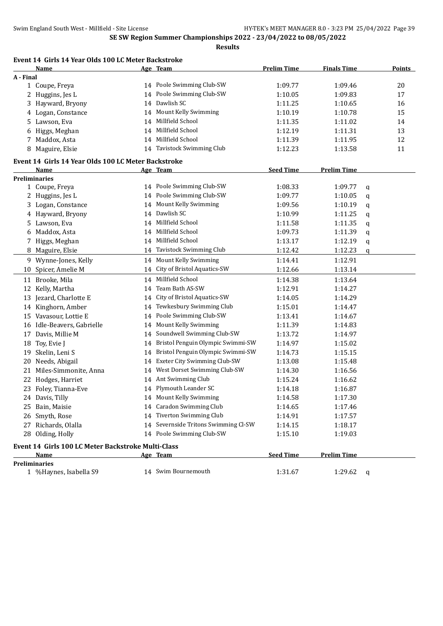|           | Event 14 Girls 14 Year Olds 100 LC Meter Backstroke |    |                                      |                    |                    |   |               |
|-----------|-----------------------------------------------------|----|--------------------------------------|--------------------|--------------------|---|---------------|
|           | Name                                                |    | Age Team                             | <b>Prelim Time</b> | <b>Finals Time</b> |   | <b>Points</b> |
| A - Final |                                                     |    |                                      |                    |                    |   |               |
|           | 1 Coupe, Freya                                      |    | 14 Poole Swimming Club-SW            | 1:09.77            | 1:09.46            |   | 20            |
|           | 2 Huggins, Jes L                                    | 14 | Poole Swimming Club-SW               | 1:10.05            | 1:09.83            |   | 17            |
|           | 3 Hayward, Bryony                                   | 14 | Dawlish SC                           | 1:11.25            | 1:10.65            |   | 16            |
|           | 4 Logan, Constance                                  | 14 | Mount Kelly Swimming                 | 1:10.19            | 1:10.78            |   | 15            |
|           | 5 Lawson, Eva                                       | 14 | Millfield School                     | 1:11.35            | 1:11.02            |   | 14            |
|           | 6 Higgs, Meghan                                     | 14 | Millfield School                     | 1:12.19            | 1:11.31            |   | 13            |
|           | 7 Maddox, Asta                                      | 14 | Millfield School                     | 1:11.39            | 1:11.95            |   | 12            |
|           | 8 Maguire, Elsie                                    |    | 14 Tavistock Swimming Club           | 1:12.23            | 1:13.58            |   | 11            |
|           | Event 14 Girls 14 Year Olds 100 LC Meter Backstroke |    |                                      |                    |                    |   |               |
|           | Name                                                |    | Age Team                             | <b>Seed Time</b>   | <b>Prelim Time</b> |   |               |
|           | <b>Preliminaries</b>                                |    |                                      |                    |                    |   |               |
|           | 1 Coupe, Freya                                      |    | 14 Poole Swimming Club-SW            | 1:08.33            | 1:09.77            | q |               |
|           | 2 Huggins, Jes L                                    |    | 14 Poole Swimming Club-SW            | 1:09.77            | 1:10.05            | q |               |
|           | 3 Logan, Constance                                  |    | 14 Mount Kelly Swimming              | 1:09.56            | 1:10.19            | q |               |
|           | 4 Hayward, Bryony                                   |    | 14 Dawlish SC                        | 1:10.99            | 1:11.25            | q |               |
|           | 5 Lawson, Eva                                       |    | 14 Millfield School                  | 1:11.58            | 1:11.35            | q |               |
|           | 6 Maddox, Asta                                      |    | 14 Millfield School                  | 1:09.73            | 1:11.39            | q |               |
|           | 7 Higgs, Meghan                                     |    | 14 Millfield School                  | 1:13.17            | 1:12.19            | q |               |
|           | 8 Maguire, Elsie                                    |    | 14 Tavistock Swimming Club           | 1:12.42            | 1:12.23            | q |               |
|           | 9 Wynne-Jones, Kelly                                | 14 | Mount Kelly Swimming                 | 1:14.41            | 1:12.91            |   |               |
|           | 10 Spicer, Amelie M                                 | 14 | City of Bristol Aquatics-SW          | 1:12.66            | 1:13.14            |   |               |
|           | 11 Brooke, Mila                                     | 14 | Millfield School                     | 1:14.38            | 1:13.64            |   |               |
| 12        | Kelly, Martha                                       | 14 | Team Bath AS-SW                      | 1:12.91            | 1:14.27            |   |               |
|           | 13 Jezard, Charlotte E                              | 14 | City of Bristol Aquatics-SW          | 1:14.05            | 1:14.29            |   |               |
|           | 14 Kinghorn, Amber                                  | 14 | Tewkesbury Swimming Club             | 1:15.01            | 1:14.47            |   |               |
|           | 15 Vavasour, Lottie E                               | 14 | Poole Swimming Club-SW               | 1:13.41            | 1:14.67            |   |               |
|           | 16 Idle-Beavers, Gabrielle                          | 14 | Mount Kelly Swimming                 | 1:11.39            | 1:14.83            |   |               |
|           | 17 Davis, Millie M                                  |    | 14 Soundwell Swimming Club-SW        | 1:13.72            | 1:14.97            |   |               |
| 18        | Toy, Evie J                                         |    | 14 Bristol Penguin Olympic Swimmi-SW | 1:14.97            | 1:15.02            |   |               |
|           | 19 Skelin, Leni S                                   |    | 14 Bristol Penguin Olympic Swimmi-SW | 1:14.73            | 1:15.15            |   |               |
|           | 20 Needs, Abigail                                   |    | 14 Exeter City Swimming Club-SW      | 1:13.08            | 1:15.48            |   |               |
|           | 21 Miles-Simmonite, Anna                            |    | 14 West Dorset Swimming Club-SW      | 1:14.30            | 1:16.56            |   |               |
|           | 22 Hodges, Harriet                                  |    | 14 Ant Swimming Club                 | 1:15.24            | 1:16.62            |   |               |
|           | 23 Foley, Tianna-Eve                                |    | 14 Plymouth Leander SC               | 1:14.18            | 1:16.87            |   |               |
|           | 24 Davis, Tilly                                     |    | 14 Mount Kelly Swimming              | 1:14.58            | 1:17.30            |   |               |
|           | 25 Bain, Maisie                                     |    | 14 Caradon Swimming Club             | 1:14.65            | 1:17.46            |   |               |
|           | 26 Smyth, Rose                                      |    | 14 Tiverton Swimming Club            | 1:14.91            | 1:17.57            |   |               |
|           | 27 Richards, Olalla                                 |    | 14 Severnside Tritons Swimming Cl-SW | 1:14.15            | 1:18.17            |   |               |
|           | 28 Olding, Holly                                    |    | 14 Poole Swimming Club-SW            | 1:15.10            | 1:19.03            |   |               |
|           | Event 14 Girls 100 LC Meter Backstroke Multi-Class  |    |                                      |                    |                    |   |               |
|           | <u>Name</u>                                         |    | Age Team                             | <b>Seed Time</b>   | <b>Prelim Time</b> |   |               |

#### **Preliminaries**

- %Haynes, Isabella S9 14 Swim Bournemouth 1:31.67 1:29.62 q
	-
- -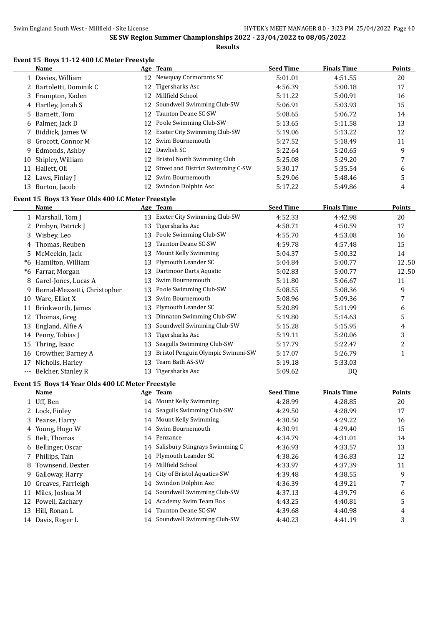**Results**

# **Event 15 Boys 11-12 400 LC Meter Freestyle**

|      | <b>Name</b>                                       |    | Age Team                          | <b>Seed Time</b> | <b>Finals Time</b> | <b>Points</b>  |
|------|---------------------------------------------------|----|-----------------------------------|------------------|--------------------|----------------|
|      | 1 Davies, William                                 |    | 12 Newquay Cormorants SC          | 5:01.01          | 4:51.55            | 20             |
|      | 2 Bartoletti, Dominik C                           | 12 | <b>Tigersharks Asc</b>            | 4:56.39          | 5:00.18            | 17             |
| 3    | Frampton, Kaden                                   | 12 | Millfield School                  | 5:11.22          | 5:00.91            | 16             |
|      | 4 Hartley, Jonah S                                | 12 | Soundwell Swimming Club-SW        | 5:06.91          | 5:03.93            | 15             |
| 5    | Barnett, Tom                                      | 12 | Taunton Deane SC-SW               | 5:08.65          | 5:06.72            | 14             |
| 6    | Palmer, Jack D                                    | 12 | Poole Swimming Club-SW            | 5:13.65          | 5:11.58            | 13             |
| 7    | Biddick, James W                                  | 12 | Exeter City Swimming Club-SW      | 5:19.06          | 5:13.22            | 12             |
| 8    | Grocott, Connor M                                 | 12 | Swim Bournemouth                  | 5:27.52          | 5:18.49            | 11             |
| 9    | Edmonds, Ashby                                    | 12 | Dawlish SC                        | 5:22.64          | 5:20.65            | 9              |
| 10   | Shipley, William                                  | 12 | Bristol North Swimming Club       | 5:25.08          | 5:29.20            | 7              |
|      | 11 Hallett, Oli                                   | 12 | Street and District Swimming C-SW | 5:30.17          | 5:35.54            | 6              |
| 12   | Laws, Finlay J                                    | 12 | Swim Bournemouth                  | 5:29.06          | 5:48.46            | 5              |
|      | 13 Burton, Jacob                                  |    | 12 Swindon Dolphin Asc            | 5:17.22          | 5:49.86            | 4              |
|      | Event 15 Boys 13 Year Olds 400 LC Meter Freestyle |    |                                   |                  |                    |                |
|      | <b>Name</b>                                       |    | Age Team                          | <b>Seed Time</b> | <b>Finals Time</b> | <b>Points</b>  |
|      | 1 Marshall, Tom J                                 | 13 | Exeter City Swimming Club-SW      | 4:52.33          | 4:42.98            | 20             |
|      | 2 Probyn, Patrick J                               | 13 | Tigersharks Asc                   | 4:58.71          | 4:50.59            | 17             |
|      | 3 Wisbey, Leo                                     | 13 | Poole Swimming Club-SW            | 4:55.70          | 4:53.08            | 16             |
| 4    | Thomas, Reuben                                    | 13 | Taunton Deane SC-SW               | 4:59.78          | 4:57.48            | 15             |
| 5    | McMeekin, Jack                                    | 13 | Mount Kelly Swimming              | 5:04.37          | 5:00.32            | 14             |
| $*6$ | Hamilton, William                                 | 13 | Plymouth Leander SC               | 5:04.84          | 5:00.77            | 12.50          |
| $*6$ | Farrar, Morgan                                    | 13 | Dartmoor Darts Aquatic            | 5:02.83          | 5:00.77            | 12.50          |
| 8    | Garel-Jones, Lucas A                              | 13 | Swim Bournemouth                  | 5:11.80          | 5:06.67            | 11             |
| 9    | Bernal-Mezzetti, Christopher                      | 13 | Poole Swimming Club-SW            | 5:08.55          | 5:08.36            | 9              |
|      | 10 Ware, Elliot X                                 | 13 | Swim Bournemouth                  | 5:08.96          | 5:09.36            | 7              |
|      | 11 Brinkworth, James                              | 13 | Plymouth Leander SC               | 5:20.89          | 5:11.99            | 6              |
| 12   | Thomas, Greg                                      | 13 | Dinnaton Swimming Club-SW         | 5:19.80          | 5:14.63            | 5              |
| 13   | England, Alfie A                                  | 13 | Soundwell Swimming Club-SW        | 5:15.28          | 5:15.95            | 4              |
|      | 14 Penny, Tobias J                                | 13 | <b>Tigersharks Asc</b>            | 5:19.11          | 5:20.06            | 3              |
| 15   | Thring, Isaac                                     | 13 | Seagulls Swimming Club-SW         | 5:17.79          | 5:22.47            | $\overline{c}$ |
| 16   | Crowther, Barney A                                | 13 | Bristol Penguin Olympic Swimmi-SW | 5:17.07          | 5:26.79            | $\mathbf{1}$   |
|      | 17 Nicholls, Harley                               | 13 | Team Bath AS-SW                   | 5:19.18          | 5:33.03            |                |
|      | --- Belcher, Stanley R                            | 13 | Tigersharks Asc                   | 5:09.62          | DQ                 |                |
|      | Event 15 Boys 14 Year Olds 400 LC Meter Freestyle |    |                                   |                  |                    |                |
|      | <u>Name</u>                                       |    | Age Team                          | <b>Seed Time</b> | <b>Finals Time</b> | <b>Points</b>  |
|      | 1 Uff, Ben                                        |    | 14 Mount Kelly Swimming           | 4:28.99          | 4:28.85            | 20             |
| 2    | Lock, Finley                                      | 14 | Seagulls Swimming Club-SW         | 4:29.50          | 4:28.99            | 17             |
| 3    | Pearse, Harry                                     | 14 | Mount Kelly Swimming              | 4:30.50          | 4:29.22            | 16             |
| 4    | Young, Hugo W                                     | 14 | Swim Bournemouth                  | 4:30.91          | 4:29.40            | 15             |
| 5    | Belt, Thomas                                      | 14 | Penzance                          | 4:34.79          | 4:31.01            | 14             |
| 6    | Bellinger, Oscar                                  | 14 | Salisbury Stingrays Swimming C    | 4:36.93          | 4:33.57            | 13             |
| 7    | Phillips, Tain                                    | 14 | Plymouth Leander SC               | 4:38.26          | 4:36.83            | 12             |
| 8    | Townsend, Dexter                                  | 14 | Millfield School                  | 4:33.97          | 4:37.39            | 11             |
| 9    | Galloway, Harry                                   | 14 | City of Bristol Aquatics-SW       | 4:39.48          | 4:38.55            | 9              |

- Greaves, Farrleigh 14 Swindon Dolphin Asc 4:36.39 4:39.21 7
- Miles, Joshua M 14 Soundwell Swimming Club-SW 4:37.13 4:39.79 6
- Powell, Zachary 14 Academy Swim Team Bos 4:43.25 4:40.81 5
- 13 Hill, Ronan L 14 Taunton Deane SC-SW 4:39.68 4:40.98 4:40.98
- 
- Davis, Roger L 14 Soundwell Swimming Club-SW 4:40.23 4:41.19 3